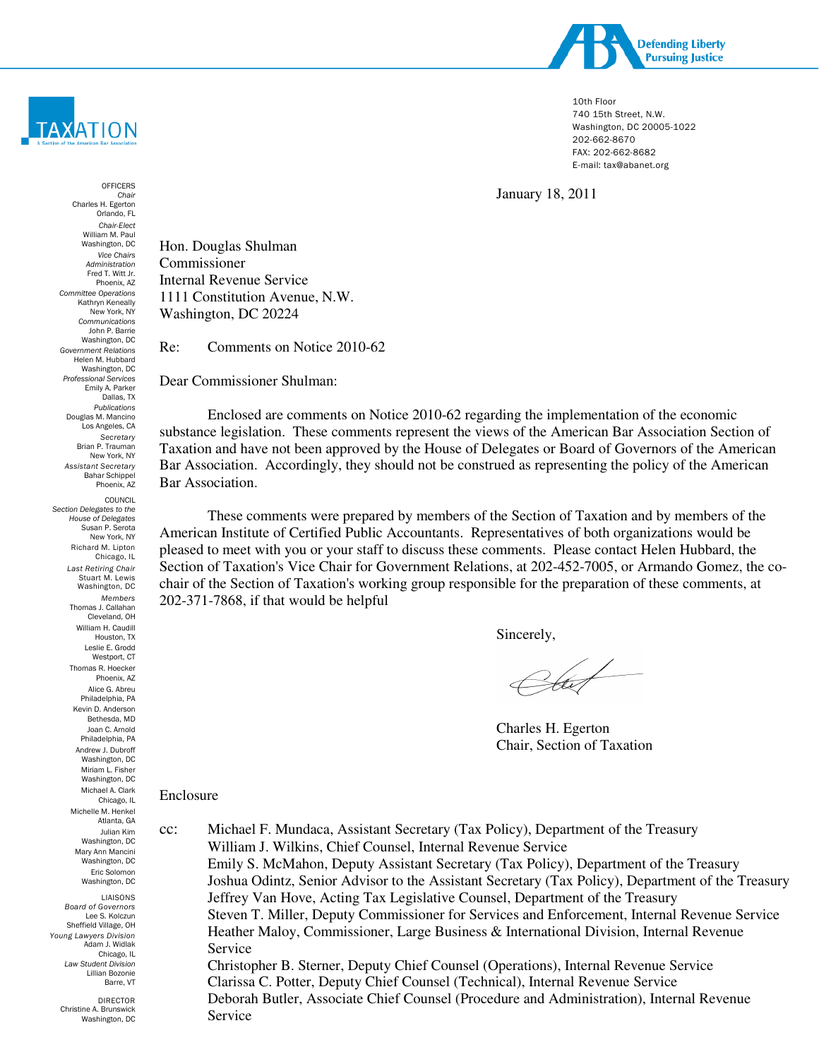

10th Floor 740 15th Street, N.W. Washington, DC 20005-1022 202-662-8670 FAX: 202-662-8682 E-mail: tax@abanet.org

January 18, 2011

**OFFICERS** Chair Charles H. Egerton Orlando, FL Chair-Elect William M. Paul Washington, DC Vice Chairs Administration Fred T. Witt Jr. Phoenix, AZ Committee Operations Kathryn Keneally New York, NY Communications John P. Barrie Washington, DC Government Relations Helen M. Hubbard Washington, DC Professional Services Emily A. Parker Dallas, TX Publications Douglas M. Mancino Los Angeles, CA **Secretary** Brian P. Trauman New York, NY Assistant Secretary Bahar Schippel Phoenix, AZ COUNCIL Section Delegates to the House of Delegates Susan P. Serota New York, NY Richard M. Lipton Chicago, IL Last Retiring Chair Stuart M. Lewis Washington, DC Members Thomas J. Callahan Cleveland, OH William H. Caudill Houston, TX Leslie E. Grodd Westport, CT Thomas R. Hoecker Phoenix, AZ Alice G. Abreu Philadelphia, PA Kevin D. Anderson Bethesda, MD Joan C. Arnold Philadelphia, PA Andrew J. Dubroff Washington, DC Miriam L. Fisher Washington, DC Michael A. Clark Chicago, IL Michelle M. Henkel Atlanta, GA Julian Kim Washington, DC Mary Ann Mancini Washington, DC Eric Solomon Washington, DC LIAISONS Board of Governors Lee S. Kolczun Sheffield Village, OH Young Lawyers Division

**TAXATION** 

Adam J. Widlak Chicago, IL Law Student Division Lillian Bozonie Barre, VT

> DIRECTOR Christine A. Brunswick Washington, DC

Hon. Douglas Shulman Commissioner Internal Revenue Service 1111 Constitution Avenue, N.W. Washington, DC 20224

Re: Comments on Notice 2010-62

Dear Commissioner Shulman:

Enclosed are comments on Notice 2010-62 regarding the implementation of the economic substance legislation. These comments represent the views of the American Bar Association Section of Taxation and have not been approved by the House of Delegates or Board of Governors of the American Bar Association. Accordingly, they should not be construed as representing the policy of the American Bar Association.

These comments were prepared by members of the Section of Taxation and by members of the American Institute of Certified Public Accountants. Representatives of both organizations would be pleased to meet with you or your staff to discuss these comments. Please contact Helen Hubbard, the Section of Taxation's Vice Chair for Government Relations, at 202-452-7005, or Armando Gomez, the cochair of the Section of Taxation's working group responsible for the preparation of these comments, at 202-371-7868, if that would be helpful

Sincerely,

Chit

Charles H. Egerton Chair, Section of Taxation

#### Enclosure

cc: Michael F. Mundaca, Assistant Secretary (Tax Policy), Department of the Treasury William J. Wilkins, Chief Counsel, Internal Revenue Service Emily S. McMahon, Deputy Assistant Secretary (Tax Policy), Department of the Treasury Joshua Odintz, Senior Advisor to the Assistant Secretary (Tax Policy), Department of the Treasury Jeffrey Van Hove, Acting Tax Legislative Counsel, Department of the Treasury Steven T. Miller, Deputy Commissioner for Services and Enforcement, Internal Revenue Service Heather Maloy, Commissioner, Large Business & International Division, Internal Revenue Service Christopher B. Sterner, Deputy Chief Counsel (Operations), Internal Revenue Service Clarissa C. Potter, Deputy Chief Counsel (Technical), Internal Revenue Service Deborah Butler, Associate Chief Counsel (Procedure and Administration), Internal Revenue Service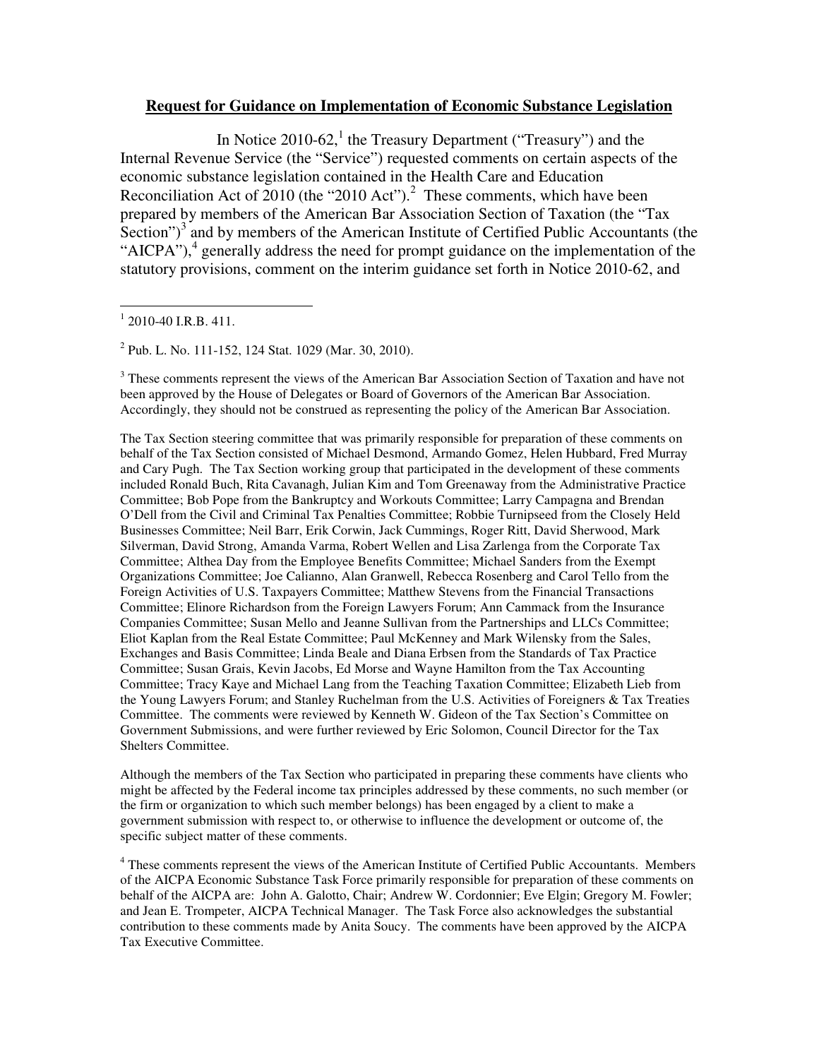#### **Request for Guidance on Implementation of Economic Substance Legislation**

In Notice  $2010-62$ ,<sup>1</sup> the Treasury Department ("Treasury") and the Internal Revenue Service (the "Service") requested comments on certain aspects of the economic substance legislation contained in the Health Care and Education Reconciliation Act of  $2010$  (the "2010 Act").<sup>2</sup> These comments, which have been prepared by members of the American Bar Association Section of Taxation (the "Tax Section") $3$  and by members of the American Institute of Certified Public Accountants (the "AICPA"), $4$  generally address the need for prompt guidance on the implementation of the statutory provisions, comment on the interim guidance set forth in Notice 2010-62, and

2 Pub. L. No. 111-152, 124 Stat. 1029 (Mar. 30, 2010).

<sup>3</sup> These comments represent the views of the American Bar Association Section of Taxation and have not been approved by the House of Delegates or Board of Governors of the American Bar Association. Accordingly, they should not be construed as representing the policy of the American Bar Association.

The Tax Section steering committee that was primarily responsible for preparation of these comments on behalf of the Tax Section consisted of Michael Desmond, Armando Gomez, Helen Hubbard, Fred Murray and Cary Pugh. The Tax Section working group that participated in the development of these comments included Ronald Buch, Rita Cavanagh, Julian Kim and Tom Greenaway from the Administrative Practice Committee; Bob Pope from the Bankruptcy and Workouts Committee; Larry Campagna and Brendan O'Dell from the Civil and Criminal Tax Penalties Committee; Robbie Turnipseed from the Closely Held Businesses Committee; Neil Barr, Erik Corwin, Jack Cummings, Roger Ritt, David Sherwood, Mark Silverman, David Strong, Amanda Varma, Robert Wellen and Lisa Zarlenga from the Corporate Tax Committee; Althea Day from the Employee Benefits Committee; Michael Sanders from the Exempt Organizations Committee; Joe Calianno, Alan Granwell, Rebecca Rosenberg and Carol Tello from the Foreign Activities of U.S. Taxpayers Committee; Matthew Stevens from the Financial Transactions Committee; Elinore Richardson from the Foreign Lawyers Forum; Ann Cammack from the Insurance Companies Committee; Susan Mello and Jeanne Sullivan from the Partnerships and LLCs Committee; Eliot Kaplan from the Real Estate Committee; Paul McKenney and Mark Wilensky from the Sales, Exchanges and Basis Committee; Linda Beale and Diana Erbsen from the Standards of Tax Practice Committee; Susan Grais, Kevin Jacobs, Ed Morse and Wayne Hamilton from the Tax Accounting Committee; Tracy Kaye and Michael Lang from the Teaching Taxation Committee; Elizabeth Lieb from the Young Lawyers Forum; and Stanley Ruchelman from the U.S. Activities of Foreigners & Tax Treaties Committee. The comments were reviewed by Kenneth W. Gideon of the Tax Section's Committee on Government Submissions, and were further reviewed by Eric Solomon, Council Director for the Tax Shelters Committee.

Although the members of the Tax Section who participated in preparing these comments have clients who might be affected by the Federal income tax principles addressed by these comments, no such member (or the firm or organization to which such member belongs) has been engaged by a client to make a government submission with respect to, or otherwise to influence the development or outcome of, the specific subject matter of these comments.

<sup>4</sup> These comments represent the views of the American Institute of Certified Public Accountants. Members of the AICPA Economic Substance Task Force primarily responsible for preparation of these comments on behalf of the AICPA are: John A. Galotto, Chair; Andrew W. Cordonnier; Eve Elgin; Gregory M. Fowler; and Jean E. Trompeter, AICPA Technical Manager. The Task Force also acknowledges the substantial contribution to these comments made by Anita Soucy. The comments have been approved by the AICPA Tax Executive Committee.

 $\overline{a}$  $1$  2010-40 I.R.B. 411.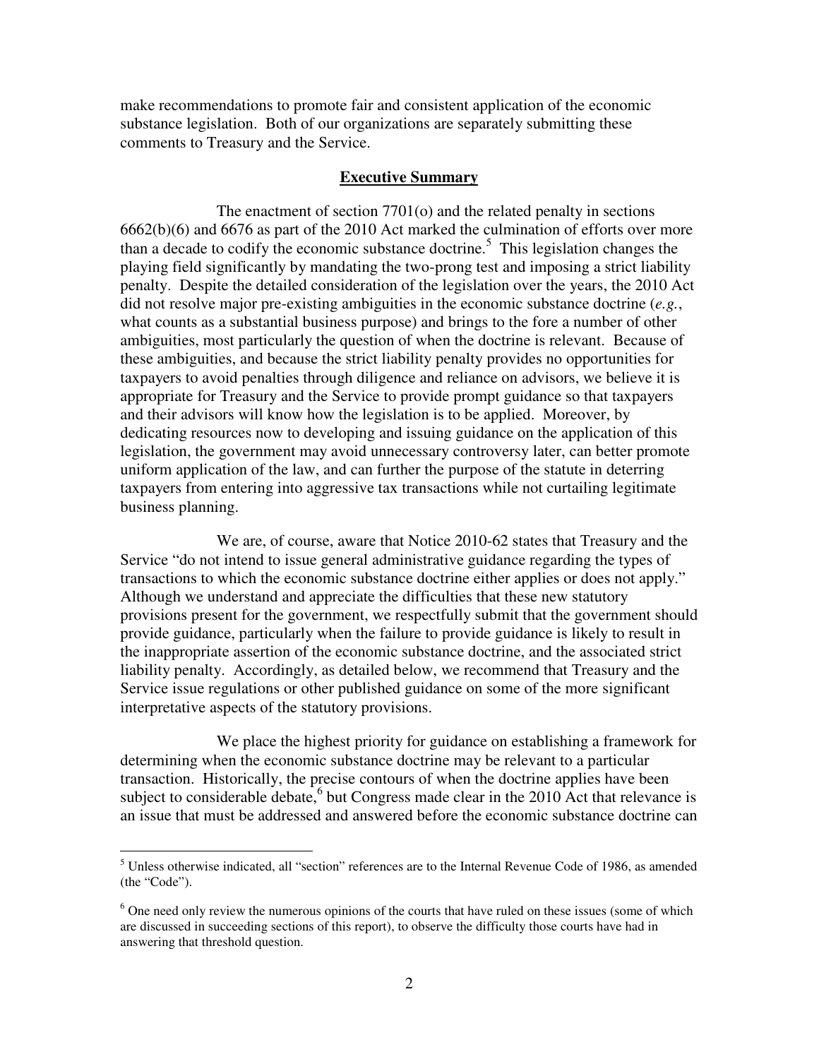make recommendations to promote fair and consistent application of the economic substance legislation. Both of our organizations are separately submitting these comments to Treasury and the Service.

#### **Executive Summary**

 The enactment of section 7701(o) and the related penalty in sections 6662(b)(6) and 6676 as part of the 2010 Act marked the culmination of efforts over more than a decade to codify the economic substance doctrine.<sup>5</sup> This legislation changes the playing field significantly by mandating the two-prong test and imposing a strict liability penalty. Despite the detailed consideration of the legislation over the years, the 2010 Act did not resolve major pre-existing ambiguities in the economic substance doctrine (*e.g.*, what counts as a substantial business purpose) and brings to the fore a number of other ambiguities, most particularly the question of when the doctrine is relevant. Because of these ambiguities, and because the strict liability penalty provides no opportunities for taxpayers to avoid penalties through diligence and reliance on advisors, we believe it is appropriate for Treasury and the Service to provide prompt guidance so that taxpayers and their advisors will know how the legislation is to be applied. Moreover, by dedicating resources now to developing and issuing guidance on the application of this legislation, the government may avoid unnecessary controversy later, can better promote uniform application of the law, and can further the purpose of the statute in deterring taxpayers from entering into aggressive tax transactions while not curtailing legitimate business planning.

 We are, of course, aware that Notice 2010-62 states that Treasury and the Service "do not intend to issue general administrative guidance regarding the types of transactions to which the economic substance doctrine either applies or does not apply." Although we understand and appreciate the difficulties that these new statutory provisions present for the government, we respectfully submit that the government should provide guidance, particularly when the failure to provide guidance is likely to result in the inappropriate assertion of the economic substance doctrine, and the associated strict liability penalty. Accordingly, as detailed below, we recommend that Treasury and the Service issue regulations or other published guidance on some of the more significant interpretative aspects of the statutory provisions.

 We place the highest priority for guidance on establishing a framework for determining when the economic substance doctrine may be relevant to a particular transaction. Historically, the precise contours of when the doctrine applies have been subject to considerable debate,  $6$  but Congress made clear in the 2010 Act that relevance is an issue that must be addressed and answered before the economic substance doctrine can

<sup>&</sup>lt;sup>5</sup> Unless otherwise indicated, all "section" references are to the Internal Revenue Code of 1986, as amended (the "Code").

<sup>&</sup>lt;sup>6</sup> One need only review the numerous opinions of the courts that have ruled on these issues (some of which are discussed in succeeding sections of this report), to observe the difficulty those courts have had in answering that threshold question.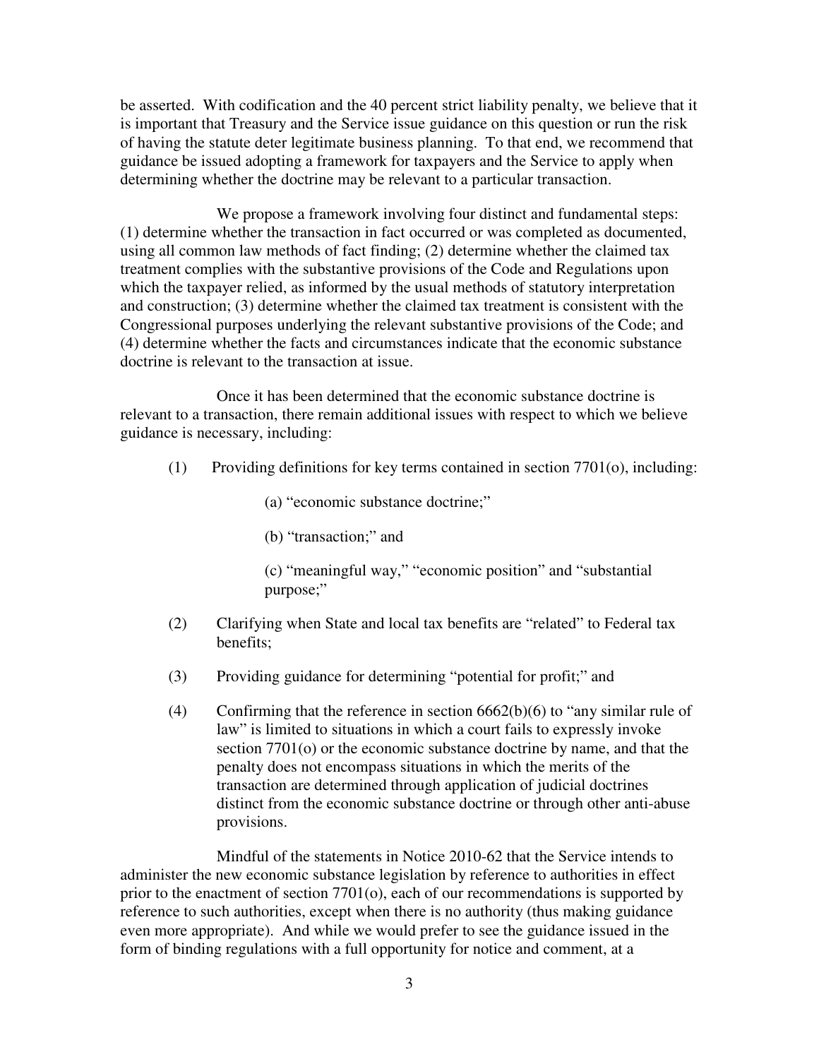be asserted. With codification and the 40 percent strict liability penalty, we believe that it is important that Treasury and the Service issue guidance on this question or run the risk of having the statute deter legitimate business planning. To that end, we recommend that guidance be issued adopting a framework for taxpayers and the Service to apply when determining whether the doctrine may be relevant to a particular transaction.

 We propose a framework involving four distinct and fundamental steps: (1) determine whether the transaction in fact occurred or was completed as documented, using all common law methods of fact finding; (2) determine whether the claimed tax treatment complies with the substantive provisions of the Code and Regulations upon which the taxpayer relied, as informed by the usual methods of statutory interpretation and construction; (3) determine whether the claimed tax treatment is consistent with the Congressional purposes underlying the relevant substantive provisions of the Code; and (4) determine whether the facts and circumstances indicate that the economic substance doctrine is relevant to the transaction at issue.

 Once it has been determined that the economic substance doctrine is relevant to a transaction, there remain additional issues with respect to which we believe guidance is necessary, including:

- (1) Providing definitions for key terms contained in section 7701(o), including:
	- (a) "economic substance doctrine;"
	- (b) "transaction;" and
	- (c) "meaningful way," "economic position" and "substantial purpose;"
- (2) Clarifying when State and local tax benefits are "related" to Federal tax benefits;
- (3) Providing guidance for determining "potential for profit;" and
- (4) Confirming that the reference in section 6662(b)(6) to "any similar rule of law" is limited to situations in which a court fails to expressly invoke section 7701(o) or the economic substance doctrine by name, and that the penalty does not encompass situations in which the merits of the transaction are determined through application of judicial doctrines distinct from the economic substance doctrine or through other anti-abuse provisions.

 Mindful of the statements in Notice 2010-62 that the Service intends to administer the new economic substance legislation by reference to authorities in effect prior to the enactment of section 7701(o), each of our recommendations is supported by reference to such authorities, except when there is no authority (thus making guidance even more appropriate). And while we would prefer to see the guidance issued in the form of binding regulations with a full opportunity for notice and comment, at a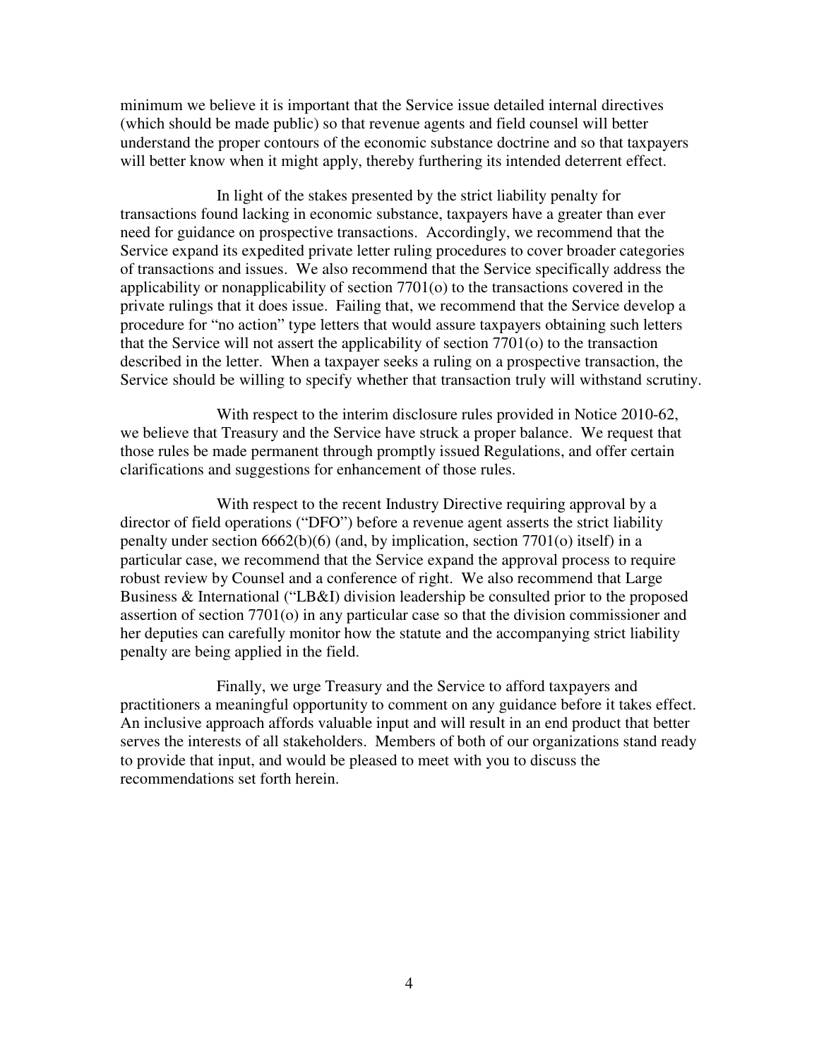minimum we believe it is important that the Service issue detailed internal directives (which should be made public) so that revenue agents and field counsel will better understand the proper contours of the economic substance doctrine and so that taxpayers will better know when it might apply, thereby furthering its intended deterrent effect.

 In light of the stakes presented by the strict liability penalty for transactions found lacking in economic substance, taxpayers have a greater than ever need for guidance on prospective transactions. Accordingly, we recommend that the Service expand its expedited private letter ruling procedures to cover broader categories of transactions and issues. We also recommend that the Service specifically address the applicability or nonapplicability of section 7701(o) to the transactions covered in the private rulings that it does issue. Failing that, we recommend that the Service develop a procedure for "no action" type letters that would assure taxpayers obtaining such letters that the Service will not assert the applicability of section 7701(o) to the transaction described in the letter. When a taxpayer seeks a ruling on a prospective transaction, the Service should be willing to specify whether that transaction truly will withstand scrutiny.

 With respect to the interim disclosure rules provided in Notice 2010-62, we believe that Treasury and the Service have struck a proper balance. We request that those rules be made permanent through promptly issued Regulations, and offer certain clarifications and suggestions for enhancement of those rules.

 With respect to the recent Industry Directive requiring approval by a director of field operations ("DFO") before a revenue agent asserts the strict liability penalty under section 6662(b)(6) (and, by implication, section 7701(o) itself) in a particular case, we recommend that the Service expand the approval process to require robust review by Counsel and a conference of right. We also recommend that Large Business & International ("LB&I) division leadership be consulted prior to the proposed assertion of section 7701(o) in any particular case so that the division commissioner and her deputies can carefully monitor how the statute and the accompanying strict liability penalty are being applied in the field.

 Finally, we urge Treasury and the Service to afford taxpayers and practitioners a meaningful opportunity to comment on any guidance before it takes effect. An inclusive approach affords valuable input and will result in an end product that better serves the interests of all stakeholders. Members of both of our organizations stand ready to provide that input, and would be pleased to meet with you to discuss the recommendations set forth herein.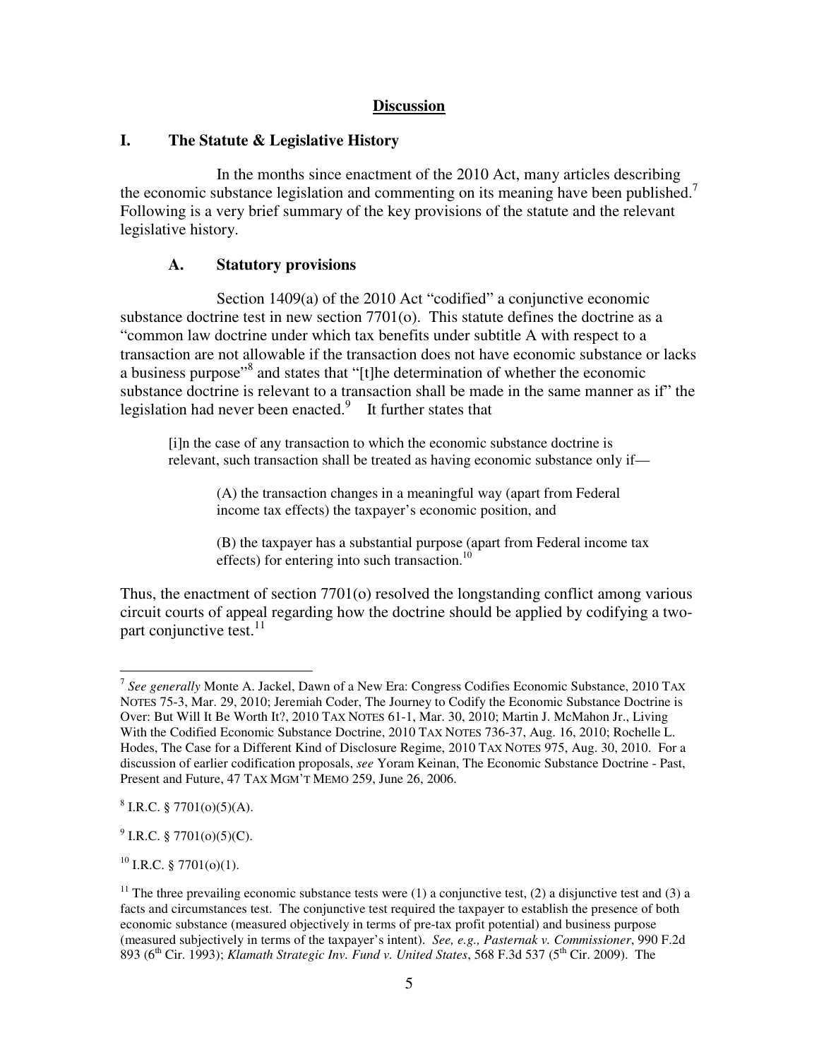# **Discussion**

# **I. The Statute & Legislative History**

In the months since enactment of the 2010 Act, many articles describing the economic substance legislation and commenting on its meaning have been published.<sup>7</sup> Following is a very brief summary of the key provisions of the statute and the relevant legislative history.

## **A. Statutory provisions**

Section 1409(a) of the 2010 Act "codified" a conjunctive economic substance doctrine test in new section 7701(o). This statute defines the doctrine as a "common law doctrine under which tax benefits under subtitle A with respect to a transaction are not allowable if the transaction does not have economic substance or lacks a business purpose"<sup>8</sup> and states that "[t]he determination of whether the economic substance doctrine is relevant to a transaction shall be made in the same manner as if" the legislation had never been enacted.<sup>9</sup> It further states that

[i]n the case of any transaction to which the economic substance doctrine is relevant, such transaction shall be treated as having economic substance only if—

> (A) the transaction changes in a meaningful way (apart from Federal income tax effects) the taxpayer's economic position, and

(B) the taxpayer has a substantial purpose (apart from Federal income tax effects) for entering into such transaction.<sup>10</sup>

Thus, the enactment of section 7701(o) resolved the longstanding conflict among various circuit courts of appeal regarding how the doctrine should be applied by codifying a twopart conjunctive test. $11$ 

 $^{9}$  I.R.C. § 7701(o)(5)(C).

 $10$  I.R.C. § 7701(o)(1).

<sup>&</sup>lt;sup>7</sup> See generally Monte A. Jackel, Dawn of a New Era: Congress Codifies Economic Substance, 2010 TAX NOTES 75-3, Mar. 29, 2010; Jeremiah Coder, The Journey to Codify the Economic Substance Doctrine is Over: But Will It Be Worth It?, 2010 TAX NOTES 61-1, Mar. 30, 2010; Martin J. McMahon Jr., Living With the Codified Economic Substance Doctrine, 2010 TAX NOTES 736-37, Aug. 16, 2010; Rochelle L. Hodes, The Case for a Different Kind of Disclosure Regime, 2010 TAX NOTES 975, Aug. 30, 2010. For a discussion of earlier codification proposals, *see* Yoram Keinan, The Economic Substance Doctrine - Past, Present and Future, 47 TAX MGM'T MEMO 259, June 26, 2006.

 $8$  I.R.C. § 7701(o)(5)(A).

<sup>&</sup>lt;sup>11</sup> The three prevailing economic substance tests were (1) a conjunctive test, (2) a disjunctive test and (3) a facts and circumstances test. The conjunctive test required the taxpayer to establish the presence of both economic substance (measured objectively in terms of pre-tax profit potential) and business purpose (measured subjectively in terms of the taxpayer's intent). *See, e.g., Pasternak v. Commissioner*, 990 F.2d 893 (6th Cir. 1993); *Klamath Strategic Inv. Fund v. United States*, 568 F.3d 537 (5th Cir. 2009). The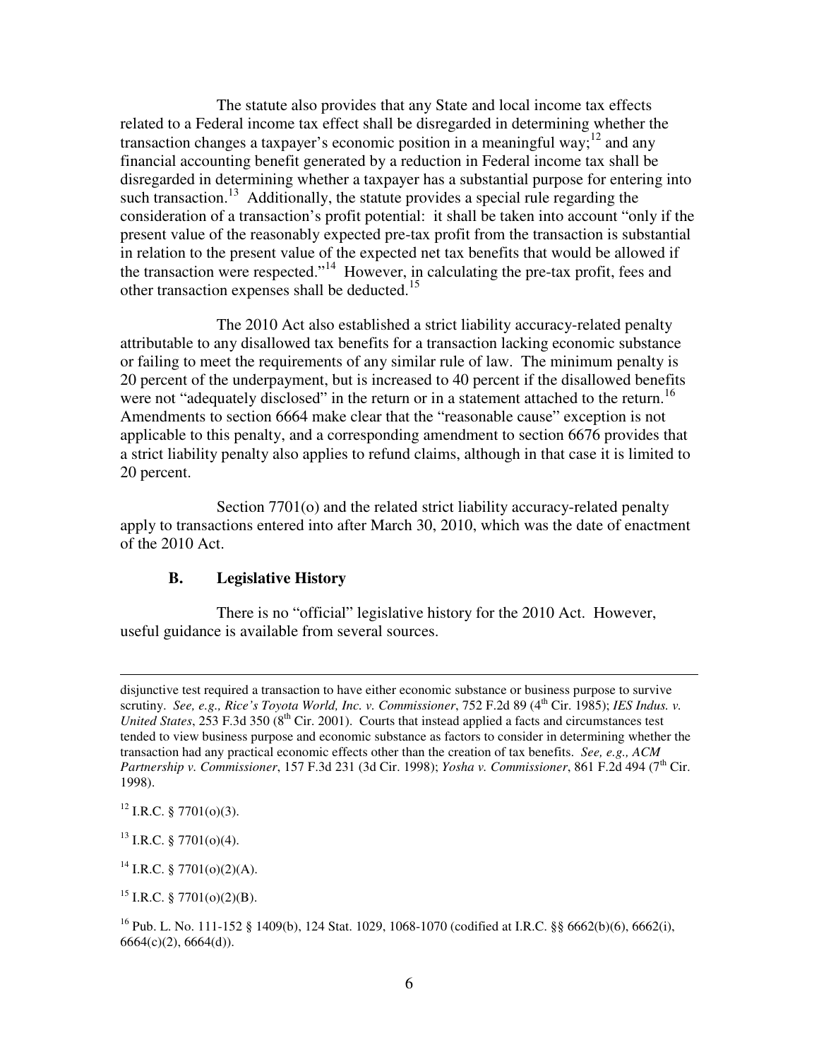The statute also provides that any State and local income tax effects related to a Federal income tax effect shall be disregarded in determining whether the transaction changes a taxpayer's economic position in a meaningful way;<sup>12</sup> and any financial accounting benefit generated by a reduction in Federal income tax shall be disregarded in determining whether a taxpayer has a substantial purpose for entering into such transaction.<sup>13</sup> Additionally, the statute provides a special rule regarding the consideration of a transaction's profit potential: it shall be taken into account "only if the present value of the reasonably expected pre-tax profit from the transaction is substantial in relation to the present value of the expected net tax benefits that would be allowed if the transaction were respected."<sup>14</sup> However, in calculating the pre-tax profit, fees and other transaction expenses shall be deducted.<sup>15</sup>

 The 2010 Act also established a strict liability accuracy-related penalty attributable to any disallowed tax benefits for a transaction lacking economic substance or failing to meet the requirements of any similar rule of law. The minimum penalty is 20 percent of the underpayment, but is increased to 40 percent if the disallowed benefits were not "adequately disclosed" in the return or in a statement attached to the return.<sup>16</sup> Amendments to section 6664 make clear that the "reasonable cause" exception is not applicable to this penalty, and a corresponding amendment to section 6676 provides that a strict liability penalty also applies to refund claims, although in that case it is limited to 20 percent.

Section 7701(o) and the related strict liability accuracy-related penalty apply to transactions entered into after March 30, 2010, which was the date of enactment of the 2010 Act.

## **B. Legislative History**

 There is no "official" legislative history for the 2010 Act. However, useful guidance is available from several sources.

 $12$  I.R.C. § 7701(o)(3).

 $\overline{a}$ 

 $13$  I.R.C. § 7701(o)(4).

 $14$  I.R.C. § 7701(o)(2)(A).

<sup>15</sup> I.R.C. § 7701(o)(2)(B).

disjunctive test required a transaction to have either economic substance or business purpose to survive scrutiny. *See, e.g., Rice's Toyota World, Inc. v. Commissioner*, 752 F.2d 89 (4th Cir. 1985); *IES Indus. v. United States*,  $253$  F.3d 350 ( $8<sup>th</sup>$  Cir. 2001). Courts that instead applied a facts and circumstances test tended to view business purpose and economic substance as factors to consider in determining whether the transaction had any practical economic effects other than the creation of tax benefits. *See, e.g., ACM Partnership v. Commissioner*, 157 F.3d 231 (3d Cir. 1998); *Yosha v. Commissioner*, 861 F.2d 494 (7<sup>th</sup> Cir. 1998).

<sup>&</sup>lt;sup>16</sup> Pub. L. No. 111-152 § 1409(b), 124 Stat. 1029, 1068-1070 (codified at I.R.C. §§ 6662(b)(6), 6662(i), 6664(c)(2), 6664(d)).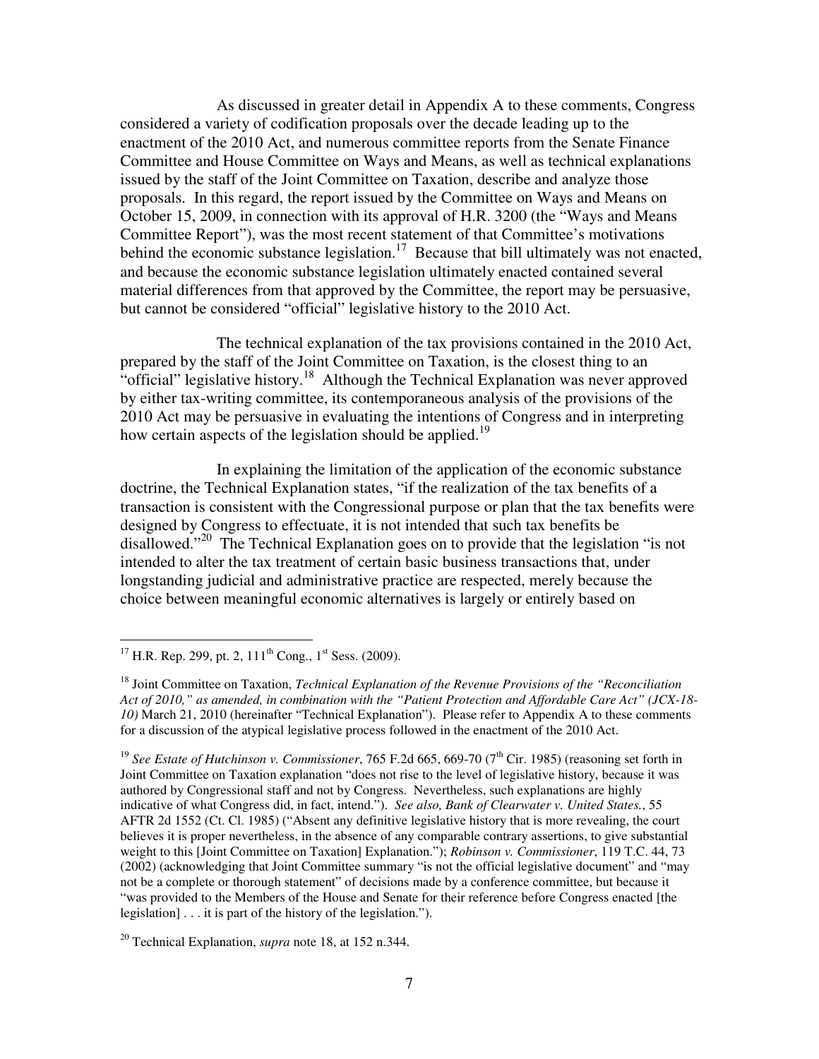As discussed in greater detail in Appendix A to these comments, Congress considered a variety of codification proposals over the decade leading up to the enactment of the 2010 Act, and numerous committee reports from the Senate Finance Committee and House Committee on Ways and Means, as well as technical explanations issued by the staff of the Joint Committee on Taxation, describe and analyze those proposals. In this regard, the report issued by the Committee on Ways and Means on October 15, 2009, in connection with its approval of H.R. 3200 (the "Ways and Means Committee Report"), was the most recent statement of that Committee's motivations behind the economic substance legislation.<sup>17</sup> Because that bill ultimately was not enacted, and because the economic substance legislation ultimately enacted contained several material differences from that approved by the Committee, the report may be persuasive, but cannot be considered "official" legislative history to the 2010 Act.

 The technical explanation of the tax provisions contained in the 2010 Act, prepared by the staff of the Joint Committee on Taxation, is the closest thing to an "official" legislative history.<sup>18</sup> Although the Technical Explanation was never approved by either tax-writing committee, its contemporaneous analysis of the provisions of the 2010 Act may be persuasive in evaluating the intentions of Congress and in interpreting how certain aspects of the legislation should be applied.<sup>19</sup>

 In explaining the limitation of the application of the economic substance doctrine, the Technical Explanation states, "if the realization of the tax benefits of a transaction is consistent with the Congressional purpose or plan that the tax benefits were designed by Congress to effectuate, it is not intended that such tax benefits be disallowed."<sup>20</sup> The Technical Explanation goes on to provide that the legislation "is not intended to alter the tax treatment of certain basic business transactions that, under longstanding judicial and administrative practice are respected, merely because the choice between meaningful economic alternatives is largely or entirely based on

 $\overline{a}$ <sup>17</sup> H.R. Rep. 299, pt. 2, 111<sup>th</sup> Cong., 1<sup>st</sup> Sess. (2009).

<sup>18</sup> Joint Committee on Taxation, *Technical Explanation of the Revenue Provisions of the "Reconciliation Act of 2010," as amended, in combination with the "Patient Protection and Affordable Care Act" (JCX-18- 10)* March 21, 2010 (hereinafter "Technical Explanation"). Please refer to Appendix A to these comments for a discussion of the atypical legislative process followed in the enactment of the 2010 Act.

<sup>&</sup>lt;sup>19</sup> See Estate of Hutchinson v. Commissioner, 765 F.2d 665, 669-70 (7<sup>th</sup> Cir. 1985) (reasoning set forth in Joint Committee on Taxation explanation "does not rise to the level of legislative history, because it was authored by Congressional staff and not by Congress. Nevertheless, such explanations are highly indicative of what Congress did, in fact, intend."). *See also, Bank of Clearwater v. United States.*, 55 AFTR 2d 1552 (Ct. Cl. 1985) ("Absent any definitive legislative history that is more revealing, the court believes it is proper nevertheless, in the absence of any comparable contrary assertions, to give substantial weight to this [Joint Committee on Taxation] Explanation."); *Robinson v. Commissioner*, 119 T.C. 44, 73 (2002) (acknowledging that Joint Committee summary "is not the official legislative document" and "may not be a complete or thorough statement" of decisions made by a conference committee, but because it "was provided to the Members of the House and Senate for their reference before Congress enacted [the legislation] . . . it is part of the history of the legislation.").

<sup>20</sup> Technical Explanation, *supra* note 18, at 152 n.344.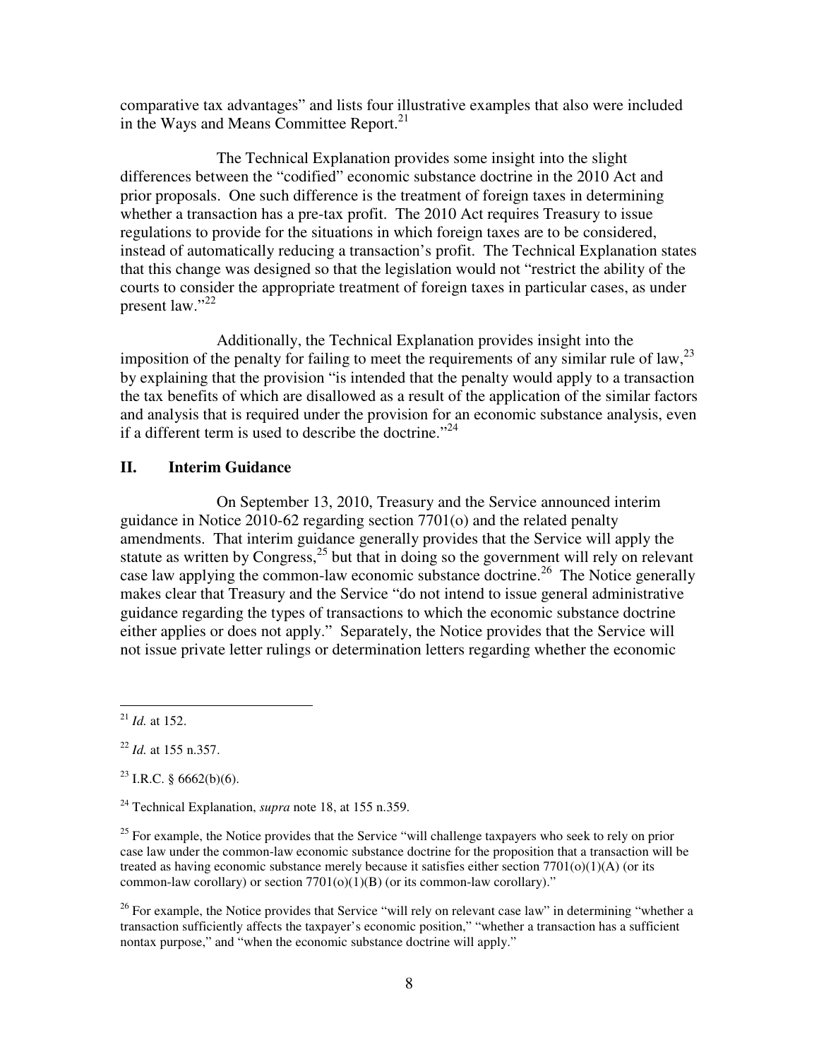comparative tax advantages" and lists four illustrative examples that also were included in the Ways and Means Committee Report.<sup>21</sup>

 The Technical Explanation provides some insight into the slight differences between the "codified" economic substance doctrine in the 2010 Act and prior proposals. One such difference is the treatment of foreign taxes in determining whether a transaction has a pre-tax profit. The 2010 Act requires Treasury to issue regulations to provide for the situations in which foreign taxes are to be considered, instead of automatically reducing a transaction's profit. The Technical Explanation states that this change was designed so that the legislation would not "restrict the ability of the courts to consider the appropriate treatment of foreign taxes in particular cases, as under present law."<sup>22</sup>

 Additionally, the Technical Explanation provides insight into the imposition of the penalty for failing to meet the requirements of any similar rule of law,  $^{23}$ by explaining that the provision "is intended that the penalty would apply to a transaction the tax benefits of which are disallowed as a result of the application of the similar factors and analysis that is required under the provision for an economic substance analysis, even if a different term is used to describe the doctrine."<sup>24</sup>

### **II. Interim Guidance**

 On September 13, 2010, Treasury and the Service announced interim guidance in Notice 2010-62 regarding section 7701(o) and the related penalty amendments. That interim guidance generally provides that the Service will apply the statute as written by Congress,<sup>25</sup> but that in doing so the government will rely on relevant case law applying the common-law economic substance doctrine.<sup>26</sup> The Notice generally makes clear that Treasury and the Service "do not intend to issue general administrative guidance regarding the types of transactions to which the economic substance doctrine either applies or does not apply." Separately, the Notice provides that the Service will not issue private letter rulings or determination letters regarding whether the economic

<sup>23</sup> I.R.C. § 6662(b)(6).

 $\overline{a}$  $^{21}$  *Id.* at 152.

<sup>22</sup> *Id.* at 155 n.357.

<sup>24</sup> Technical Explanation, *supra* note 18, at 155 n.359.

<sup>&</sup>lt;sup>25</sup> For example, the Notice provides that the Service "will challenge taxpayers who seek to rely on prior case law under the common-law economic substance doctrine for the proposition that a transaction will be treated as having economic substance merely because it satisfies either section  $7701(0)(1)(A)$  (or its common-law corollary) or section  $7701(o)(1)(B)$  (or its common-law corollary)."

 $26$  For example, the Notice provides that Service "will rely on relevant case law" in determining "whether a transaction sufficiently affects the taxpayer's economic position," "whether a transaction has a sufficient nontax purpose," and "when the economic substance doctrine will apply."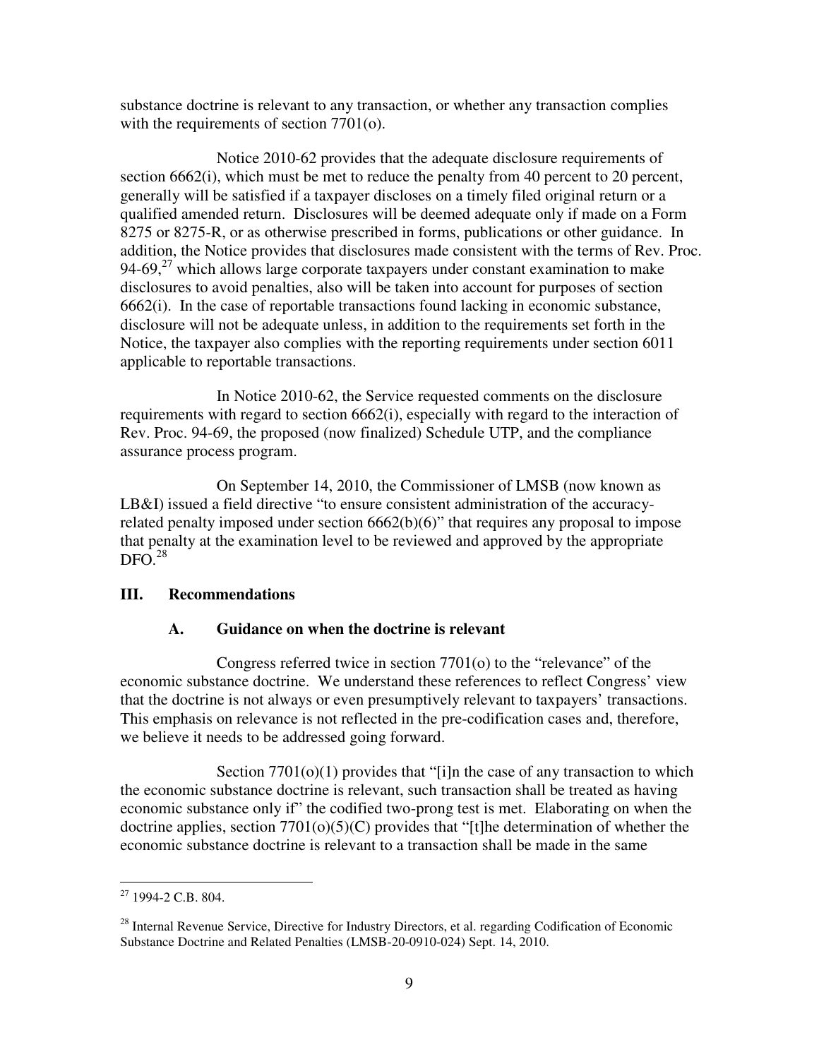substance doctrine is relevant to any transaction, or whether any transaction complies with the requirements of section 7701(o).

 Notice 2010-62 provides that the adequate disclosure requirements of section 6662(i), which must be met to reduce the penalty from 40 percent to 20 percent, generally will be satisfied if a taxpayer discloses on a timely filed original return or a qualified amended return. Disclosures will be deemed adequate only if made on a Form 8275 or 8275-R, or as otherwise prescribed in forms, publications or other guidance. In addition, the Notice provides that disclosures made consistent with the terms of Rev. Proc. 94-69, $27$  which allows large corporate taxpayers under constant examination to make disclosures to avoid penalties, also will be taken into account for purposes of section 6662(i). In the case of reportable transactions found lacking in economic substance, disclosure will not be adequate unless, in addition to the requirements set forth in the Notice, the taxpayer also complies with the reporting requirements under section 6011 applicable to reportable transactions.

 In Notice 2010-62, the Service requested comments on the disclosure requirements with regard to section 6662(i), especially with regard to the interaction of Rev. Proc. 94-69, the proposed (now finalized) Schedule UTP, and the compliance assurance process program.

 On September 14, 2010, the Commissioner of LMSB (now known as LB&I) issued a field directive "to ensure consistent administration of the accuracyrelated penalty imposed under section 6662(b)(6)" that requires any proposal to impose that penalty at the examination level to be reviewed and approved by the appropriate  $DFO.<sup>28</sup>$ 

# **III. Recommendations**

# **A. Guidance on when the doctrine is relevant**

 Congress referred twice in section 7701(o) to the "relevance" of the economic substance doctrine. We understand these references to reflect Congress' view that the doctrine is not always or even presumptively relevant to taxpayers' transactions. This emphasis on relevance is not reflected in the pre-codification cases and, therefore, we believe it needs to be addressed going forward.

Section  $7701(0)(1)$  provides that "[i]n the case of any transaction to which the economic substance doctrine is relevant, such transaction shall be treated as having economic substance only if" the codified two-prong test is met. Elaborating on when the doctrine applies, section 7701(o)(5)(C) provides that "[t]he determination of whether the economic substance doctrine is relevant to a transaction shall be made in the same

 $\overline{a}$  $27$  1994-2 C.B. 804.

<sup>&</sup>lt;sup>28</sup> Internal Revenue Service, Directive for Industry Directors, et al. regarding Codification of Economic Substance Doctrine and Related Penalties (LMSB-20-0910-024) Sept. 14, 2010.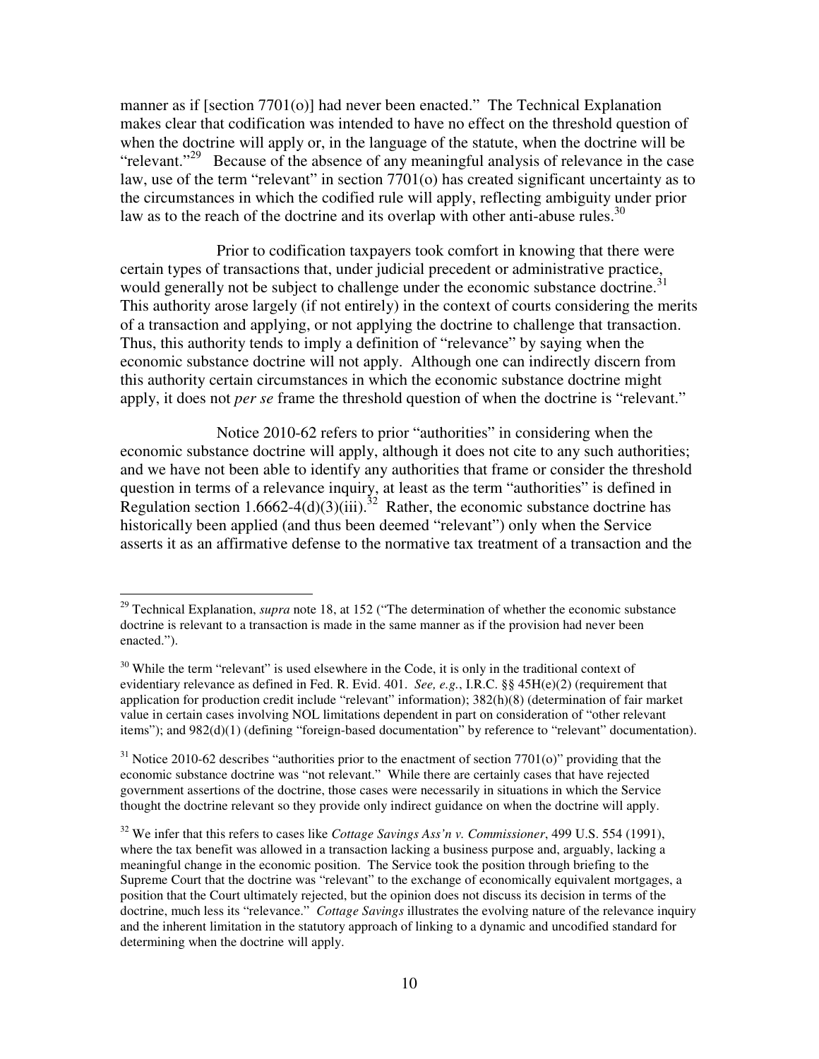manner as if [section 7701(o)] had never been enacted." The Technical Explanation makes clear that codification was intended to have no effect on the threshold question of when the doctrine will apply or, in the language of the statute, when the doctrine will be "relevant."<sup>29</sup> Because of the absence of any meaningful analysis of relevance in the case law, use of the term "relevant" in section 7701(o) has created significant uncertainty as to the circumstances in which the codified rule will apply, reflecting ambiguity under prior law as to the reach of the doctrine and its overlap with other anti-abuse rules.<sup>30</sup>

Prior to codification taxpayers took comfort in knowing that there were certain types of transactions that, under judicial precedent or administrative practice, would generally not be subject to challenge under the economic substance doctrine.<sup>31</sup> This authority arose largely (if not entirely) in the context of courts considering the merits of a transaction and applying, or not applying the doctrine to challenge that transaction. Thus, this authority tends to imply a definition of "relevance" by saying when the economic substance doctrine will not apply. Although one can indirectly discern from this authority certain circumstances in which the economic substance doctrine might apply, it does not *per se* frame the threshold question of when the doctrine is "relevant."

Notice 2010-62 refers to prior "authorities" in considering when the economic substance doctrine will apply, although it does not cite to any such authorities; and we have not been able to identify any authorities that frame or consider the threshold question in terms of a relevance inquiry, at least as the term "authorities" is defined in Regulation section 1.6662-4(d)(3)(iii).<sup>32</sup> Rather, the economic substance doctrine has historically been applied (and thus been deemed "relevant") only when the Service asserts it as an affirmative defense to the normative tax treatment of a transaction and the

<sup>&</sup>lt;sup>29</sup> Technical Explanation, *supra* note 18, at 152 ("The determination of whether the economic substance doctrine is relevant to a transaction is made in the same manner as if the provision had never been enacted.").

 $30$  While the term "relevant" is used elsewhere in the Code, it is only in the traditional context of evidentiary relevance as defined in Fed. R. Evid. 401. *See, e.g.*, I.R.C. §§ 45H(e)(2) (requirement that application for production credit include "relevant" information); 382(h)(8) (determination of fair market value in certain cases involving NOL limitations dependent in part on consideration of "other relevant items"); and 982(d)(1) (defining "foreign-based documentation" by reference to "relevant" documentation).

 $31$  Notice 2010-62 describes "authorities prior to the enactment of section 7701(o)" providing that the economic substance doctrine was "not relevant." While there are certainly cases that have rejected government assertions of the doctrine, those cases were necessarily in situations in which the Service thought the doctrine relevant so they provide only indirect guidance on when the doctrine will apply.

<sup>32</sup> We infer that this refers to cases like *Cottage Savings Ass'n v. Commissioner*, 499 U.S. 554 (1991), where the tax benefit was allowed in a transaction lacking a business purpose and, arguably, lacking a meaningful change in the economic position. The Service took the position through briefing to the Supreme Court that the doctrine was "relevant" to the exchange of economically equivalent mortgages, a position that the Court ultimately rejected, but the opinion does not discuss its decision in terms of the doctrine, much less its "relevance." *Cottage Savings* illustrates the evolving nature of the relevance inquiry and the inherent limitation in the statutory approach of linking to a dynamic and uncodified standard for determining when the doctrine will apply.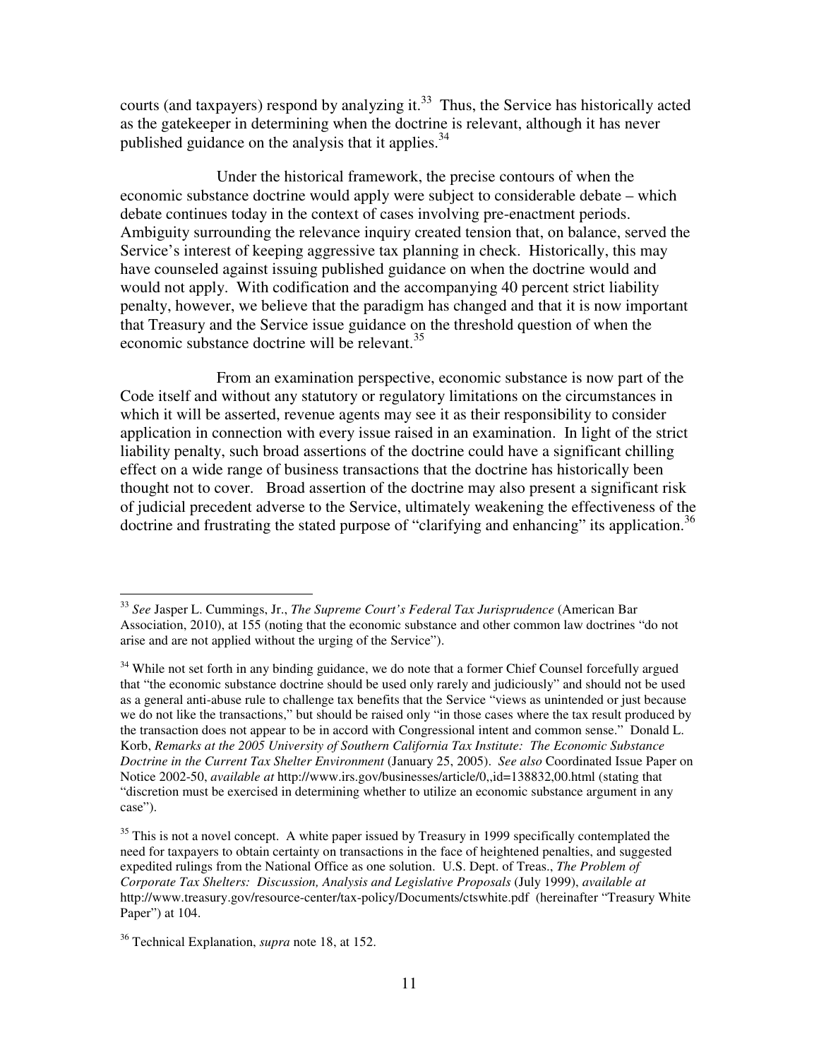courts (and taxpayers) respond by analyzing it.<sup>33</sup> Thus, the Service has historically acted as the gatekeeper in determining when the doctrine is relevant, although it has never published guidance on the analysis that it applies.  $34$ 

Under the historical framework, the precise contours of when the economic substance doctrine would apply were subject to considerable debate – which debate continues today in the context of cases involving pre-enactment periods. Ambiguity surrounding the relevance inquiry created tension that, on balance, served the Service's interest of keeping aggressive tax planning in check. Historically, this may have counseled against issuing published guidance on when the doctrine would and would not apply. With codification and the accompanying 40 percent strict liability penalty, however, we believe that the paradigm has changed and that it is now important that Treasury and the Service issue guidance on the threshold question of when the economic substance doctrine will be relevant.<sup>35</sup>

From an examination perspective, economic substance is now part of the Code itself and without any statutory or regulatory limitations on the circumstances in which it will be asserted, revenue agents may see it as their responsibility to consider application in connection with every issue raised in an examination. In light of the strict liability penalty, such broad assertions of the doctrine could have a significant chilling effect on a wide range of business transactions that the doctrine has historically been thought not to cover. Broad assertion of the doctrine may also present a significant risk of judicial precedent adverse to the Service, ultimately weakening the effectiveness of the doctrine and frustrating the stated purpose of "clarifying and enhancing" its application.<sup>36</sup>

<sup>33</sup> *See* Jasper L. Cummings, Jr., *The Supreme Court's Federal Tax Jurisprudence* (American Bar Association, 2010), at 155 (noting that the economic substance and other common law doctrines "do not arise and are not applied without the urging of the Service").

<sup>&</sup>lt;sup>34</sup> While not set forth in any binding guidance, we do note that a former Chief Counsel forcefully argued that "the economic substance doctrine should be used only rarely and judiciously" and should not be used as a general anti-abuse rule to challenge tax benefits that the Service "views as unintended or just because we do not like the transactions," but should be raised only "in those cases where the tax result produced by the transaction does not appear to be in accord with Congressional intent and common sense." Donald L. Korb, *Remarks at the 2005 University of Southern California Tax Institute: The Economic Substance Doctrine in the Current Tax Shelter Environment* (January 25, 2005). *See also* Coordinated Issue Paper on Notice 2002-50, *available at* http://www.irs.gov/businesses/article/0,,id=138832,00.html (stating that "discretion must be exercised in determining whether to utilize an economic substance argument in any case").

 $35$  This is not a novel concept. A white paper issued by Treasury in 1999 specifically contemplated the need for taxpayers to obtain certainty on transactions in the face of heightened penalties, and suggested expedited rulings from the National Office as one solution. U.S. Dept. of Treas., *The Problem of Corporate Tax Shelters: Discussion, Analysis and Legislative Proposals* (July 1999), *available at* http://www.treasury.gov/resource-center/tax-policy/Documents/ctswhite.pdf (hereinafter "Treasury White Paper") at 104.

<sup>36</sup> Technical Explanation, *supra* note 18, at 152.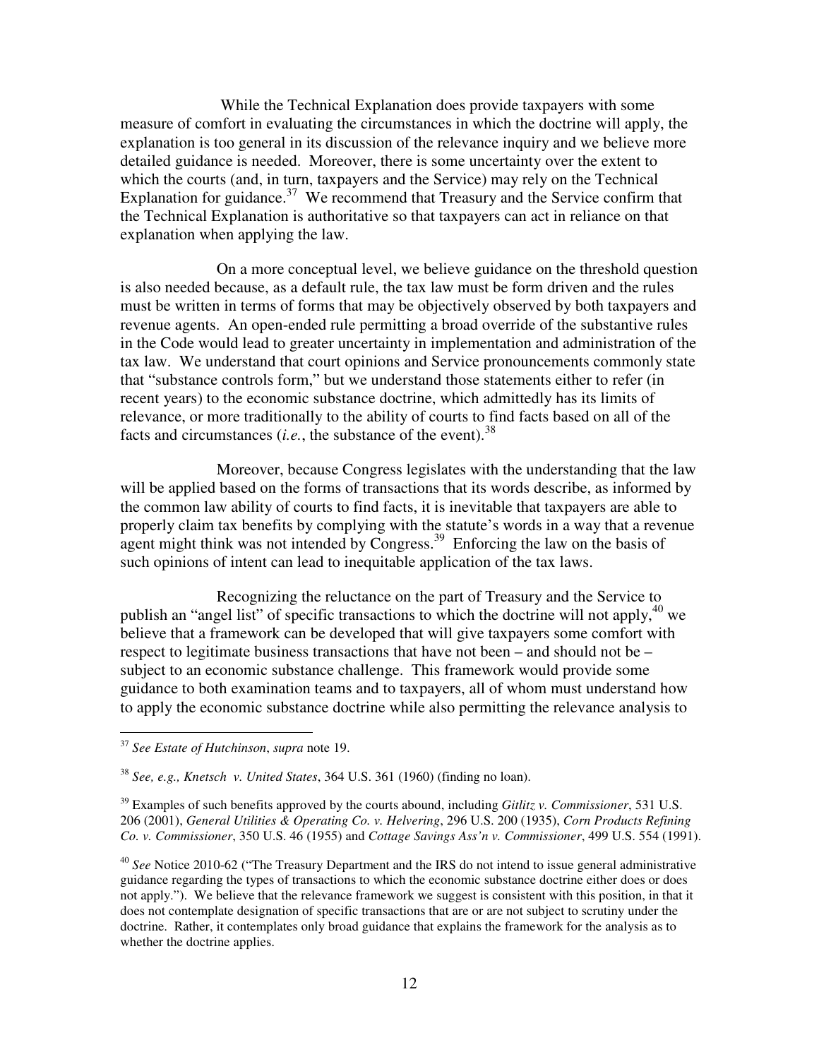While the Technical Explanation does provide taxpayers with some measure of comfort in evaluating the circumstances in which the doctrine will apply, the explanation is too general in its discussion of the relevance inquiry and we believe more detailed guidance is needed. Moreover, there is some uncertainty over the extent to which the courts (and, in turn, taxpayers and the Service) may rely on the Technical Explanation for guidance.<sup>37</sup> We recommend that Treasury and the Service confirm that the Technical Explanation is authoritative so that taxpayers can act in reliance on that explanation when applying the law.

On a more conceptual level, we believe guidance on the threshold question is also needed because, as a default rule, the tax law must be form driven and the rules must be written in terms of forms that may be objectively observed by both taxpayers and revenue agents. An open-ended rule permitting a broad override of the substantive rules in the Code would lead to greater uncertainty in implementation and administration of the tax law. We understand that court opinions and Service pronouncements commonly state that "substance controls form," but we understand those statements either to refer (in recent years) to the economic substance doctrine, which admittedly has its limits of relevance, or more traditionally to the ability of courts to find facts based on all of the facts and circumstances (*i.e.*, the substance of the event).<sup>38</sup>

Moreover, because Congress legislates with the understanding that the law will be applied based on the forms of transactions that its words describe, as informed by the common law ability of courts to find facts, it is inevitable that taxpayers are able to properly claim tax benefits by complying with the statute's words in a way that a revenue agent might think was not intended by Congress.<sup>39</sup> Enforcing the law on the basis of such opinions of intent can lead to inequitable application of the tax laws.

Recognizing the reluctance on the part of Treasury and the Service to publish an "angel list" of specific transactions to which the doctrine will not apply,  $40$  we believe that a framework can be developed that will give taxpayers some comfort with respect to legitimate business transactions that have not been – and should not be – subject to an economic substance challenge. This framework would provide some guidance to both examination teams and to taxpayers, all of whom must understand how to apply the economic substance doctrine while also permitting the relevance analysis to

 $\overline{a}$ 

<sup>39</sup> Examples of such benefits approved by the courts abound, including *Gitlitz v. Commissioner*, 531 U.S. 206 (2001), *General Utilities & Operating Co. v. Helvering*, 296 U.S. 200 (1935), *Corn Products Refining Co. v. Commissioner*, 350 U.S. 46 (1955) and *Cottage Savings Ass'n v. Commissioner*, 499 U.S. 554 (1991).

<sup>37</sup> *See Estate of Hutchinson*, *supra* note 19.

<sup>38</sup> *See, e.g., Knetsch v. United States*, 364 U.S. 361 (1960) (finding no loan).

<sup>40</sup> *See* Notice 2010-62 ("The Treasury Department and the IRS do not intend to issue general administrative guidance regarding the types of transactions to which the economic substance doctrine either does or does not apply."). We believe that the relevance framework we suggest is consistent with this position, in that it does not contemplate designation of specific transactions that are or are not subject to scrutiny under the doctrine. Rather, it contemplates only broad guidance that explains the framework for the analysis as to whether the doctrine applies.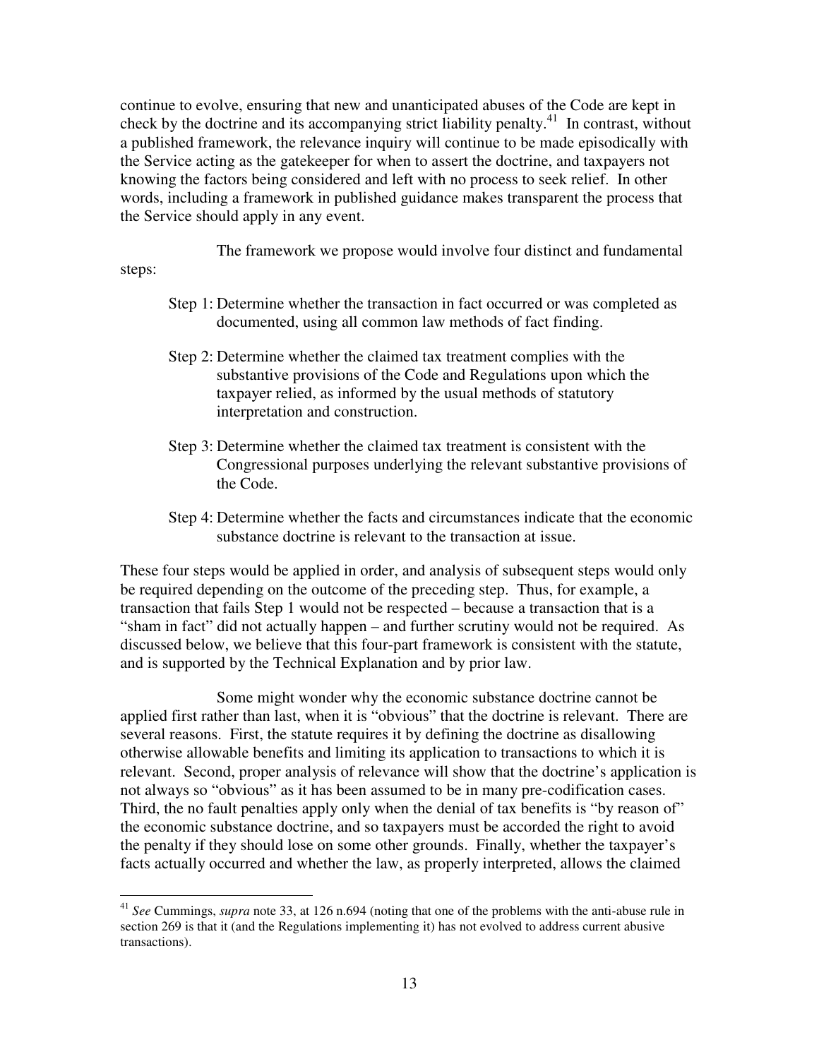continue to evolve, ensuring that new and unanticipated abuses of the Code are kept in check by the doctrine and its accompanying strict liability penalty.<sup>41</sup> In contrast, without a published framework, the relevance inquiry will continue to be made episodically with the Service acting as the gatekeeper for when to assert the doctrine, and taxpayers not knowing the factors being considered and left with no process to seek relief. In other words, including a framework in published guidance makes transparent the process that the Service should apply in any event.

The framework we propose would involve four distinct and fundamental

steps:

 $\overline{a}$ 

- Step 1: Determine whether the transaction in fact occurred or was completed as documented, using all common law methods of fact finding.
- Step 2: Determine whether the claimed tax treatment complies with the substantive provisions of the Code and Regulations upon which the taxpayer relied, as informed by the usual methods of statutory interpretation and construction.
- Step 3: Determine whether the claimed tax treatment is consistent with the Congressional purposes underlying the relevant substantive provisions of the Code.
- Step 4: Determine whether the facts and circumstances indicate that the economic substance doctrine is relevant to the transaction at issue.

These four steps would be applied in order, and analysis of subsequent steps would only be required depending on the outcome of the preceding step. Thus, for example, a transaction that fails Step 1 would not be respected – because a transaction that is a "sham in fact" did not actually happen – and further scrutiny would not be required. As discussed below, we believe that this four-part framework is consistent with the statute, and is supported by the Technical Explanation and by prior law.

Some might wonder why the economic substance doctrine cannot be applied first rather than last, when it is "obvious" that the doctrine is relevant. There are several reasons. First, the statute requires it by defining the doctrine as disallowing otherwise allowable benefits and limiting its application to transactions to which it is relevant. Second, proper analysis of relevance will show that the doctrine's application is not always so "obvious" as it has been assumed to be in many pre-codification cases. Third, the no fault penalties apply only when the denial of tax benefits is "by reason of" the economic substance doctrine, and so taxpayers must be accorded the right to avoid the penalty if they should lose on some other grounds. Finally, whether the taxpayer's facts actually occurred and whether the law, as properly interpreted, allows the claimed

<sup>41</sup> *See* Cummings, *supra* note 33, at 126 n.694 (noting that one of the problems with the anti-abuse rule in section 269 is that it (and the Regulations implementing it) has not evolved to address current abusive transactions).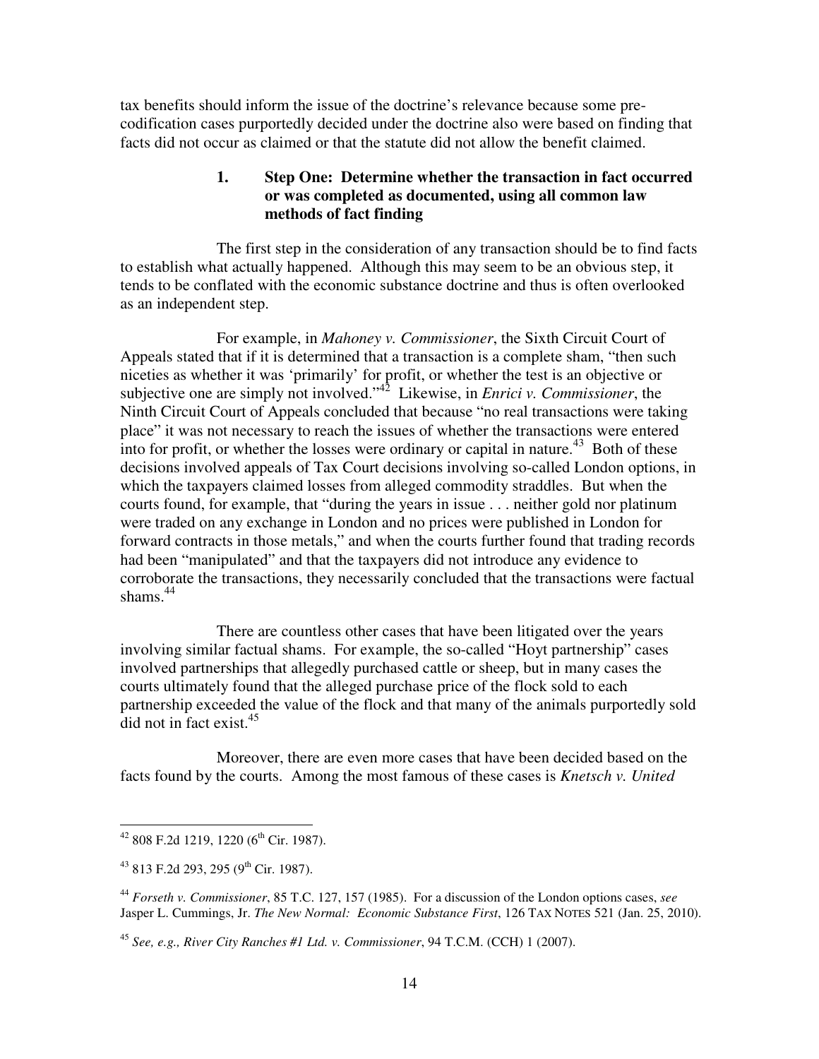tax benefits should inform the issue of the doctrine's relevance because some precodification cases purportedly decided under the doctrine also were based on finding that facts did not occur as claimed or that the statute did not allow the benefit claimed.

# **1. Step One: Determine whether the transaction in fact occurred or was completed as documented, using all common law methods of fact finding**

The first step in the consideration of any transaction should be to find facts to establish what actually happened. Although this may seem to be an obvious step, it tends to be conflated with the economic substance doctrine and thus is often overlooked as an independent step.

For example, in *Mahoney v. Commissioner*, the Sixth Circuit Court of Appeals stated that if it is determined that a transaction is a complete sham, "then such niceties as whether it was 'primarily' for profit, or whether the test is an objective or subjective one are simply not involved."<sup>42</sup> Likewise, in *Enrici v. Commissioner*, the Ninth Circuit Court of Appeals concluded that because "no real transactions were taking place" it was not necessary to reach the issues of whether the transactions were entered into for profit, or whether the losses were ordinary or capital in nature.<sup>43</sup> Both of these decisions involved appeals of Tax Court decisions involving so-called London options, in which the taxpayers claimed losses from alleged commodity straddles. But when the courts found, for example, that "during the years in issue . . . neither gold nor platinum were traded on any exchange in London and no prices were published in London for forward contracts in those metals," and when the courts further found that trading records had been "manipulated" and that the taxpayers did not introduce any evidence to corroborate the transactions, they necessarily concluded that the transactions were factual shams. $44$ 

There are countless other cases that have been litigated over the years involving similar factual shams. For example, the so-called "Hoyt partnership" cases involved partnerships that allegedly purchased cattle or sheep, but in many cases the courts ultimately found that the alleged purchase price of the flock sold to each partnership exceeded the value of the flock and that many of the animals purportedly sold  $\overline{d}$ id not in fact exist.<sup>45</sup>

Moreover, there are even more cases that have been decided based on the facts found by the courts. Among the most famous of these cases is *Knetsch v. United* 

 $42$  808 F.2d 1219, 1220 (6<sup>th</sup> Cir. 1987).

<sup>&</sup>lt;sup>43</sup> 813 F.2d 293, 295 (9<sup>th</sup> Cir. 1987).

<sup>44</sup> *Forseth v. Commissioner*, 85 T.C. 127, 157 (1985). For a discussion of the London options cases, *see*  Jasper L. Cummings, Jr. *The New Normal: Economic Substance First*, 126 TAX NOTES 521 (Jan. 25, 2010).

<sup>45</sup> *See, e.g., River City Ranches #1 Ltd. v. Commissioner*, 94 T.C.M. (CCH) 1 (2007).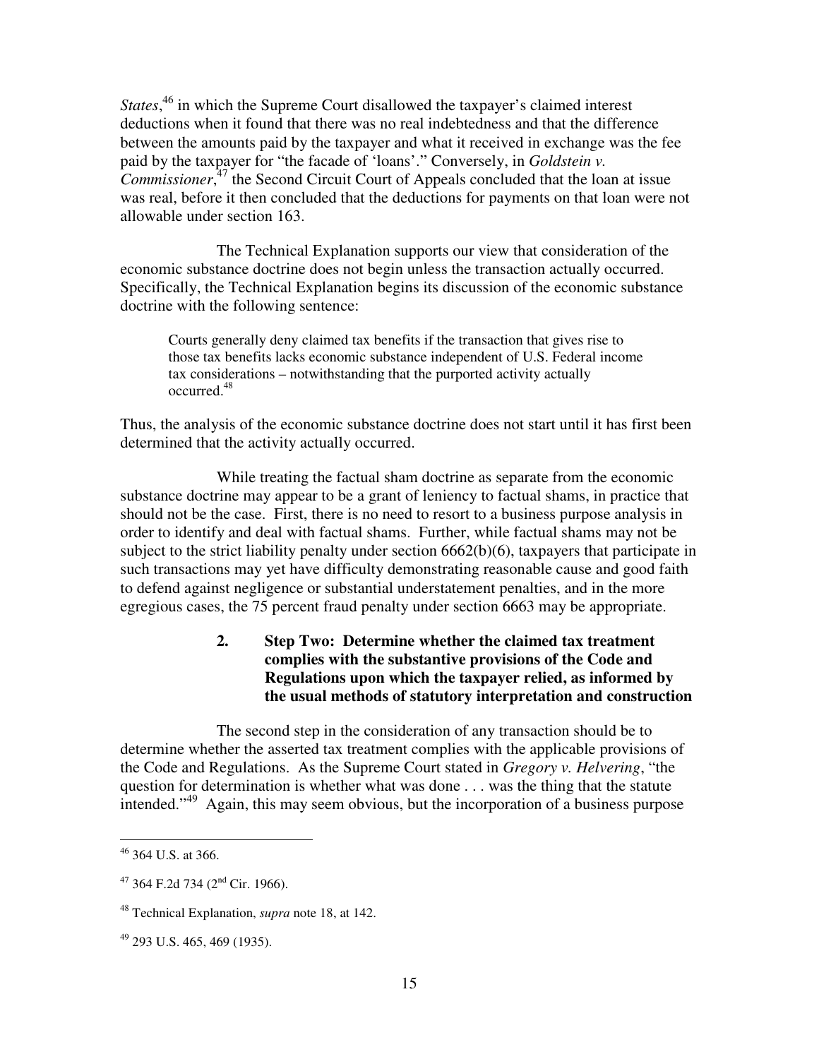*States*, <sup>46</sup> in which the Supreme Court disallowed the taxpayer's claimed interest deductions when it found that there was no real indebtedness and that the difference between the amounts paid by the taxpayer and what it received in exchange was the fee paid by the taxpayer for "the facade of 'loans'." Conversely, in *Goldstein v. Commissioner*, <sup>47</sup> the Second Circuit Court of Appeals concluded that the loan at issue was real, before it then concluded that the deductions for payments on that loan were not allowable under section 163.

The Technical Explanation supports our view that consideration of the economic substance doctrine does not begin unless the transaction actually occurred. Specifically, the Technical Explanation begins its discussion of the economic substance doctrine with the following sentence:

Courts generally deny claimed tax benefits if the transaction that gives rise to those tax benefits lacks economic substance independent of U.S. Federal income tax considerations – notwithstanding that the purported activity actually occurred.<sup>48</sup>

Thus, the analysis of the economic substance doctrine does not start until it has first been determined that the activity actually occurred.

 While treating the factual sham doctrine as separate from the economic substance doctrine may appear to be a grant of leniency to factual shams, in practice that should not be the case. First, there is no need to resort to a business purpose analysis in order to identify and deal with factual shams. Further, while factual shams may not be subject to the strict liability penalty under section 6662(b)(6), taxpayers that participate in such transactions may yet have difficulty demonstrating reasonable cause and good faith to defend against negligence or substantial understatement penalties, and in the more egregious cases, the 75 percent fraud penalty under section 6663 may be appropriate.

# **2. Step Two: Determine whether the claimed tax treatment complies with the substantive provisions of the Code and Regulations upon which the taxpayer relied, as informed by the usual methods of statutory interpretation and construction**

The second step in the consideration of any transaction should be to determine whether the asserted tax treatment complies with the applicable provisions of the Code and Regulations. As the Supreme Court stated in *Gregory v. Helvering*, "the question for determination is whether what was done . . . was the thing that the statute intended."<sup>49</sup> Again, this may seem obvious, but the incorporation of a business purpose

 $46$  364 U.S. at 366.

 $47$  364 F.2d 734 ( $2<sup>nd</sup>$  Cir. 1966).

<sup>48</sup> Technical Explanation, *supra* note 18, at 142.

<sup>49</sup> 293 U.S. 465, 469 (1935).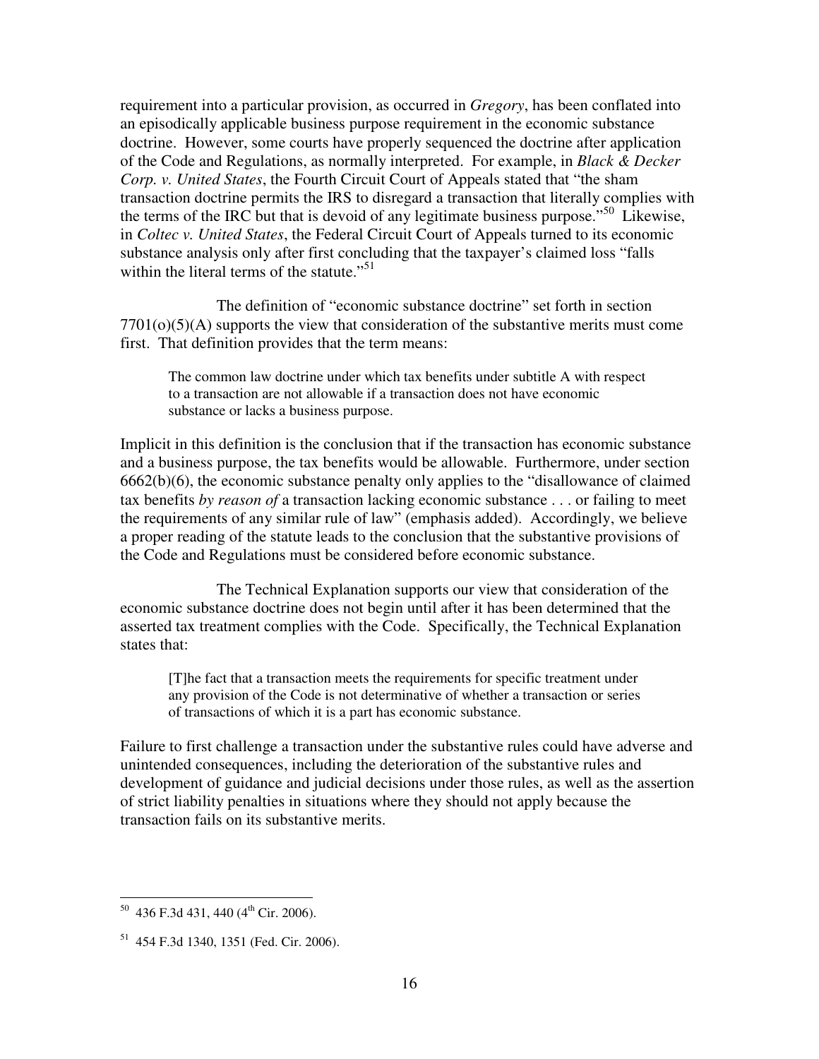requirement into a particular provision, as occurred in *Gregory*, has been conflated into an episodically applicable business purpose requirement in the economic substance doctrine. However, some courts have properly sequenced the doctrine after application of the Code and Regulations, as normally interpreted. For example, in *Black & Decker Corp. v. United States*, the Fourth Circuit Court of Appeals stated that "the sham transaction doctrine permits the IRS to disregard a transaction that literally complies with the terms of the IRC but that is devoid of any legitimate business purpose."<sup>50</sup> Likewise, in *Coltec v. United States*, the Federal Circuit Court of Appeals turned to its economic substance analysis only after first concluding that the taxpayer's claimed loss "falls within the literal terms of the statute."<sup>51</sup>

The definition of "economic substance doctrine" set forth in section  $7701<sub>(o)</sub>(5)$  supports the view that consideration of the substantive merits must come first. That definition provides that the term means:

The common law doctrine under which tax benefits under subtitle A with respect to a transaction are not allowable if a transaction does not have economic substance or lacks a business purpose.

Implicit in this definition is the conclusion that if the transaction has economic substance and a business purpose, the tax benefits would be allowable. Furthermore, under section 6662(b)(6), the economic substance penalty only applies to the "disallowance of claimed tax benefits *by reason of* a transaction lacking economic substance . . . or failing to meet the requirements of any similar rule of law" (emphasis added). Accordingly, we believe a proper reading of the statute leads to the conclusion that the substantive provisions of the Code and Regulations must be considered before economic substance.

The Technical Explanation supports our view that consideration of the economic substance doctrine does not begin until after it has been determined that the asserted tax treatment complies with the Code. Specifically, the Technical Explanation states that:

[T]he fact that a transaction meets the requirements for specific treatment under any provision of the Code is not determinative of whether a transaction or series of transactions of which it is a part has economic substance.

Failure to first challenge a transaction under the substantive rules could have adverse and unintended consequences, including the deterioration of the substantive rules and development of guidance and judicial decisions under those rules, as well as the assertion of strict liability penalties in situations where they should not apply because the transaction fails on its substantive merits.

 $50$  436 F.3d 431, 440 (4<sup>th</sup> Cir. 2006).

<sup>51</sup> 454 F.3d 1340, 1351 (Fed. Cir. 2006).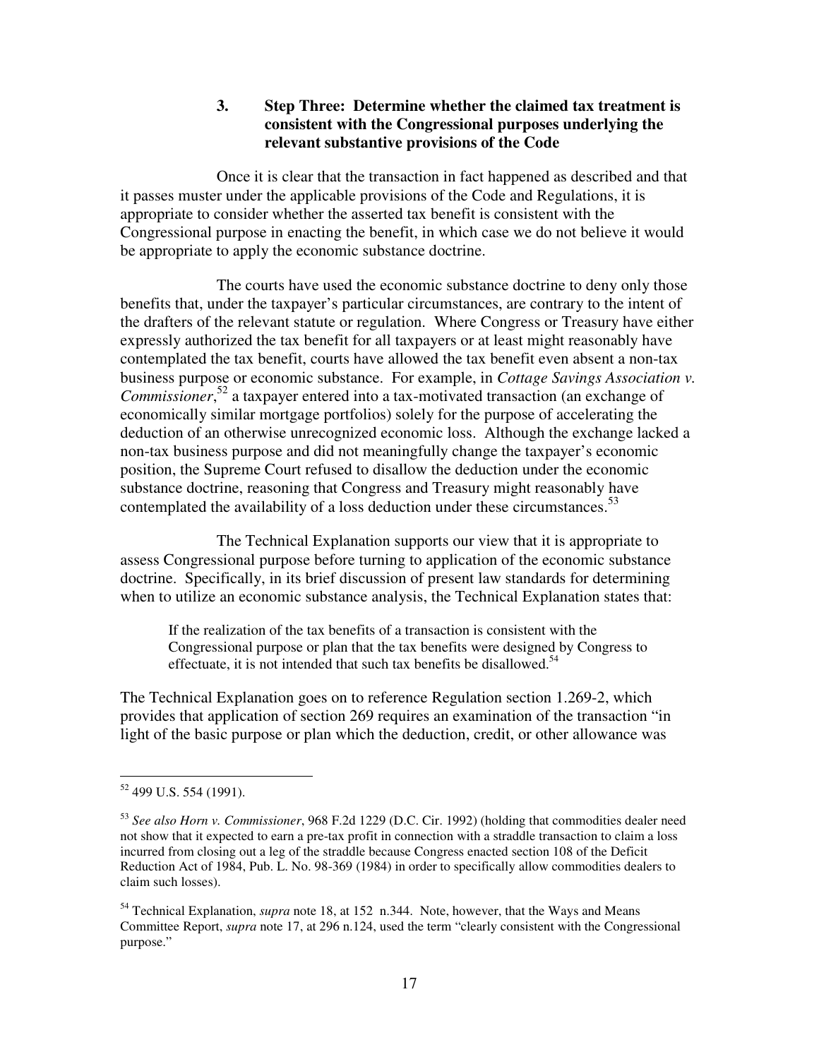# **3. Step Three: Determine whether the claimed tax treatment is consistent with the Congressional purposes underlying the relevant substantive provisions of the Code**

 Once it is clear that the transaction in fact happened as described and that it passes muster under the applicable provisions of the Code and Regulations, it is appropriate to consider whether the asserted tax benefit is consistent with the Congressional purpose in enacting the benefit, in which case we do not believe it would be appropriate to apply the economic substance doctrine.

 The courts have used the economic substance doctrine to deny only those benefits that, under the taxpayer's particular circumstances, are contrary to the intent of the drafters of the relevant statute or regulation. Where Congress or Treasury have either expressly authorized the tax benefit for all taxpayers or at least might reasonably have contemplated the tax benefit, courts have allowed the tax benefit even absent a non-tax business purpose or economic substance. For example, in *Cottage Savings Association v. Commissioner*, <sup>52</sup> a taxpayer entered into a tax-motivated transaction (an exchange of economically similar mortgage portfolios) solely for the purpose of accelerating the deduction of an otherwise unrecognized economic loss. Although the exchange lacked a non-tax business purpose and did not meaningfully change the taxpayer's economic position, the Supreme Court refused to disallow the deduction under the economic substance doctrine, reasoning that Congress and Treasury might reasonably have contemplated the availability of a loss deduction under these circumstances.<sup>53</sup>

 The Technical Explanation supports our view that it is appropriate to assess Congressional purpose before turning to application of the economic substance doctrine. Specifically, in its brief discussion of present law standards for determining when to utilize an economic substance analysis, the Technical Explanation states that:

If the realization of the tax benefits of a transaction is consistent with the Congressional purpose or plan that the tax benefits were designed by Congress to effectuate, it is not intended that such tax benefits be disallowed.<sup>54</sup>

The Technical Explanation goes on to reference Regulation section 1.269-2, which provides that application of section 269 requires an examination of the transaction "in light of the basic purpose or plan which the deduction, credit, or other allowance was

<sup>&</sup>lt;sup>52</sup> 499 U.S. 554 (1991).

<sup>53</sup> *See also Horn v. Commissioner*, 968 F.2d 1229 (D.C. Cir. 1992) (holding that commodities dealer need not show that it expected to earn a pre-tax profit in connection with a straddle transaction to claim a loss incurred from closing out a leg of the straddle because Congress enacted section 108 of the Deficit Reduction Act of 1984, Pub. L. No. 98-369 (1984) in order to specifically allow commodities dealers to claim such losses).

<sup>54</sup> Technical Explanation, *supra* note 18, at 152 n.344. Note, however, that the Ways and Means Committee Report, *supra* note 17, at 296 n.124, used the term "clearly consistent with the Congressional purpose."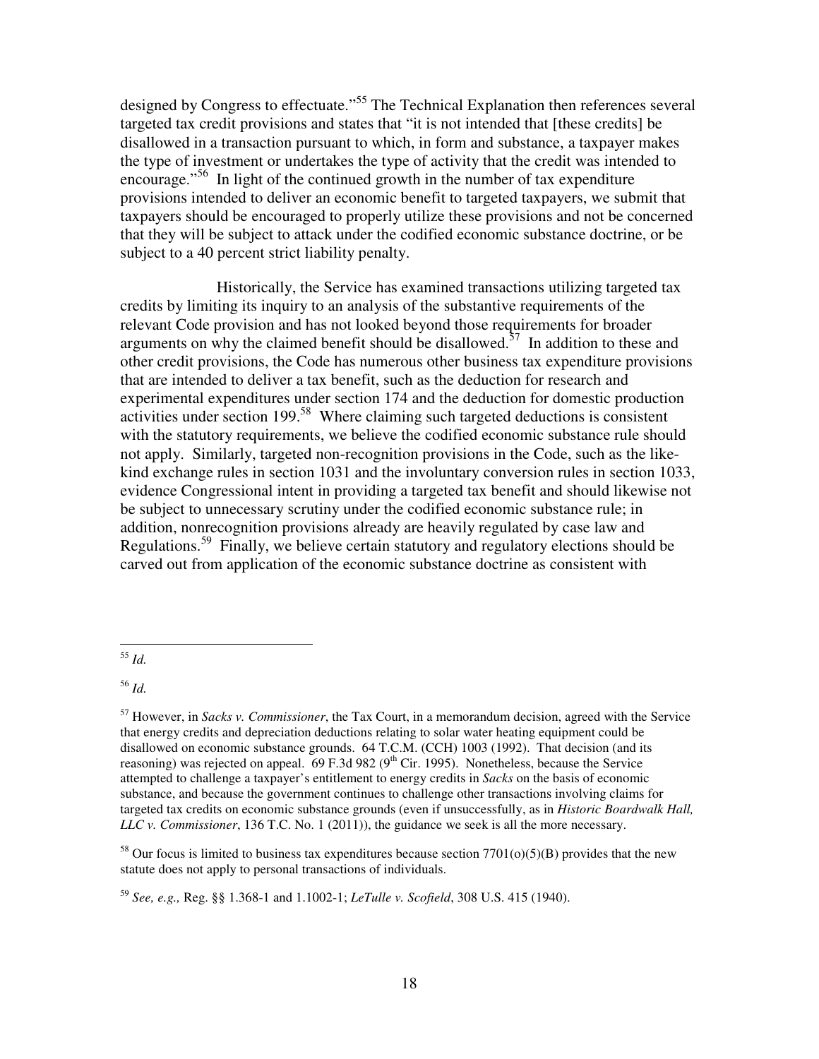designed by Congress to effectuate."<sup>55</sup> The Technical Explanation then references several targeted tax credit provisions and states that "it is not intended that [these credits] be disallowed in a transaction pursuant to which, in form and substance, a taxpayer makes the type of investment or undertakes the type of activity that the credit was intended to encourage."<sup>56</sup> In light of the continued growth in the number of tax expenditure provisions intended to deliver an economic benefit to targeted taxpayers, we submit that taxpayers should be encouraged to properly utilize these provisions and not be concerned that they will be subject to attack under the codified economic substance doctrine, or be subject to a 40 percent strict liability penalty.

 Historically, the Service has examined transactions utilizing targeted tax credits by limiting its inquiry to an analysis of the substantive requirements of the relevant Code provision and has not looked beyond those requirements for broader arguments on why the claimed benefit should be disallowed.<sup>57</sup> In addition to these and other credit provisions, the Code has numerous other business tax expenditure provisions that are intended to deliver a tax benefit, such as the deduction for research and experimental expenditures under section 174 and the deduction for domestic production activities under section 199.<sup>58</sup> Where claiming such targeted deductions is consistent with the statutory requirements, we believe the codified economic substance rule should not apply. Similarly, targeted non-recognition provisions in the Code, such as the likekind exchange rules in section 1031 and the involuntary conversion rules in section 1033, evidence Congressional intent in providing a targeted tax benefit and should likewise not be subject to unnecessary scrutiny under the codified economic substance rule; in addition, nonrecognition provisions already are heavily regulated by case law and Regulations.<sup>59</sup> Finally, we believe certain statutory and regulatory elections should be carved out from application of the economic substance doctrine as consistent with

<sup>56</sup> *Id.* 

<sup>58</sup> Our focus is limited to business tax expenditures because section  $7701(o)(5)(B)$  provides that the new statute does not apply to personal transactions of individuals.

<sup>59</sup> *See, e.g.,* Reg. §§ 1.368-1 and 1.1002-1; *LeTulle v. Scofield*, 308 U.S. 415 (1940).

 $\overline{a}$ <sup>55</sup> *Id.* 

<sup>57</sup> However, in *Sacks v. Commissioner*, the Tax Court, in a memorandum decision, agreed with the Service that energy credits and depreciation deductions relating to solar water heating equipment could be disallowed on economic substance grounds. 64 T.C.M. (CCH) 1003 (1992). That decision (and its reasoning) was rejected on appeal.  $69$  F.3d 982 ( $9<sup>th</sup>$  Cir. 1995). Nonetheless, because the Service attempted to challenge a taxpayer's entitlement to energy credits in *Sacks* on the basis of economic substance, and because the government continues to challenge other transactions involving claims for targeted tax credits on economic substance grounds (even if unsuccessfully, as in *Historic Boardwalk Hall, LLC v. Commissioner*, 136 T.C. No. 1 (2011)), the guidance we seek is all the more necessary.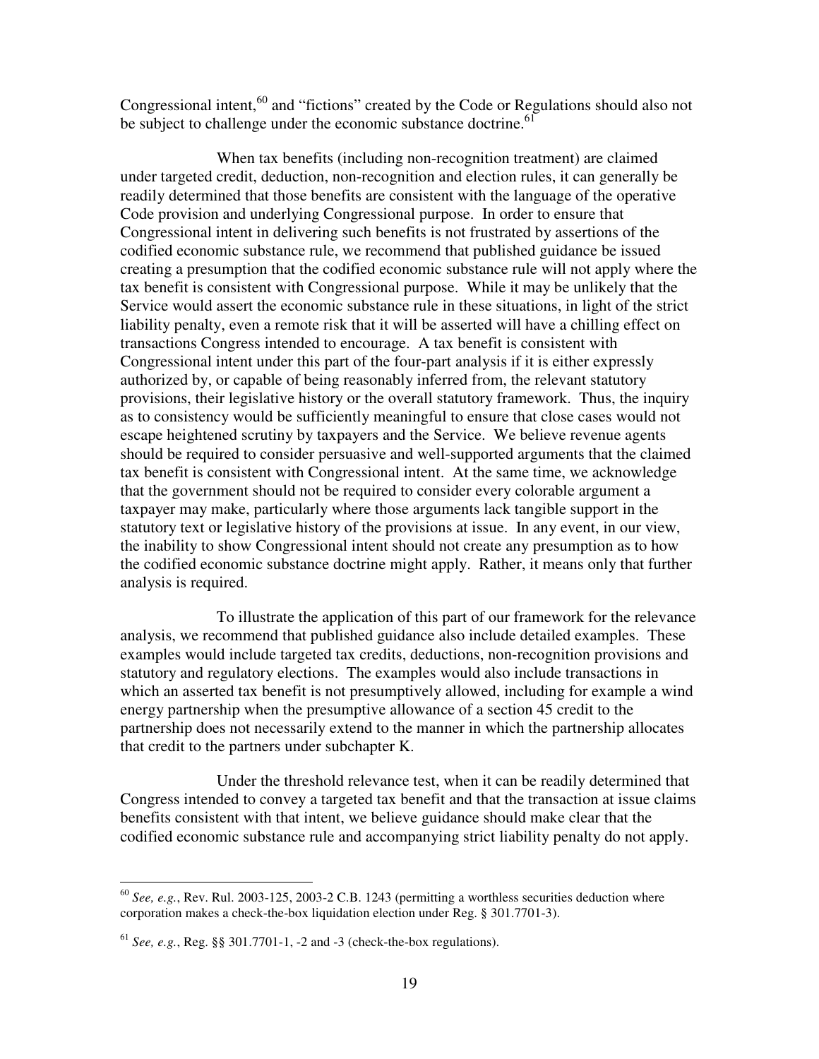Congressional intent,  $60$  and "fictions" created by the Code or Regulations should also not be subject to challenge under the economic substance doctrine.<sup>61</sup>

 When tax benefits (including non-recognition treatment) are claimed under targeted credit, deduction, non-recognition and election rules, it can generally be readily determined that those benefits are consistent with the language of the operative Code provision and underlying Congressional purpose. In order to ensure that Congressional intent in delivering such benefits is not frustrated by assertions of the codified economic substance rule, we recommend that published guidance be issued creating a presumption that the codified economic substance rule will not apply where the tax benefit is consistent with Congressional purpose. While it may be unlikely that the Service would assert the economic substance rule in these situations, in light of the strict liability penalty, even a remote risk that it will be asserted will have a chilling effect on transactions Congress intended to encourage. A tax benefit is consistent with Congressional intent under this part of the four-part analysis if it is either expressly authorized by, or capable of being reasonably inferred from, the relevant statutory provisions, their legislative history or the overall statutory framework. Thus, the inquiry as to consistency would be sufficiently meaningful to ensure that close cases would not escape heightened scrutiny by taxpayers and the Service. We believe revenue agents should be required to consider persuasive and well-supported arguments that the claimed tax benefit is consistent with Congressional intent. At the same time, we acknowledge that the government should not be required to consider every colorable argument a taxpayer may make, particularly where those arguments lack tangible support in the statutory text or legislative history of the provisions at issue. In any event, in our view, the inability to show Congressional intent should not create any presumption as to how the codified economic substance doctrine might apply. Rather, it means only that further analysis is required.

 To illustrate the application of this part of our framework for the relevance analysis, we recommend that published guidance also include detailed examples. These examples would include targeted tax credits, deductions, non-recognition provisions and statutory and regulatory elections. The examples would also include transactions in which an asserted tax benefit is not presumptively allowed, including for example a wind energy partnership when the presumptive allowance of a section 45 credit to the partnership does not necessarily extend to the manner in which the partnership allocates that credit to the partners under subchapter K.

 Under the threshold relevance test, when it can be readily determined that Congress intended to convey a targeted tax benefit and that the transaction at issue claims benefits consistent with that intent, we believe guidance should make clear that the codified economic substance rule and accompanying strict liability penalty do not apply.

<sup>60</sup> *See, e.g.*, Rev. Rul. 2003-125, 2003-2 C.B. 1243 (permitting a worthless securities deduction where corporation makes a check-the-box liquidation election under Reg. § 301.7701-3).

 $^{61}$  *See, e.g.*, Reg. §§ 301.7701-1, -2 and -3 (check-the-box regulations).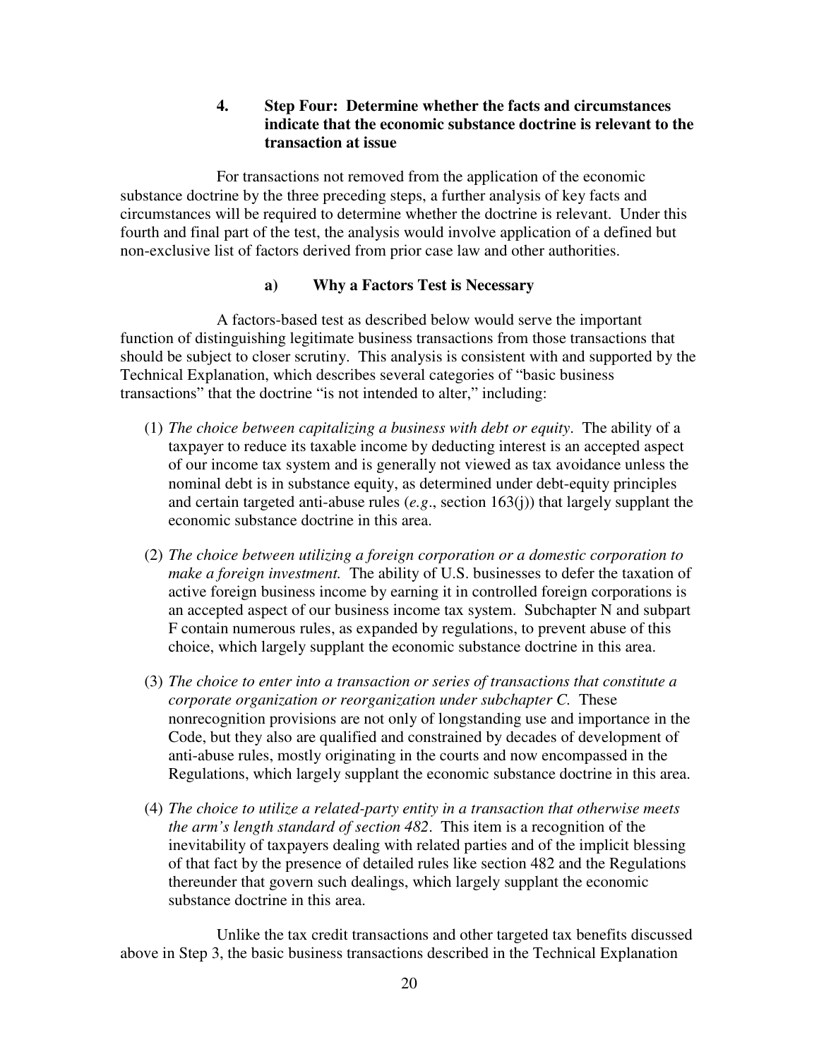# **4. Step Four: Determine whether the facts and circumstances indicate that the economic substance doctrine is relevant to the transaction at issue**

 For transactions not removed from the application of the economic substance doctrine by the three preceding steps, a further analysis of key facts and circumstances will be required to determine whether the doctrine is relevant. Under this fourth and final part of the test, the analysis would involve application of a defined but non-exclusive list of factors derived from prior case law and other authorities.

## **a) Why a Factors Test is Necessary**

 A factors-based test as described below would serve the important function of distinguishing legitimate business transactions from those transactions that should be subject to closer scrutiny. This analysis is consistent with and supported by the Technical Explanation, which describes several categories of "basic business transactions" that the doctrine "is not intended to alter," including:

- (1) *The choice between capitalizing a business with debt or equity*. The ability of a taxpayer to reduce its taxable income by deducting interest is an accepted aspect of our income tax system and is generally not viewed as tax avoidance unless the nominal debt is in substance equity, as determined under debt-equity principles and certain targeted anti-abuse rules (*e.g*., section 163(j)) that largely supplant the economic substance doctrine in this area.
- (2) *The choice between utilizing a foreign corporation or a domestic corporation to make a foreign investment.* The ability of U.S. businesses to defer the taxation of active foreign business income by earning it in controlled foreign corporations is an accepted aspect of our business income tax system. Subchapter N and subpart F contain numerous rules, as expanded by regulations, to prevent abuse of this choice, which largely supplant the economic substance doctrine in this area.
- (3) *The choice to enter into a transaction or series of transactions that constitute a corporate organization or reorganization under subchapter C.* These nonrecognition provisions are not only of longstanding use and importance in the Code, but they also are qualified and constrained by decades of development of anti-abuse rules, mostly originating in the courts and now encompassed in the Regulations, which largely supplant the economic substance doctrine in this area.
- (4) *The choice to utilize a related-party entity in a transaction that otherwise meets the arm's length standard of section 482*. This item is a recognition of the inevitability of taxpayers dealing with related parties and of the implicit blessing of that fact by the presence of detailed rules like section 482 and the Regulations thereunder that govern such dealings, which largely supplant the economic substance doctrine in this area.

 Unlike the tax credit transactions and other targeted tax benefits discussed above in Step 3, the basic business transactions described in the Technical Explanation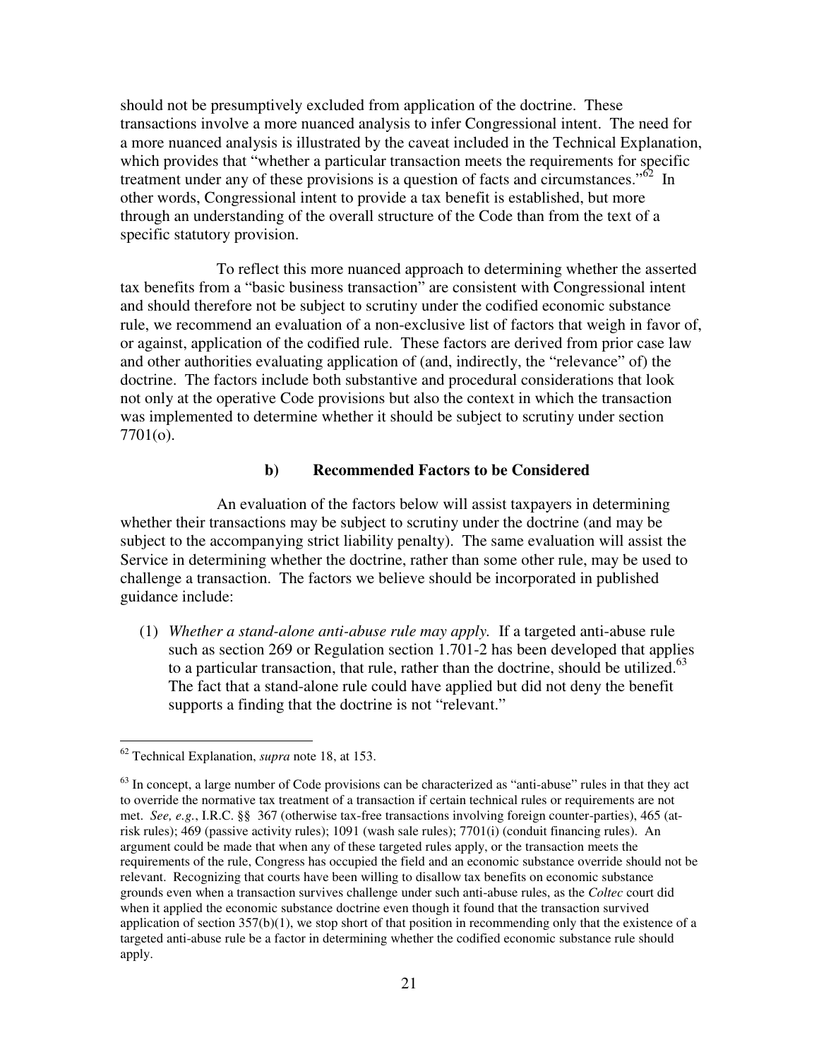should not be presumptively excluded from application of the doctrine. These transactions involve a more nuanced analysis to infer Congressional intent. The need for a more nuanced analysis is illustrated by the caveat included in the Technical Explanation, which provides that "whether a particular transaction meets the requirements for specific treatment under any of these provisions is a question of facts and circumstances.<sup> $52$ </sup> In other words, Congressional intent to provide a tax benefit is established, but more through an understanding of the overall structure of the Code than from the text of a specific statutory provision.

 To reflect this more nuanced approach to determining whether the asserted tax benefits from a "basic business transaction" are consistent with Congressional intent and should therefore not be subject to scrutiny under the codified economic substance rule, we recommend an evaluation of a non-exclusive list of factors that weigh in favor of, or against, application of the codified rule. These factors are derived from prior case law and other authorities evaluating application of (and, indirectly, the "relevance" of) the doctrine. The factors include both substantive and procedural considerations that look not only at the operative Code provisions but also the context in which the transaction was implemented to determine whether it should be subject to scrutiny under section 7701(o).

## **b) Recommended Factors to be Considered**

 An evaluation of the factors below will assist taxpayers in determining whether their transactions may be subject to scrutiny under the doctrine (and may be subject to the accompanying strict liability penalty). The same evaluation will assist the Service in determining whether the doctrine, rather than some other rule, may be used to challenge a transaction. The factors we believe should be incorporated in published guidance include:

(1) *Whether a stand-alone anti-abuse rule may apply.* If a targeted anti-abuse rule such as section 269 or Regulation section 1.701-2 has been developed that applies to a particular transaction, that rule, rather than the doctrine, should be utilized.<sup>63</sup> The fact that a stand-alone rule could have applied but did not deny the benefit supports a finding that the doctrine is not "relevant."

<sup>62</sup> Technical Explanation, *supra* note 18, at 153.

 $63$  In concept, a large number of Code provisions can be characterized as "anti-abuse" rules in that they act to override the normative tax treatment of a transaction if certain technical rules or requirements are not met. *See, e.g.*, I.R.C. §§ 367 (otherwise tax-free transactions involving foreign counter-parties), 465 (atrisk rules); 469 (passive activity rules); 1091 (wash sale rules); 7701(i) (conduit financing rules). An argument could be made that when any of these targeted rules apply, or the transaction meets the requirements of the rule, Congress has occupied the field and an economic substance override should not be relevant. Recognizing that courts have been willing to disallow tax benefits on economic substance grounds even when a transaction survives challenge under such anti-abuse rules, as the *Coltec* court did when it applied the economic substance doctrine even though it found that the transaction survived application of section  $357(b)(1)$ , we stop short of that position in recommending only that the existence of a targeted anti-abuse rule be a factor in determining whether the codified economic substance rule should apply.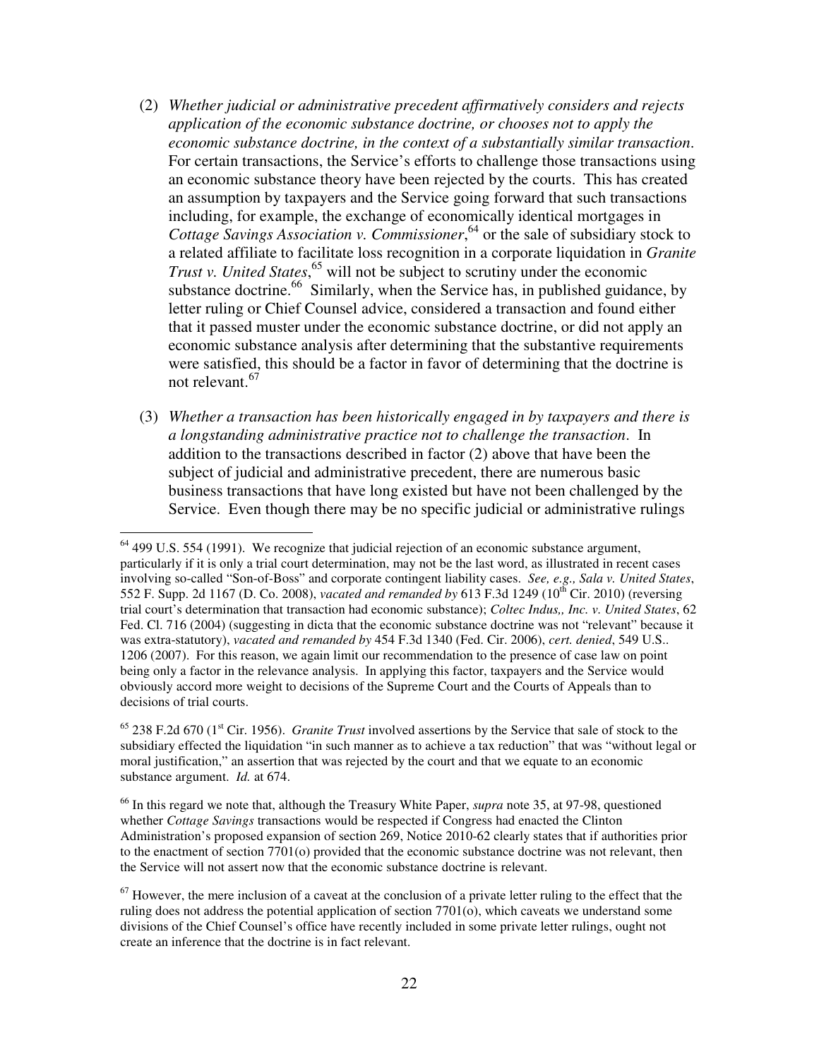- (2) *Whether judicial or administrative precedent affirmatively considers and rejects application of the economic substance doctrine, or chooses not to apply the economic substance doctrine, in the context of a substantially similar transaction*. For certain transactions, the Service's efforts to challenge those transactions using an economic substance theory have been rejected by the courts. This has created an assumption by taxpayers and the Service going forward that such transactions including, for example, the exchange of economically identical mortgages in *Cottage Savings Association v. Commissioner*, <sup>64</sup> or the sale of subsidiary stock to a related affiliate to facilitate loss recognition in a corporate liquidation in *Granite Trust v. United States*, <sup>65</sup> will not be subject to scrutiny under the economic substance doctrine.<sup>66</sup> Similarly, when the Service has, in published guidance, by letter ruling or Chief Counsel advice, considered a transaction and found either that it passed muster under the economic substance doctrine, or did not apply an economic substance analysis after determining that the substantive requirements were satisfied, this should be a factor in favor of determining that the doctrine is not relevant.<sup>67</sup>
- (3) *Whether a transaction has been historically engaged in by taxpayers and there is a longstanding administrative practice not to challenge the transaction*. In addition to the transactions described in factor (2) above that have been the subject of judicial and administrative precedent, there are numerous basic business transactions that have long existed but have not been challenged by the Service. Even though there may be no specific judicial or administrative rulings

 $64$  499 U.S. 554 (1991). We recognize that judicial rejection of an economic substance argument, particularly if it is only a trial court determination, may not be the last word, as illustrated in recent cases involving so-called "Son-of-Boss" and corporate contingent liability cases. *See, e.g., Sala v. United States*, 552 F. Supp. 2d 1167 (D. Co. 2008), *vacated and remanded by* 613 F.3d 1249 (10<sup>th</sup> Cir. 2010) (reversing trial court's determination that transaction had economic substance); *Coltec Indus,, Inc. v. United States*, 62 Fed. Cl. 716 (2004) (suggesting in dicta that the economic substance doctrine was not "relevant" because it was extra-statutory), *vacated and remanded by* 454 F.3d 1340 (Fed. Cir. 2006), *cert. denied*, 549 U.S.. 1206 (2007). For this reason, we again limit our recommendation to the presence of case law on point being only a factor in the relevance analysis. In applying this factor, taxpayers and the Service would obviously accord more weight to decisions of the Supreme Court and the Courts of Appeals than to decisions of trial courts.

<sup>65</sup> 238 F.2d 670 (1st Cir. 1956). *Granite Trust* involved assertions by the Service that sale of stock to the subsidiary effected the liquidation "in such manner as to achieve a tax reduction" that was "without legal or moral justification," an assertion that was rejected by the court and that we equate to an economic substance argument. *Id.* at 674.

<sup>66</sup> In this regard we note that, although the Treasury White Paper, *supra* note 35, at 97-98, questioned whether *Cottage Savings* transactions would be respected if Congress had enacted the Clinton Administration's proposed expansion of section 269, Notice 2010-62 clearly states that if authorities prior to the enactment of section 7701(o) provided that the economic substance doctrine was not relevant, then the Service will not assert now that the economic substance doctrine is relevant.

 $67$  However, the mere inclusion of a caveat at the conclusion of a private letter ruling to the effect that the ruling does not address the potential application of section 7701(o), which caveats we understand some divisions of the Chief Counsel's office have recently included in some private letter rulings, ought not create an inference that the doctrine is in fact relevant.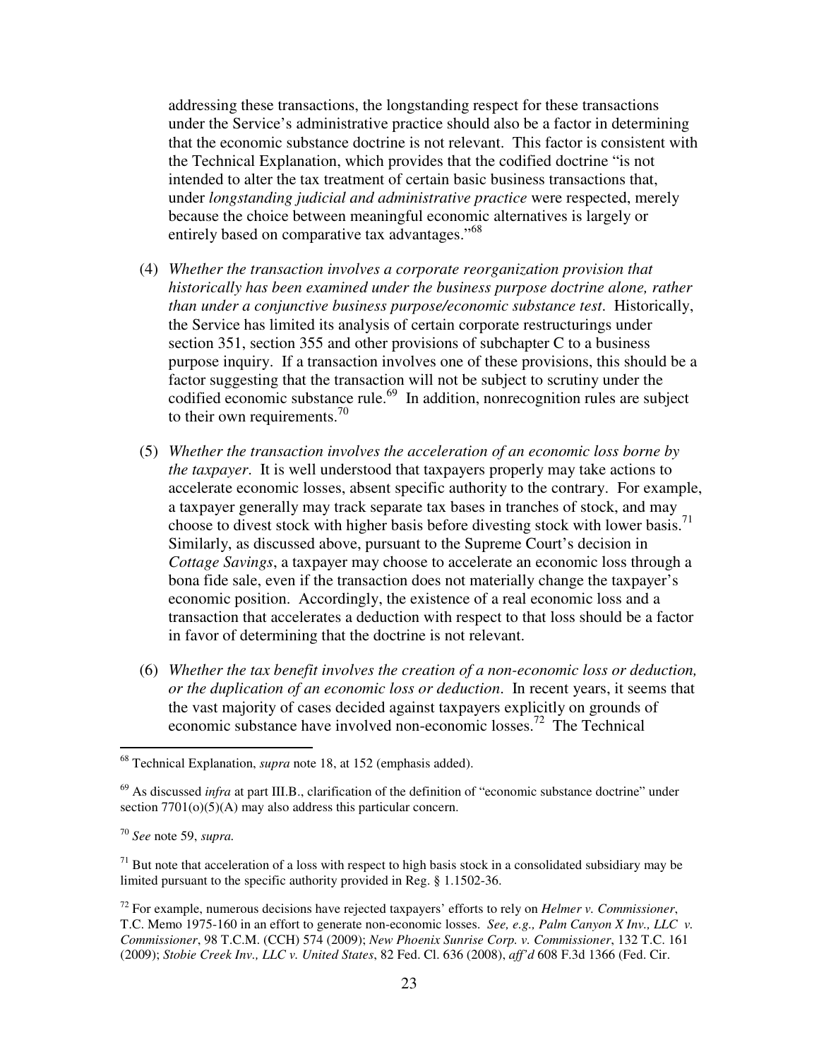addressing these transactions, the longstanding respect for these transactions under the Service's administrative practice should also be a factor in determining that the economic substance doctrine is not relevant. This factor is consistent with the Technical Explanation, which provides that the codified doctrine "is not intended to alter the tax treatment of certain basic business transactions that, under *longstanding judicial and administrative practice* were respected, merely because the choice between meaningful economic alternatives is largely or entirely based on comparative tax advantages."<sup>68</sup>

- (4) *Whether the transaction involves a corporate reorganization provision that historically has been examined under the business purpose doctrine alone, rather than under a conjunctive business purpose/economic substance test*. Historically, the Service has limited its analysis of certain corporate restructurings under section 351, section 355 and other provisions of subchapter C to a business purpose inquiry. If a transaction involves one of these provisions, this should be a factor suggesting that the transaction will not be subject to scrutiny under the codified economic substance rule.<sup>69</sup> In addition, nonrecognition rules are subject to their own requirements.<sup>70</sup>
- (5) *Whether the transaction involves the acceleration of an economic loss borne by the taxpayer*. It is well understood that taxpayers properly may take actions to accelerate economic losses, absent specific authority to the contrary. For example, a taxpayer generally may track separate tax bases in tranches of stock, and may choose to divest stock with higher basis before divesting stock with lower basis.<sup>71</sup> Similarly, as discussed above, pursuant to the Supreme Court's decision in *Cottage Savings*, a taxpayer may choose to accelerate an economic loss through a bona fide sale, even if the transaction does not materially change the taxpayer's economic position. Accordingly, the existence of a real economic loss and a transaction that accelerates a deduction with respect to that loss should be a factor in favor of determining that the doctrine is not relevant.
- (6) *Whether the tax benefit involves the creation of a non-economic loss or deduction, or the duplication of an economic loss or deduction*. In recent years, it seems that the vast majority of cases decided against taxpayers explicitly on grounds of economic substance have involved non-economic losses. <sup>72</sup> The Technical

<sup>68</sup> Technical Explanation, *supra* note 18, at 152 (emphasis added).

<sup>&</sup>lt;sup>69</sup> As discussed *infra* at part III.B., clarification of the definition of "economic substance doctrine" under section 7701(o)(5)(A) may also address this particular concern.

<sup>70</sup> *See* note 59, *supra.* 

 $71$  But note that acceleration of a loss with respect to high basis stock in a consolidated subsidiary may be limited pursuant to the specific authority provided in Reg. § 1.1502-36.

<sup>72</sup> For example, numerous decisions have rejected taxpayers' efforts to rely on *Helmer v. Commissioner*, T.C. Memo 1975-160 in an effort to generate non-economic losses. *See, e.g., Palm Canyon X Inv., LLC v. Commissioner*, 98 T.C.M. (CCH) 574 (2009); *New Phoenix Sunrise Corp. v. Commissioner*, 132 T.C. 161 (2009); *Stobie Creek Inv., LLC v. United States*, 82 Fed. Cl. 636 (2008), *aff'd* 608 F.3d 1366 (Fed. Cir.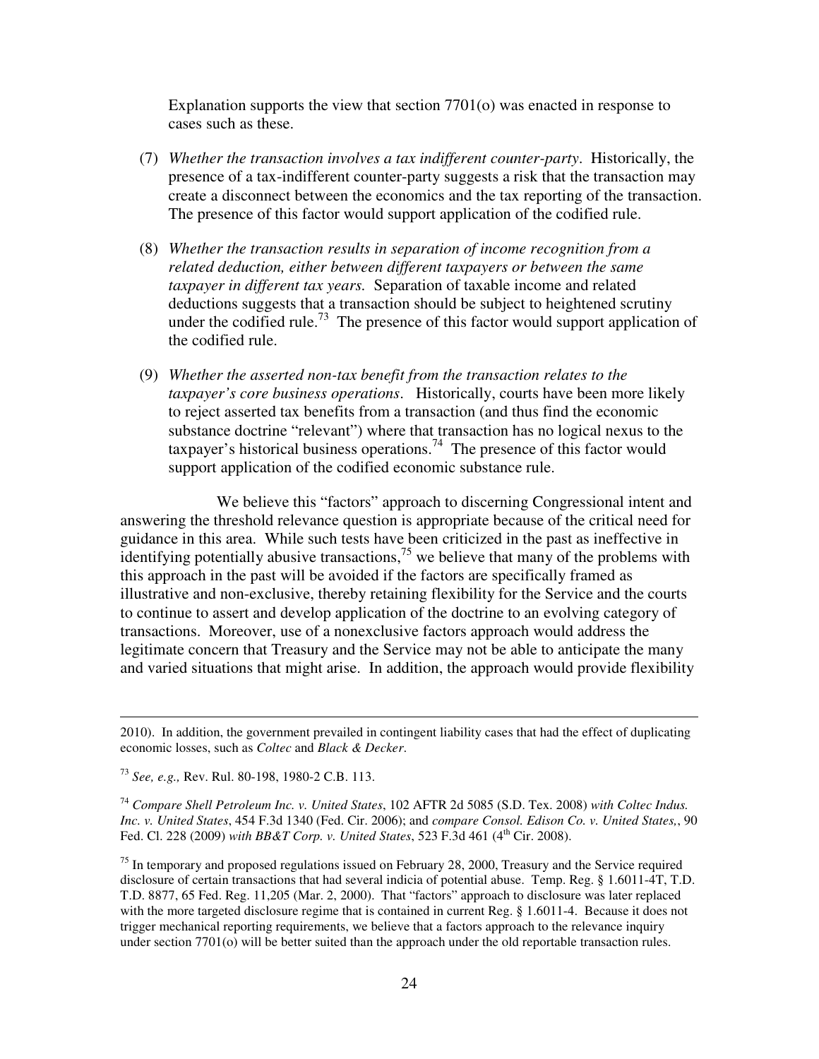Explanation supports the view that section 7701(o) was enacted in response to cases such as these.

- (7) *Whether the transaction involves a tax indifferent counter-party*. Historically, the presence of a tax-indifferent counter-party suggests a risk that the transaction may create a disconnect between the economics and the tax reporting of the transaction. The presence of this factor would support application of the codified rule.
- (8) *Whether the transaction results in separation of income recognition from a related deduction, either between different taxpayers or between the same taxpayer in different tax years.* Separation of taxable income and related deductions suggests that a transaction should be subject to heightened scrutiny under the codified rule.<sup>73</sup> The presence of this factor would support application of the codified rule.
- (9) *Whether the asserted non-tax benefit from the transaction relates to the taxpayer's core business operations*. Historically, courts have been more likely to reject asserted tax benefits from a transaction (and thus find the economic substance doctrine "relevant") where that transaction has no logical nexus to the taxpayer's historical business operations.<sup>74</sup> The presence of this factor would support application of the codified economic substance rule.

 We believe this "factors" approach to discerning Congressional intent and answering the threshold relevance question is appropriate because of the critical need for guidance in this area. While such tests have been criticized in the past as ineffective in identifying potentially abusive transactions,  $7<sup>5</sup>$  we believe that many of the problems with this approach in the past will be avoided if the factors are specifically framed as illustrative and non-exclusive, thereby retaining flexibility for the Service and the courts to continue to assert and develop application of the doctrine to an evolving category of transactions. Moreover, use of a nonexclusive factors approach would address the legitimate concern that Treasury and the Service may not be able to anticipate the many and varied situations that might arise. In addition, the approach would provide flexibility

<sup>73</sup> *See, e.g.,* Rev. Rul. 80-198, 1980-2 C.B. 113.

 $\overline{a}$ 

<sup>74</sup> *Compare Shell Petroleum Inc. v. United States*, 102 AFTR 2d 5085 (S.D. Tex. 2008) *with Coltec Indus. Inc. v. United States*, 454 F.3d 1340 (Fed. Cir. 2006); and *compare Consol. Edison Co. v. United States,*, 90 Fed. Cl. 228 (2009) *with BB&T Corp. v. United States*, 523 F.3d 461 (4<sup>th</sup> Cir. 2008).

 $75$  In temporary and proposed regulations issued on February 28, 2000, Treasury and the Service required disclosure of certain transactions that had several indicia of potential abuse. Temp. Reg. § 1.6011-4T, T.D. T.D. 8877, 65 Fed. Reg. 11,205 (Mar. 2, 2000). That "factors" approach to disclosure was later replaced with the more targeted disclosure regime that is contained in current Reg. § 1.6011-4. Because it does not trigger mechanical reporting requirements, we believe that a factors approach to the relevance inquiry under section 7701(o) will be better suited than the approach under the old reportable transaction rules.

<sup>2010).</sup> In addition, the government prevailed in contingent liability cases that had the effect of duplicating economic losses, such as *Coltec* and *Black & Decker*.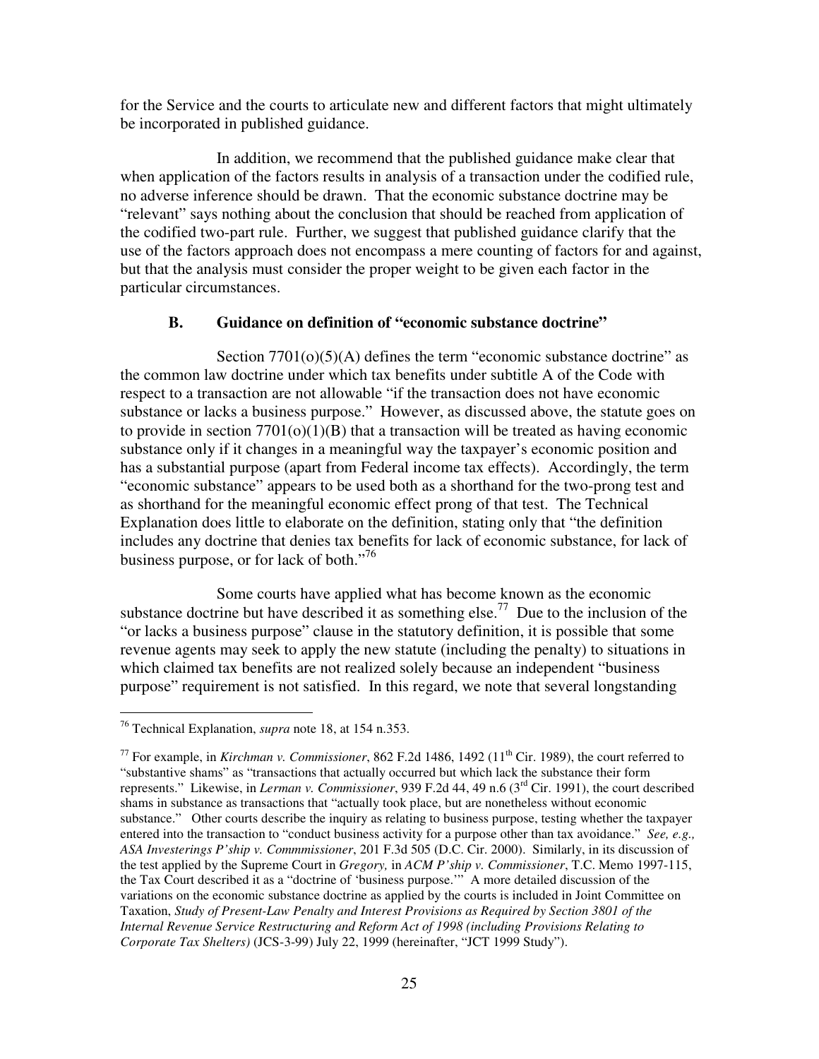for the Service and the courts to articulate new and different factors that might ultimately be incorporated in published guidance.

 In addition, we recommend that the published guidance make clear that when application of the factors results in analysis of a transaction under the codified rule, no adverse inference should be drawn. That the economic substance doctrine may be "relevant" says nothing about the conclusion that should be reached from application of the codified two-part rule. Further, we suggest that published guidance clarify that the use of the factors approach does not encompass a mere counting of factors for and against, but that the analysis must consider the proper weight to be given each factor in the particular circumstances.

# **B. Guidance on definition of "economic substance doctrine"**

Section  $7701<sub>(o)</sub>(5)<sub>(A)</sub>$  defines the term "economic substance doctrine" as the common law doctrine under which tax benefits under subtitle A of the Code with respect to a transaction are not allowable "if the transaction does not have economic substance or lacks a business purpose." However, as discussed above, the statute goes on to provide in section  $7701(0)(1)(B)$  that a transaction will be treated as having economic substance only if it changes in a meaningful way the taxpayer's economic position and has a substantial purpose (apart from Federal income tax effects). Accordingly, the term "economic substance" appears to be used both as a shorthand for the two-prong test and as shorthand for the meaningful economic effect prong of that test. The Technical Explanation does little to elaborate on the definition, stating only that "the definition includes any doctrine that denies tax benefits for lack of economic substance, for lack of business purpose, or for lack of both."<sup>76</sup>

 Some courts have applied what has become known as the economic substance doctrine but have described it as something else.<sup>77</sup> Due to the inclusion of the "or lacks a business purpose" clause in the statutory definition, it is possible that some revenue agents may seek to apply the new statute (including the penalty) to situations in which claimed tax benefits are not realized solely because an independent "business purpose" requirement is not satisfied. In this regard, we note that several longstanding

 $\overline{a}$ <sup>76</sup> Technical Explanation, *supra* note 18, at 154 n.353.

<sup>&</sup>lt;sup>77</sup> For example, in *Kirchman v. Commissioner*, 862 F.2d 1486, 1492 ( $11<sup>th</sup>$  Cir. 1989), the court referred to "substantive shams" as "transactions that actually occurred but which lack the substance their form represents." Likewise, in *Lerman v. Commissioner*, 939 F.2d 44, 49 n.6 (3rd Cir. 1991), the court described shams in substance as transactions that "actually took place, but are nonetheless without economic substance." Other courts describe the inquiry as relating to business purpose, testing whether the taxpayer entered into the transaction to "conduct business activity for a purpose other than tax avoidance." *See, e.g.*, *ASA Investerings P'ship v. Commmissioner*, 201 F.3d 505 (D.C. Cir. 2000). Similarly, in its discussion of the test applied by the Supreme Court in *Gregory,* in *ACM P'ship v. Commissioner*, T.C. Memo 1997-115, the Tax Court described it as a "doctrine of 'business purpose.'" A more detailed discussion of the variations on the economic substance doctrine as applied by the courts is included in Joint Committee on Taxation, *Study of Present-Law Penalty and Interest Provisions as Required by Section 3801 of the Internal Revenue Service Restructuring and Reform Act of 1998 (including Provisions Relating to Corporate Tax Shelters)* (JCS-3-99) July 22, 1999 (hereinafter, "JCT 1999 Study").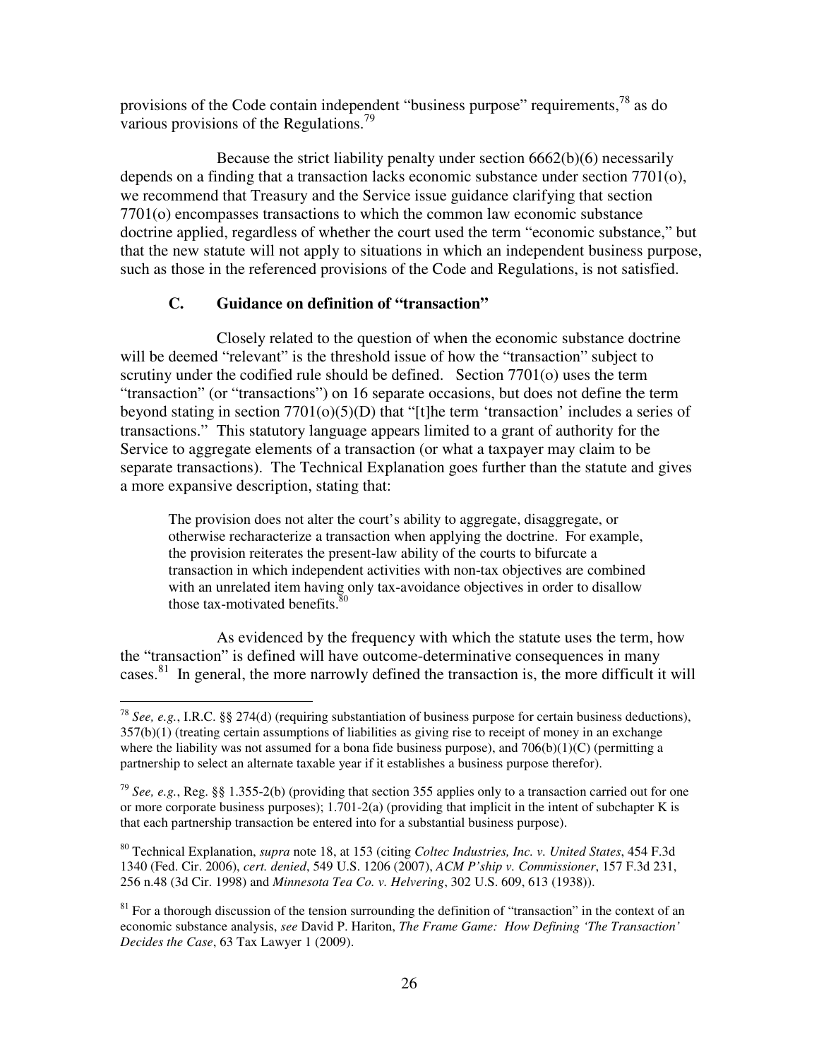provisions of the Code contain independent "business purpose" requirements,  $^{78}$  as do various provisions of the Regulations.<sup>79</sup>

 Because the strict liability penalty under section 6662(b)(6) necessarily depends on a finding that a transaction lacks economic substance under section 7701(o), we recommend that Treasury and the Service issue guidance clarifying that section 7701(o) encompasses transactions to which the common law economic substance doctrine applied, regardless of whether the court used the term "economic substance," but that the new statute will not apply to situations in which an independent business purpose, such as those in the referenced provisions of the Code and Regulations, is not satisfied.

# **C. Guidance on definition of "transaction"**

 Closely related to the question of when the economic substance doctrine will be deemed "relevant" is the threshold issue of how the "transaction" subject to scrutiny under the codified rule should be defined. Section 7701(o) uses the term "transaction" (or "transactions") on 16 separate occasions, but does not define the term beyond stating in section 7701(o)(5)(D) that "[t]he term 'transaction' includes a series of transactions." This statutory language appears limited to a grant of authority for the Service to aggregate elements of a transaction (or what a taxpayer may claim to be separate transactions). The Technical Explanation goes further than the statute and gives a more expansive description, stating that:

The provision does not alter the court's ability to aggregate, disaggregate, or otherwise recharacterize a transaction when applying the doctrine. For example, the provision reiterates the present-law ability of the courts to bifurcate a transaction in which independent activities with non-tax objectives are combined with an unrelated item having only tax-avoidance objectives in order to disallow those tax-motivated benefits. $80$ 

 As evidenced by the frequency with which the statute uses the term, how the "transaction" is defined will have outcome-determinative consequences in many cases.<sup>81</sup> In general, the more narrowly defined the transaction is, the more difficult it will

 $\overline{a}$ <sup>78</sup> *See, e.g.*, I.R.C. §§ 274(d) (requiring substantiation of business purpose for certain business deductions), 357(b)(1) (treating certain assumptions of liabilities as giving rise to receipt of money in an exchange where the liability was not assumed for a bona fide business purpose), and  $706(b)(1)(C)$  (permitting a partnership to select an alternate taxable year if it establishes a business purpose therefor).

<sup>79</sup> *See, e.g.*, Reg. §§ 1.355-2(b) (providing that section 355 applies only to a transaction carried out for one or more corporate business purposes);  $1.701-2(a)$  (providing that implicit in the intent of subchapter K is that each partnership transaction be entered into for a substantial business purpose).

<sup>80</sup> Technical Explanation, *supra* note 18, at 153 (citing *Coltec Industries, Inc. v. United States*, 454 F.3d 1340 (Fed. Cir. 2006), *cert. denied*, 549 U.S. 1206 (2007), *ACM P'ship v. Commissioner*, 157 F.3d 231, 256 n.48 (3d Cir. 1998) and *Minnesota Tea Co. v. Helvering*, 302 U.S. 609, 613 (1938)).

 $81$  For a thorough discussion of the tension surrounding the definition of "transaction" in the context of an economic substance analysis, *see* David P. Hariton, *The Frame Game: How Defining 'The Transaction' Decides the Case*, 63 Tax Lawyer 1 (2009).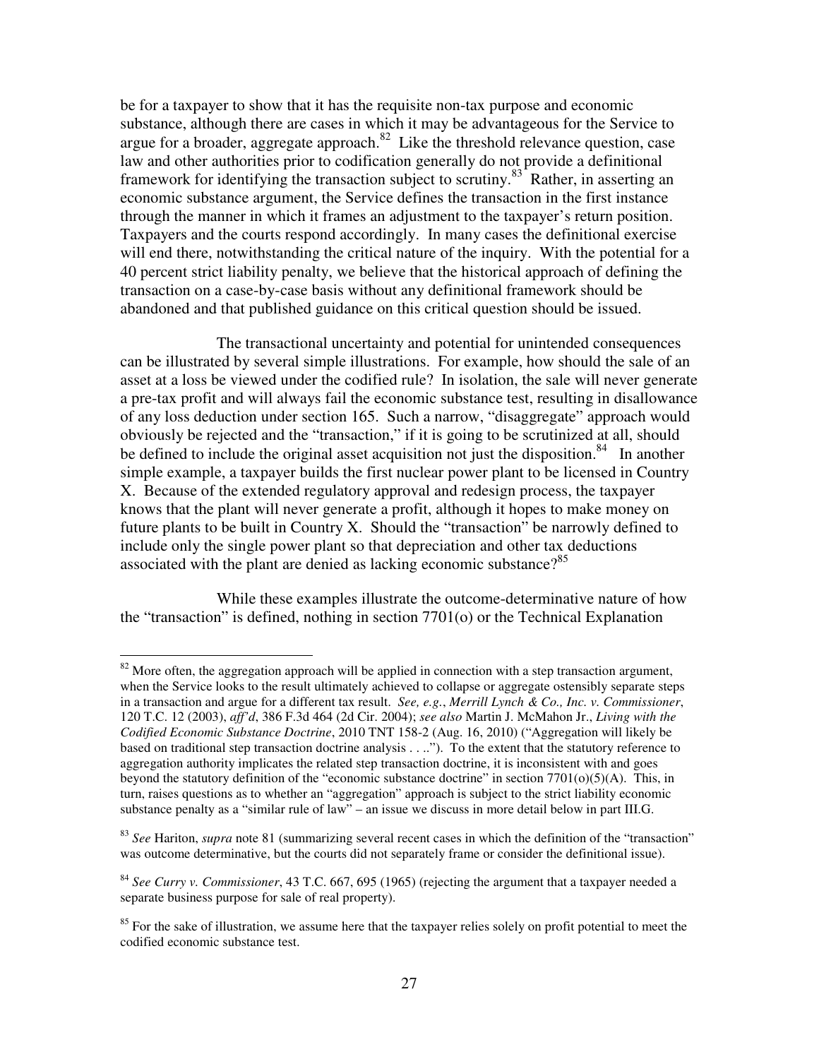be for a taxpayer to show that it has the requisite non-tax purpose and economic substance, although there are cases in which it may be advantageous for the Service to argue for a broader, aggregate approach. $82$  Like the threshold relevance question, case law and other authorities prior to codification generally do not provide a definitional framework for identifying the transaction subject to scrutiny.<sup>83</sup> Rather, in asserting an economic substance argument, the Service defines the transaction in the first instance through the manner in which it frames an adjustment to the taxpayer's return position. Taxpayers and the courts respond accordingly. In many cases the definitional exercise will end there, notwithstanding the critical nature of the inquiry. With the potential for a 40 percent strict liability penalty, we believe that the historical approach of defining the transaction on a case-by-case basis without any definitional framework should be abandoned and that published guidance on this critical question should be issued.

 The transactional uncertainty and potential for unintended consequences can be illustrated by several simple illustrations. For example, how should the sale of an asset at a loss be viewed under the codified rule? In isolation, the sale will never generate a pre-tax profit and will always fail the economic substance test, resulting in disallowance of any loss deduction under section 165. Such a narrow, "disaggregate" approach would obviously be rejected and the "transaction," if it is going to be scrutinized at all, should be defined to include the original asset acquisition not just the disposition.<sup>84</sup> In another simple example, a taxpayer builds the first nuclear power plant to be licensed in Country X. Because of the extended regulatory approval and redesign process, the taxpayer knows that the plant will never generate a profit, although it hopes to make money on future plants to be built in Country X. Should the "transaction" be narrowly defined to include only the single power plant so that depreciation and other tax deductions associated with the plant are denied as lacking economic substance?<sup>85</sup>

 While these examples illustrate the outcome-determinative nature of how the "transaction" is defined, nothing in section 7701(o) or the Technical Explanation

 $82$  More often, the aggregation approach will be applied in connection with a step transaction argument, when the Service looks to the result ultimately achieved to collapse or aggregate ostensibly separate steps in a transaction and argue for a different tax result. *See, e.g.*, *Merrill Lynch & Co., Inc. v. Commissioner*, 120 T.C. 12 (2003), *aff'd*, 386 F.3d 464 (2d Cir. 2004); *see also* Martin J. McMahon Jr., *Living with the Codified Economic Substance Doctrine*, 2010 TNT 158-2 (Aug. 16, 2010) ("Aggregation will likely be based on traditional step transaction doctrine analysis . . .."). To the extent that the statutory reference to aggregation authority implicates the related step transaction doctrine, it is inconsistent with and goes beyond the statutory definition of the "economic substance doctrine" in section 7701(o)(5)(A). This, in turn, raises questions as to whether an "aggregation" approach is subject to the strict liability economic substance penalty as a "similar rule of law" – an issue we discuss in more detail below in part III.G.

<sup>83</sup> *See* Hariton, *supra* note 81 (summarizing several recent cases in which the definition of the "transaction" was outcome determinative, but the courts did not separately frame or consider the definitional issue).

<sup>84</sup> *See Curry v. Commissioner*, 43 T.C. 667, 695 (1965) (rejecting the argument that a taxpayer needed a separate business purpose for sale of real property).

<sup>&</sup>lt;sup>85</sup> For the sake of illustration, we assume here that the taxpayer relies solely on profit potential to meet the codified economic substance test.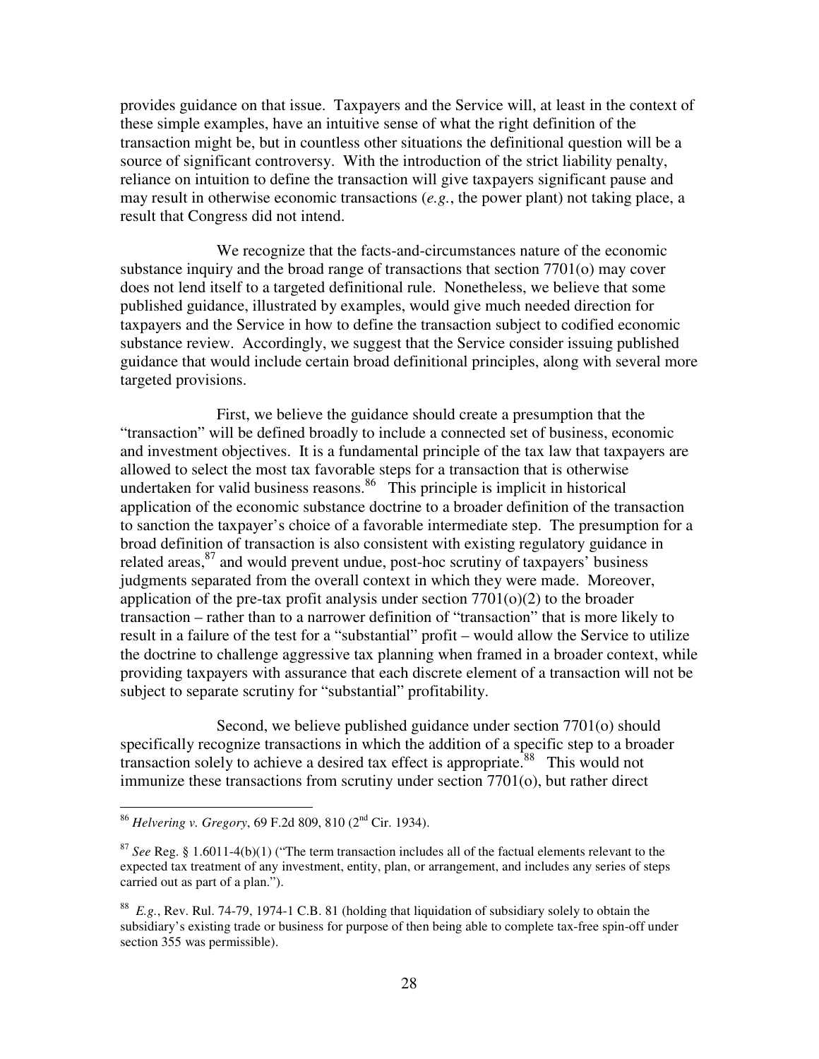provides guidance on that issue. Taxpayers and the Service will, at least in the context of these simple examples, have an intuitive sense of what the right definition of the transaction might be, but in countless other situations the definitional question will be a source of significant controversy. With the introduction of the strict liability penalty, reliance on intuition to define the transaction will give taxpayers significant pause and may result in otherwise economic transactions (*e.g.*, the power plant) not taking place, a result that Congress did not intend.

 We recognize that the facts-and-circumstances nature of the economic substance inquiry and the broad range of transactions that section 7701(o) may cover does not lend itself to a targeted definitional rule. Nonetheless, we believe that some published guidance, illustrated by examples, would give much needed direction for taxpayers and the Service in how to define the transaction subject to codified economic substance review. Accordingly, we suggest that the Service consider issuing published guidance that would include certain broad definitional principles, along with several more targeted provisions.

 First, we believe the guidance should create a presumption that the "transaction" will be defined broadly to include a connected set of business, economic and investment objectives. It is a fundamental principle of the tax law that taxpayers are allowed to select the most tax favorable steps for a transaction that is otherwise undertaken for valid business reasons.<sup>86</sup> This principle is implicit in historical application of the economic substance doctrine to a broader definition of the transaction to sanction the taxpayer's choice of a favorable intermediate step. The presumption for a broad definition of transaction is also consistent with existing regulatory guidance in related areas, $87$  and would prevent undue, post-hoc scrutiny of taxpayers' business judgments separated from the overall context in which they were made. Moreover, application of the pre-tax profit analysis under section  $7701(0)(2)$  to the broader transaction – rather than to a narrower definition of "transaction" that is more likely to result in a failure of the test for a "substantial" profit – would allow the Service to utilize the doctrine to challenge aggressive tax planning when framed in a broader context, while providing taxpayers with assurance that each discrete element of a transaction will not be subject to separate scrutiny for "substantial" profitability.

 Second, we believe published guidance under section 7701(o) should specifically recognize transactions in which the addition of a specific step to a broader transaction solely to achieve a desired tax effect is appropriate.<sup>88</sup> This would not immunize these transactions from scrutiny under section 7701(o), but rather direct

<sup>86</sup> *Helvering v. Gregory*, 69 F.2d 809, 810 (2nd Cir. 1934).

<sup>87</sup> *See* Reg. § 1.6011-4(b)(1) ("The term transaction includes all of the factual elements relevant to the expected tax treatment of any investment, entity, plan, or arrangement, and includes any series of steps carried out as part of a plan.").

<sup>88</sup> *E.g.*, Rev. Rul. 74-79, 1974-1 C.B. 81 (holding that liquidation of subsidiary solely to obtain the subsidiary's existing trade or business for purpose of then being able to complete tax-free spin-off under section 355 was permissible).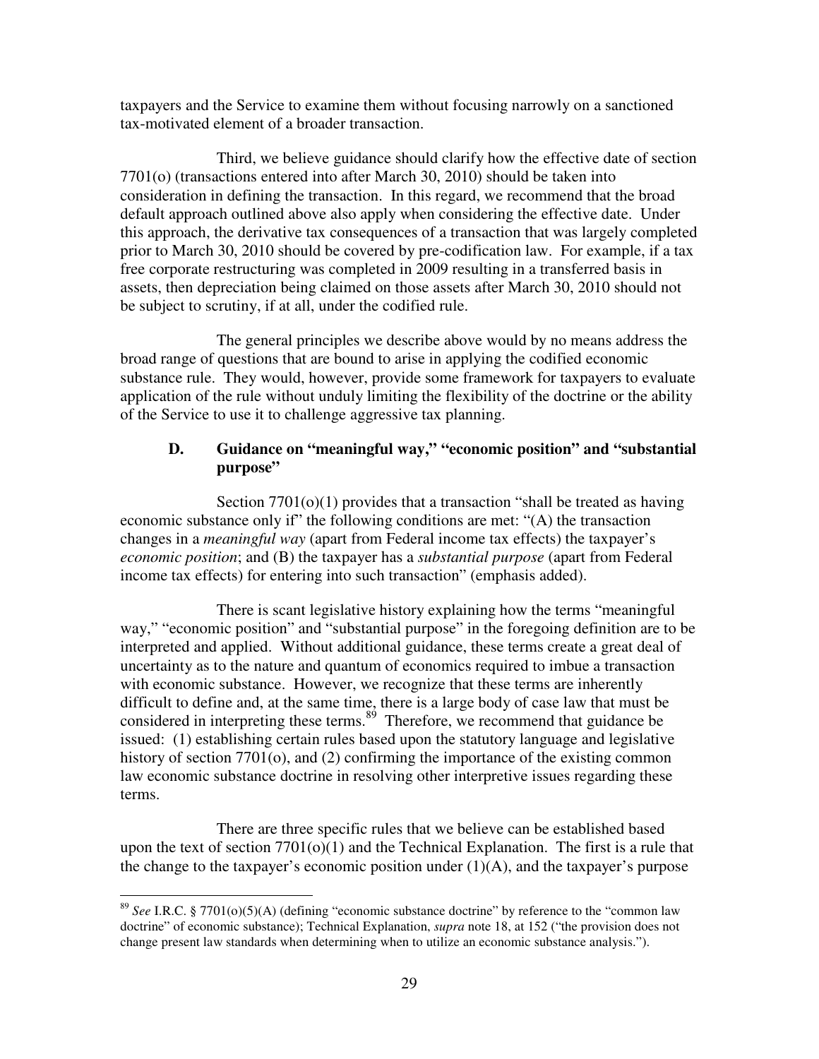taxpayers and the Service to examine them without focusing narrowly on a sanctioned tax-motivated element of a broader transaction.

 Third, we believe guidance should clarify how the effective date of section 7701(o) (transactions entered into after March 30, 2010) should be taken into consideration in defining the transaction. In this regard, we recommend that the broad default approach outlined above also apply when considering the effective date. Under this approach, the derivative tax consequences of a transaction that was largely completed prior to March 30, 2010 should be covered by pre-codification law. For example, if a tax free corporate restructuring was completed in 2009 resulting in a transferred basis in assets, then depreciation being claimed on those assets after March 30, 2010 should not be subject to scrutiny, if at all, under the codified rule.

 The general principles we describe above would by no means address the broad range of questions that are bound to arise in applying the codified economic substance rule. They would, however, provide some framework for taxpayers to evaluate application of the rule without unduly limiting the flexibility of the doctrine or the ability of the Service to use it to challenge aggressive tax planning.

# **D. Guidance on "meaningful way," "economic position" and "substantial purpose"**

Section 7701(o)(1) provides that a transaction "shall be treated as having economic substance only if" the following conditions are met: "(A) the transaction changes in a *meaningful way* (apart from Federal income tax effects) the taxpayer's *economic position*; and (B) the taxpayer has a *substantial purpose* (apart from Federal income tax effects) for entering into such transaction" (emphasis added).

 There is scant legislative history explaining how the terms "meaningful way," "economic position" and "substantial purpose" in the foregoing definition are to be interpreted and applied. Without additional guidance, these terms create a great deal of uncertainty as to the nature and quantum of economics required to imbue a transaction with economic substance. However, we recognize that these terms are inherently difficult to define and, at the same time, there is a large body of case law that must be considered in interpreting these terms. $89$  Therefore, we recommend that guidance be issued: (1) establishing certain rules based upon the statutory language and legislative history of section 7701(o), and (2) confirming the importance of the existing common law economic substance doctrine in resolving other interpretive issues regarding these terms.

 There are three specific rules that we believe can be established based upon the text of section  $7701(0)(1)$  and the Technical Explanation. The first is a rule that the change to the taxpayer's economic position under  $(1)(A)$ , and the taxpayer's purpose

<sup>89</sup> *See* I.R.C. § 7701(o)(5)(A) (defining "economic substance doctrine" by reference to the "common law doctrine" of economic substance); Technical Explanation, *supra* note 18, at 152 ("the provision does not change present law standards when determining when to utilize an economic substance analysis.").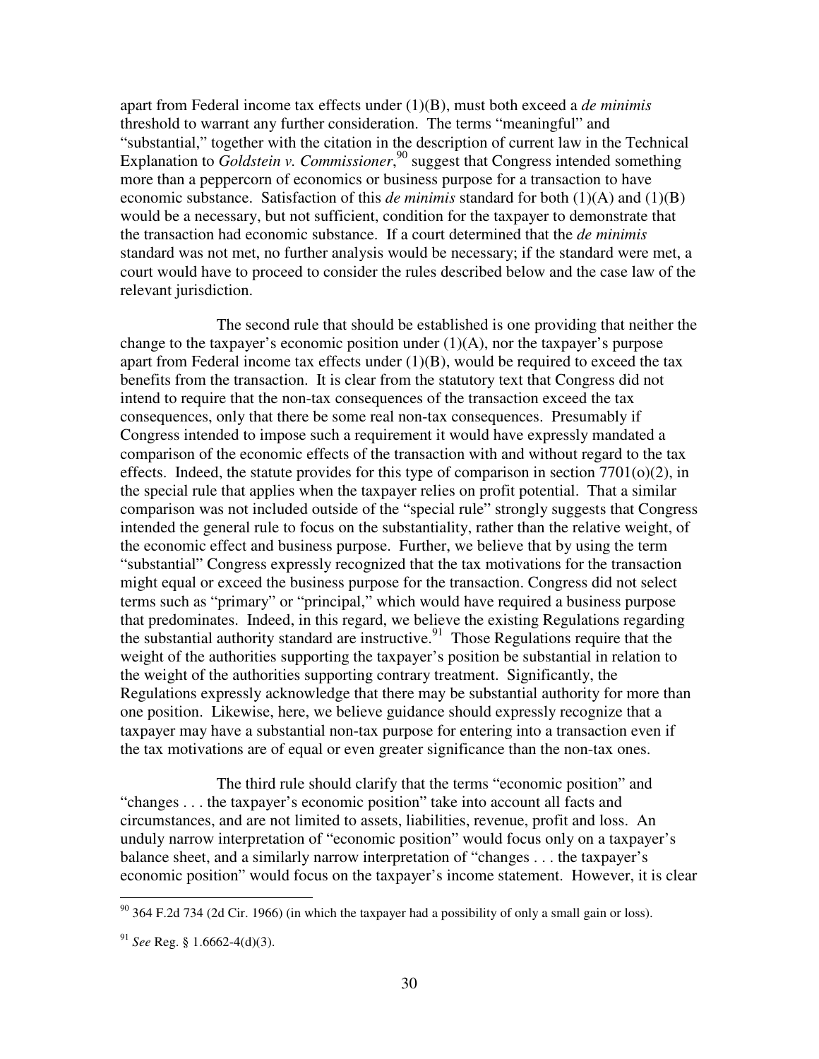apart from Federal income tax effects under (1)(B), must both exceed a *de minimis*  threshold to warrant any further consideration. The terms "meaningful" and "substantial," together with the citation in the description of current law in the Technical Explanation to *Goldstein v. Commissioner*,<sup>90</sup> suggest that Congress intended something more than a peppercorn of economics or business purpose for a transaction to have economic substance. Satisfaction of this *de minimis* standard for both  $(1)(A)$  and  $(1)(B)$ would be a necessary, but not sufficient, condition for the taxpayer to demonstrate that the transaction had economic substance. If a court determined that the *de minimis*  standard was not met, no further analysis would be necessary; if the standard were met, a court would have to proceed to consider the rules described below and the case law of the relevant jurisdiction.

 The second rule that should be established is one providing that neither the change to the taxpayer's economic position under  $(1)(A)$ , nor the taxpayer's purpose apart from Federal income tax effects under  $(1)(B)$ , would be required to exceed the tax benefits from the transaction. It is clear from the statutory text that Congress did not intend to require that the non-tax consequences of the transaction exceed the tax consequences, only that there be some real non-tax consequences. Presumably if Congress intended to impose such a requirement it would have expressly mandated a comparison of the economic effects of the transaction with and without regard to the tax effects. Indeed, the statute provides for this type of comparison in section  $7701(o)(2)$ , in the special rule that applies when the taxpayer relies on profit potential. That a similar comparison was not included outside of the "special rule" strongly suggests that Congress intended the general rule to focus on the substantiality, rather than the relative weight, of the economic effect and business purpose. Further, we believe that by using the term "substantial" Congress expressly recognized that the tax motivations for the transaction might equal or exceed the business purpose for the transaction. Congress did not select terms such as "primary" or "principal," which would have required a business purpose that predominates. Indeed, in this regard, we believe the existing Regulations regarding the substantial authority standard are instructive.<sup>91</sup> Those Regulations require that the weight of the authorities supporting the taxpayer's position be substantial in relation to the weight of the authorities supporting contrary treatment. Significantly, the Regulations expressly acknowledge that there may be substantial authority for more than one position. Likewise, here, we believe guidance should expressly recognize that a taxpayer may have a substantial non-tax purpose for entering into a transaction even if the tax motivations are of equal or even greater significance than the non-tax ones.

 The third rule should clarify that the terms "economic position" and "changes . . . the taxpayer's economic position" take into account all facts and circumstances, and are not limited to assets, liabilities, revenue, profit and loss. An unduly narrow interpretation of "economic position" would focus only on a taxpayer's balance sheet, and a similarly narrow interpretation of "changes . . . the taxpayer's economic position" would focus on the taxpayer's income statement. However, it is clear

 $90$  364 F.2d 734 (2d Cir. 1966) (in which the taxpayer had a possibility of only a small gain or loss).

<sup>91</sup> *See* Reg. § 1.6662-4(d)(3).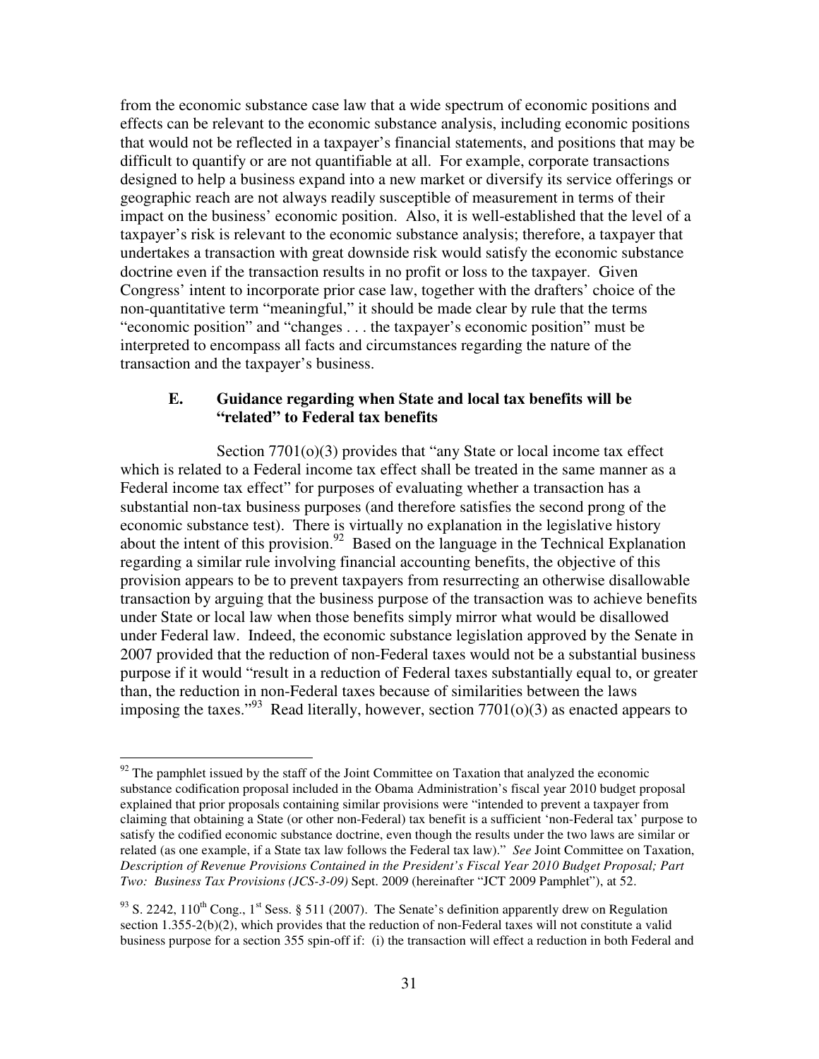from the economic substance case law that a wide spectrum of economic positions and effects can be relevant to the economic substance analysis, including economic positions that would not be reflected in a taxpayer's financial statements, and positions that may be difficult to quantify or are not quantifiable at all. For example, corporate transactions designed to help a business expand into a new market or diversify its service offerings or geographic reach are not always readily susceptible of measurement in terms of their impact on the business' economic position. Also, it is well-established that the level of a taxpayer's risk is relevant to the economic substance analysis; therefore, a taxpayer that undertakes a transaction with great downside risk would satisfy the economic substance doctrine even if the transaction results in no profit or loss to the taxpayer. Given Congress' intent to incorporate prior case law, together with the drafters' choice of the non-quantitative term "meaningful," it should be made clear by rule that the terms "economic position" and "changes . . . the taxpayer's economic position" must be interpreted to encompass all facts and circumstances regarding the nature of the transaction and the taxpayer's business.

# **E. Guidance regarding when State and local tax benefits will be "related" to Federal tax benefits**

Section 7701(o)(3) provides that "any State or local income tax effect which is related to a Federal income tax effect shall be treated in the same manner as a Federal income tax effect" for purposes of evaluating whether a transaction has a substantial non-tax business purposes (and therefore satisfies the second prong of the economic substance test). There is virtually no explanation in the legislative history about the intent of this provision.<sup>92</sup> Based on the language in the Technical Explanation regarding a similar rule involving financial accounting benefits, the objective of this provision appears to be to prevent taxpayers from resurrecting an otherwise disallowable transaction by arguing that the business purpose of the transaction was to achieve benefits under State or local law when those benefits simply mirror what would be disallowed under Federal law. Indeed, the economic substance legislation approved by the Senate in 2007 provided that the reduction of non-Federal taxes would not be a substantial business purpose if it would "result in a reduction of Federal taxes substantially equal to, or greater than, the reduction in non-Federal taxes because of similarities between the laws imposing the taxes."<sup>93</sup> Read literally, however, section  $7701(0)(3)$  as enacted appears to

 $92$  The pamphlet issued by the staff of the Joint Committee on Taxation that analyzed the economic substance codification proposal included in the Obama Administration's fiscal year 2010 budget proposal explained that prior proposals containing similar provisions were "intended to prevent a taxpayer from claiming that obtaining a State (or other non-Federal) tax benefit is a sufficient 'non-Federal tax' purpose to satisfy the codified economic substance doctrine, even though the results under the two laws are similar or related (as one example, if a State tax law follows the Federal tax law)." *See* Joint Committee on Taxation, *Description of Revenue Provisions Contained in the President's Fiscal Year 2010 Budget Proposal; Part Two: Business Tax Provisions (JCS-3-09)* Sept. 2009 (hereinafter "JCT 2009 Pamphlet"), at 52.

<sup>&</sup>lt;sup>93</sup> S. 2242, 110<sup>th</sup> Cong., 1<sup>st</sup> Sess. § 511 (2007). The Senate's definition apparently drew on Regulation section 1.355-2(b)(2), which provides that the reduction of non-Federal taxes will not constitute a valid business purpose for a section 355 spin-off if: (i) the transaction will effect a reduction in both Federal and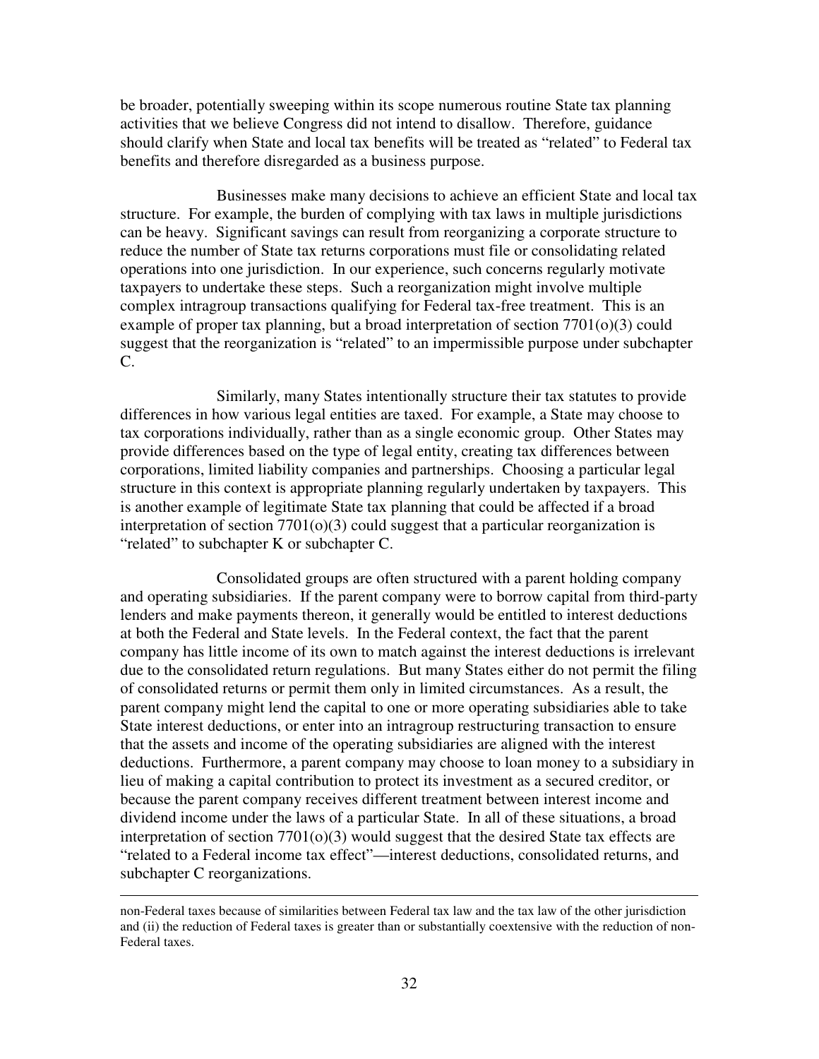be broader, potentially sweeping within its scope numerous routine State tax planning activities that we believe Congress did not intend to disallow. Therefore, guidance should clarify when State and local tax benefits will be treated as "related" to Federal tax benefits and therefore disregarded as a business purpose.

 Businesses make many decisions to achieve an efficient State and local tax structure. For example, the burden of complying with tax laws in multiple jurisdictions can be heavy. Significant savings can result from reorganizing a corporate structure to reduce the number of State tax returns corporations must file or consolidating related operations into one jurisdiction. In our experience, such concerns regularly motivate taxpayers to undertake these steps. Such a reorganization might involve multiple complex intragroup transactions qualifying for Federal tax-free treatment. This is an example of proper tax planning, but a broad interpretation of section 7701(o)(3) could suggest that the reorganization is "related" to an impermissible purpose under subchapter C.

 Similarly, many States intentionally structure their tax statutes to provide differences in how various legal entities are taxed. For example, a State may choose to tax corporations individually, rather than as a single economic group. Other States may provide differences based on the type of legal entity, creating tax differences between corporations, limited liability companies and partnerships. Choosing a particular legal structure in this context is appropriate planning regularly undertaken by taxpayers. This is another example of legitimate State tax planning that could be affected if a broad interpretation of section  $7701<sub>(o)</sub>(3)$  could suggest that a particular reorganization is "related" to subchapter K or subchapter C.

 Consolidated groups are often structured with a parent holding company and operating subsidiaries. If the parent company were to borrow capital from third-party lenders and make payments thereon, it generally would be entitled to interest deductions at both the Federal and State levels. In the Federal context, the fact that the parent company has little income of its own to match against the interest deductions is irrelevant due to the consolidated return regulations. But many States either do not permit the filing of consolidated returns or permit them only in limited circumstances. As a result, the parent company might lend the capital to one or more operating subsidiaries able to take State interest deductions, or enter into an intragroup restructuring transaction to ensure that the assets and income of the operating subsidiaries are aligned with the interest deductions. Furthermore, a parent company may choose to loan money to a subsidiary in lieu of making a capital contribution to protect its investment as a secured creditor, or because the parent company receives different treatment between interest income and dividend income under the laws of a particular State. In all of these situations, a broad interpretation of section 7701(o)(3) would suggest that the desired State tax effects are "related to a Federal income tax effect"—interest deductions, consolidated returns, and subchapter C reorganizations.

non-Federal taxes because of similarities between Federal tax law and the tax law of the other jurisdiction and (ii) the reduction of Federal taxes is greater than or substantially coextensive with the reduction of non-Federal taxes.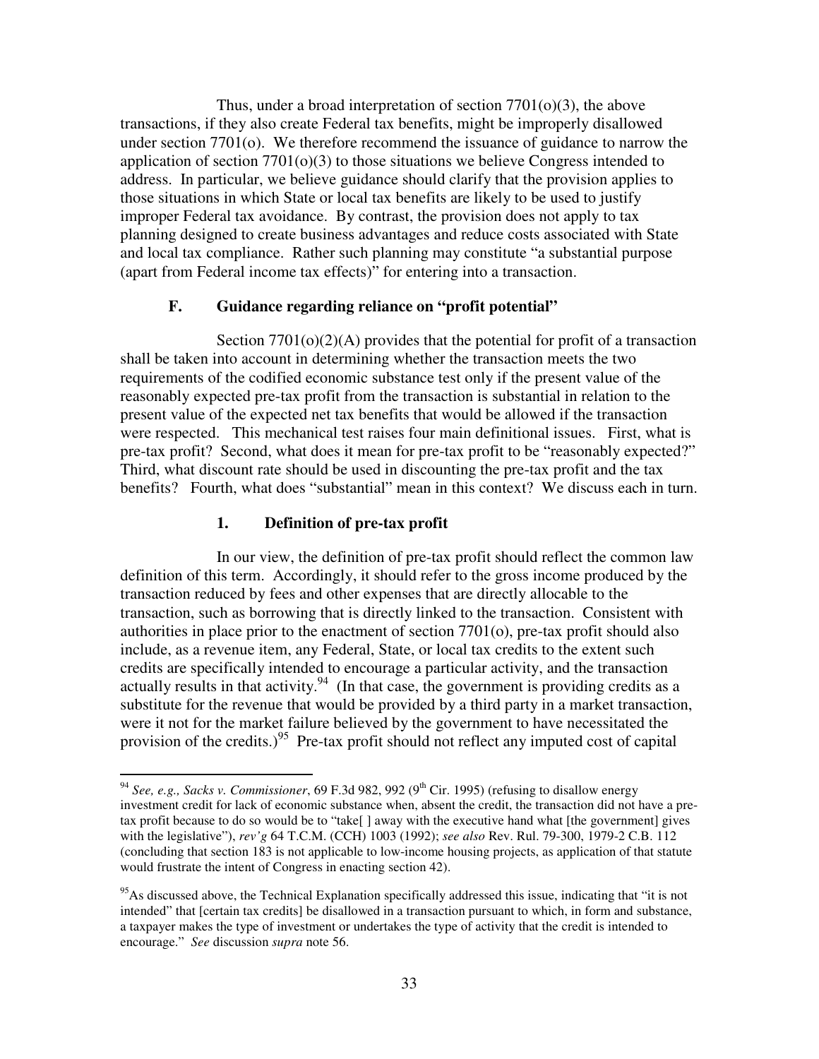Thus, under a broad interpretation of section 7701(o)(3), the above transactions, if they also create Federal tax benefits, might be improperly disallowed under section 7701(o). We therefore recommend the issuance of guidance to narrow the application of section  $7701(0)(3)$  to those situations we believe Congress intended to address. In particular, we believe guidance should clarify that the provision applies to those situations in which State or local tax benefits are likely to be used to justify improper Federal tax avoidance. By contrast, the provision does not apply to tax planning designed to create business advantages and reduce costs associated with State and local tax compliance. Rather such planning may constitute "a substantial purpose (apart from Federal income tax effects)" for entering into a transaction.

## **F. Guidance regarding reliance on "profit potential"**

Section  $7701<sub>(o)</sub>(2)$ (A) provides that the potential for profit of a transaction shall be taken into account in determining whether the transaction meets the two requirements of the codified economic substance test only if the present value of the reasonably expected pre-tax profit from the transaction is substantial in relation to the present value of the expected net tax benefits that would be allowed if the transaction were respected. This mechanical test raises four main definitional issues. First, what is pre-tax profit? Second, what does it mean for pre-tax profit to be "reasonably expected?" Third, what discount rate should be used in discounting the pre-tax profit and the tax benefits? Fourth, what does "substantial" mean in this context? We discuss each in turn.

# **1. Definition of pre-tax profit**

 $\overline{a}$ 

In our view, the definition of pre-tax profit should reflect the common law definition of this term. Accordingly, it should refer to the gross income produced by the transaction reduced by fees and other expenses that are directly allocable to the transaction, such as borrowing that is directly linked to the transaction. Consistent with authorities in place prior to the enactment of section 7701(o), pre-tax profit should also include, as a revenue item, any Federal, State, or local tax credits to the extent such credits are specifically intended to encourage a particular activity, and the transaction actually results in that activity.<sup>94</sup> (In that case, the government is providing credits as a substitute for the revenue that would be provided by a third party in a market transaction, were it not for the market failure believed by the government to have necessitated the provision of the credits.)<sup>95</sup> Pre-tax profit should not reflect any imputed cost of capital

<sup>&</sup>lt;sup>94</sup> See, e.g., Sacks v. Commissioner, 69 F.3d 982, 992 (9<sup>th</sup> Cir. 1995) (refusing to disallow energy investment credit for lack of economic substance when, absent the credit, the transaction did not have a pretax profit because to do so would be to "take[ ] away with the executive hand what [the government] gives with the legislative"), *rev'g* 64 T.C.M. (CCH) 1003 (1992); *see also* Rev. Rul. 79-300, 1979-2 C.B. 112 (concluding that section 183 is not applicable to low-income housing projects, as application of that statute would frustrate the intent of Congress in enacting section 42).

<sup>&</sup>lt;sup>95</sup>As discussed above, the Technical Explanation specifically addressed this issue, indicating that "it is not intended" that [certain tax credits] be disallowed in a transaction pursuant to which, in form and substance, a taxpayer makes the type of investment or undertakes the type of activity that the credit is intended to encourage." *See* discussion *supra* note 56.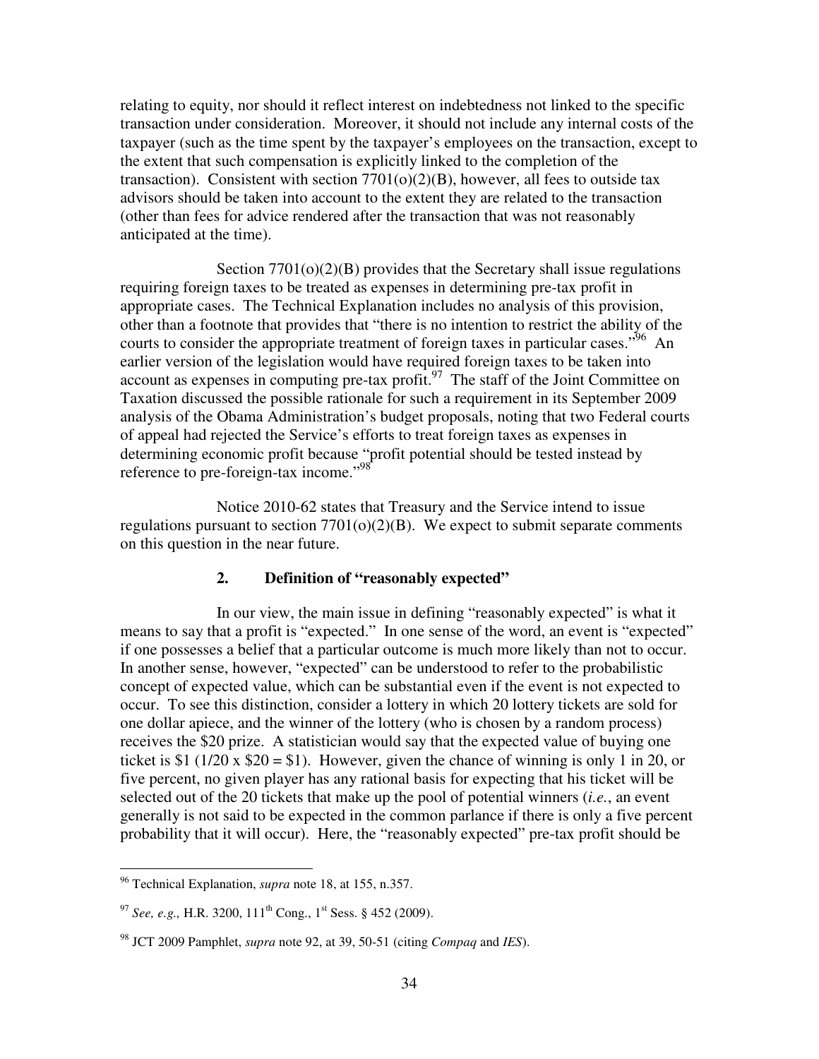relating to equity, nor should it reflect interest on indebtedness not linked to the specific transaction under consideration. Moreover, it should not include any internal costs of the taxpayer (such as the time spent by the taxpayer's employees on the transaction, except to the extent that such compensation is explicitly linked to the completion of the transaction). Consistent with section  $7701(o)(2)(B)$ , however, all fees to outside tax advisors should be taken into account to the extent they are related to the transaction (other than fees for advice rendered after the transaction that was not reasonably anticipated at the time).

Section  $7701(o)(2)(B)$  provides that the Secretary shall issue regulations requiring foreign taxes to be treated as expenses in determining pre-tax profit in appropriate cases. The Technical Explanation includes no analysis of this provision, other than a footnote that provides that "there is no intention to restrict the ability of the courts to consider the appropriate treatment of foreign taxes in particular cases."<sup>96</sup> An earlier version of the legislation would have required foreign taxes to be taken into account as expenses in computing pre-tax profit.<sup>97</sup> The staff of the Joint Committee on Taxation discussed the possible rationale for such a requirement in its September 2009 analysis of the Obama Administration's budget proposals, noting that two Federal courts of appeal had rejected the Service's efforts to treat foreign taxes as expenses in determining economic profit because "profit potential should be tested instead by reference to pre-foreign-tax income."<sup>98</sup>

Notice 2010-62 states that Treasury and the Service intend to issue regulations pursuant to section  $7701(o)(2)(B)$ . We expect to submit separate comments on this question in the near future.

#### **2. Definition of "reasonably expected"**

In our view, the main issue in defining "reasonably expected" is what it means to say that a profit is "expected." In one sense of the word, an event is "expected" if one possesses a belief that a particular outcome is much more likely than not to occur. In another sense, however, "expected" can be understood to refer to the probabilistic concept of expected value, which can be substantial even if the event is not expected to occur. To see this distinction, consider a lottery in which 20 lottery tickets are sold for one dollar apiece, and the winner of the lottery (who is chosen by a random process) receives the \$20 prize. A statistician would say that the expected value of buying one ticket is \$1 (1/20 x  $$20 = $1$ ). However, given the chance of winning is only 1 in 20, or five percent, no given player has any rational basis for expecting that his ticket will be selected out of the 20 tickets that make up the pool of potential winners (*i.e.*, an event generally is not said to be expected in the common parlance if there is only a five percent probability that it will occur). Here, the "reasonably expected" pre-tax profit should be

<sup>96</sup> Technical Explanation, *supra* note 18, at 155, n.357.

<sup>&</sup>lt;sup>97</sup> *See, e.g., H.R.* 3200, 111<sup>th</sup> Cong., 1<sup>st</sup> Sess. § 452 (2009).

<sup>98</sup> JCT 2009 Pamphlet, *supra* note 92, at 39, 50-51 (citing *Compaq* and *IES*).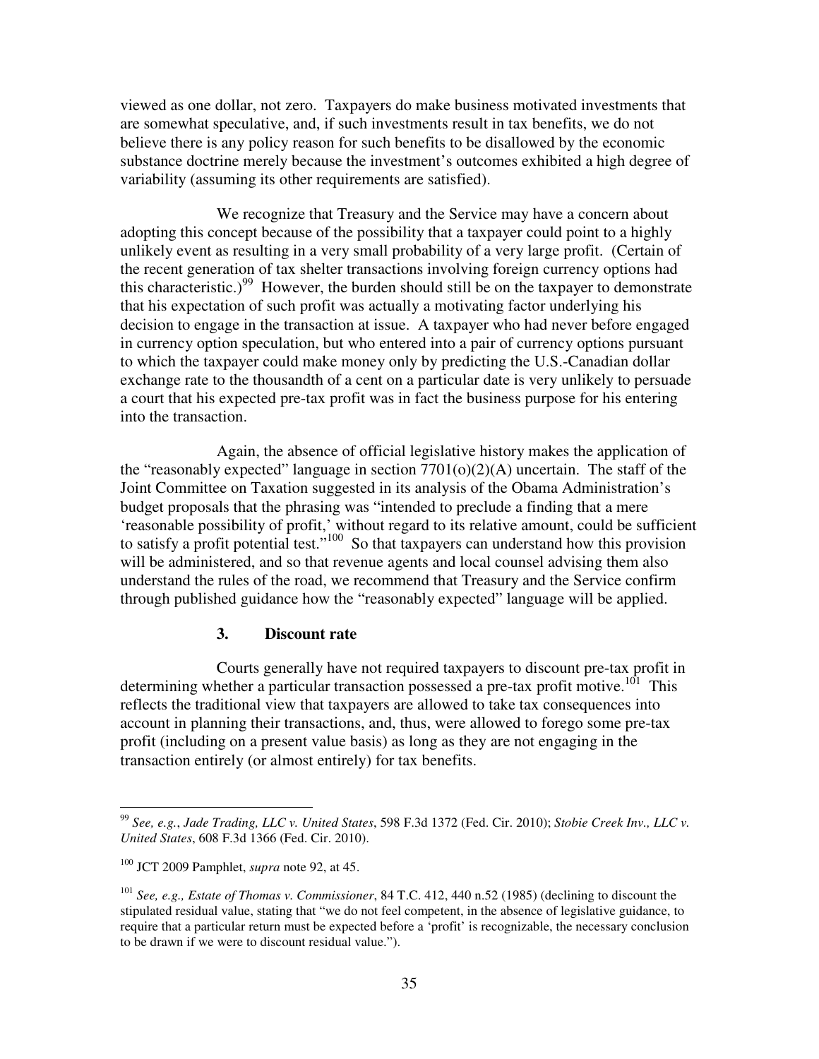viewed as one dollar, not zero. Taxpayers do make business motivated investments that are somewhat speculative, and, if such investments result in tax benefits, we do not believe there is any policy reason for such benefits to be disallowed by the economic substance doctrine merely because the investment's outcomes exhibited a high degree of variability (assuming its other requirements are satisfied).

We recognize that Treasury and the Service may have a concern about adopting this concept because of the possibility that a taxpayer could point to a highly unlikely event as resulting in a very small probability of a very large profit. (Certain of the recent generation of tax shelter transactions involving foreign currency options had this characteristic.)<sup>99</sup> However, the burden should still be on the taxpayer to demonstrate that his expectation of such profit was actually a motivating factor underlying his decision to engage in the transaction at issue. A taxpayer who had never before engaged in currency option speculation, but who entered into a pair of currency options pursuant to which the taxpayer could make money only by predicting the U.S.-Canadian dollar exchange rate to the thousandth of a cent on a particular date is very unlikely to persuade a court that his expected pre-tax profit was in fact the business purpose for his entering into the transaction.

Again, the absence of official legislative history makes the application of the "reasonably expected" language in section  $7701(o)(2)(A)$  uncertain. The staff of the Joint Committee on Taxation suggested in its analysis of the Obama Administration's budget proposals that the phrasing was "intended to preclude a finding that a mere 'reasonable possibility of profit,' without regard to its relative amount, could be sufficient to satisfy a profit potential test."<sup>100</sup> So that taxpayers can understand how this provision will be administered, and so that revenue agents and local counsel advising them also understand the rules of the road, we recommend that Treasury and the Service confirm through published guidance how the "reasonably expected" language will be applied.

## **3. Discount rate**

Courts generally have not required taxpayers to discount pre-tax profit in determining whether a particular transaction possessed a pre-tax profit motive.<sup>101</sup> This reflects the traditional view that taxpayers are allowed to take tax consequences into account in planning their transactions, and, thus, were allowed to forego some pre-tax profit (including on a present value basis) as long as they are not engaging in the transaction entirely (or almost entirely) for tax benefits.

<sup>99</sup> *See, e.g.*, *Jade Trading, LLC v. United States*, 598 F.3d 1372 (Fed. Cir. 2010); *Stobie Creek Inv., LLC v. United States*, 608 F.3d 1366 (Fed. Cir. 2010).

<sup>100</sup> JCT 2009 Pamphlet, *supra* note 92, at 45.

<sup>101</sup> *See, e.g., Estate of Thomas v. Commissioner*, 84 T.C. 412, 440 n.52 (1985) (declining to discount the stipulated residual value, stating that "we do not feel competent, in the absence of legislative guidance, to require that a particular return must be expected before a 'profit' is recognizable, the necessary conclusion to be drawn if we were to discount residual value.").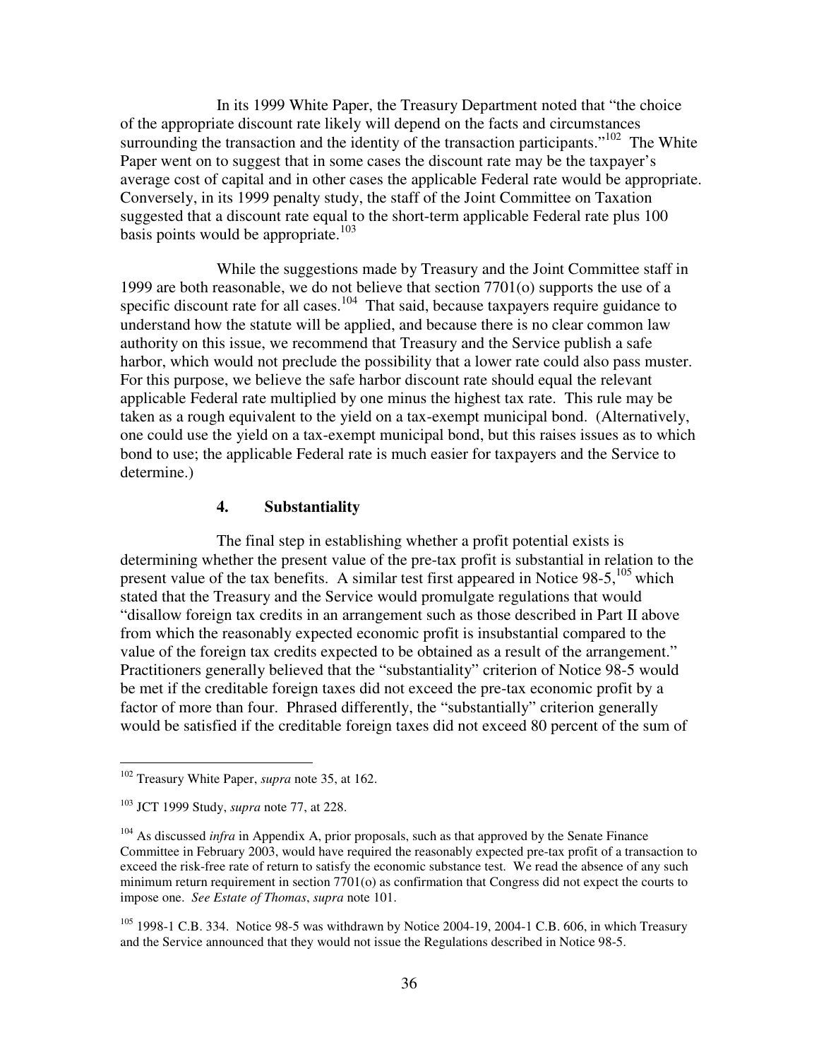In its 1999 White Paper, the Treasury Department noted that "the choice of the appropriate discount rate likely will depend on the facts and circumstances surrounding the transaction and the identity of the transaction participants." $102$  The White Paper went on to suggest that in some cases the discount rate may be the taxpayer's average cost of capital and in other cases the applicable Federal rate would be appropriate. Conversely, in its 1999 penalty study, the staff of the Joint Committee on Taxation suggested that a discount rate equal to the short-term applicable Federal rate plus 100 basis points would be appropriate.<sup>103</sup>

While the suggestions made by Treasury and the Joint Committee staff in 1999 are both reasonable, we do not believe that section 7701(o) supports the use of a specific discount rate for all cases.<sup>104</sup> That said, because taxpayers require guidance to understand how the statute will be applied, and because there is no clear common law authority on this issue, we recommend that Treasury and the Service publish a safe harbor, which would not preclude the possibility that a lower rate could also pass muster. For this purpose, we believe the safe harbor discount rate should equal the relevant applicable Federal rate multiplied by one minus the highest tax rate. This rule may be taken as a rough equivalent to the yield on a tax-exempt municipal bond. (Alternatively, one could use the yield on a tax-exempt municipal bond, but this raises issues as to which bond to use; the applicable Federal rate is much easier for taxpayers and the Service to determine.)

# **4. Substantiality**

The final step in establishing whether a profit potential exists is determining whether the present value of the pre-tax profit is substantial in relation to the present value of the tax benefits. A similar test first appeared in Notice  $98-5$ ,  $^{105}$  which stated that the Treasury and the Service would promulgate regulations that would "disallow foreign tax credits in an arrangement such as those described in Part II above from which the reasonably expected economic profit is insubstantial compared to the value of the foreign tax credits expected to be obtained as a result of the arrangement." Practitioners generally believed that the "substantiality" criterion of Notice 98-5 would be met if the creditable foreign taxes did not exceed the pre-tax economic profit by a factor of more than four. Phrased differently, the "substantially" criterion generally would be satisfied if the creditable foreign taxes did not exceed 80 percent of the sum of

 $\overline{a}$ 

<sup>105</sup> 1998-1 C.B. 334. Notice 98-5 was withdrawn by Notice 2004-19, 2004-1 C.B. 606, in which Treasury and the Service announced that they would not issue the Regulations described in Notice 98-5.

<sup>102</sup> Treasury White Paper, *supra* note 35, at 162.

<sup>103</sup> JCT 1999 Study, *supra* note 77, at 228.

<sup>&</sup>lt;sup>104</sup> As discussed *infra* in Appendix A, prior proposals, such as that approved by the Senate Finance Committee in February 2003, would have required the reasonably expected pre-tax profit of a transaction to exceed the risk-free rate of return to satisfy the economic substance test. We read the absence of any such minimum return requirement in section 7701(o) as confirmation that Congress did not expect the courts to impose one. *See Estate of Thomas*, *supra* note 101.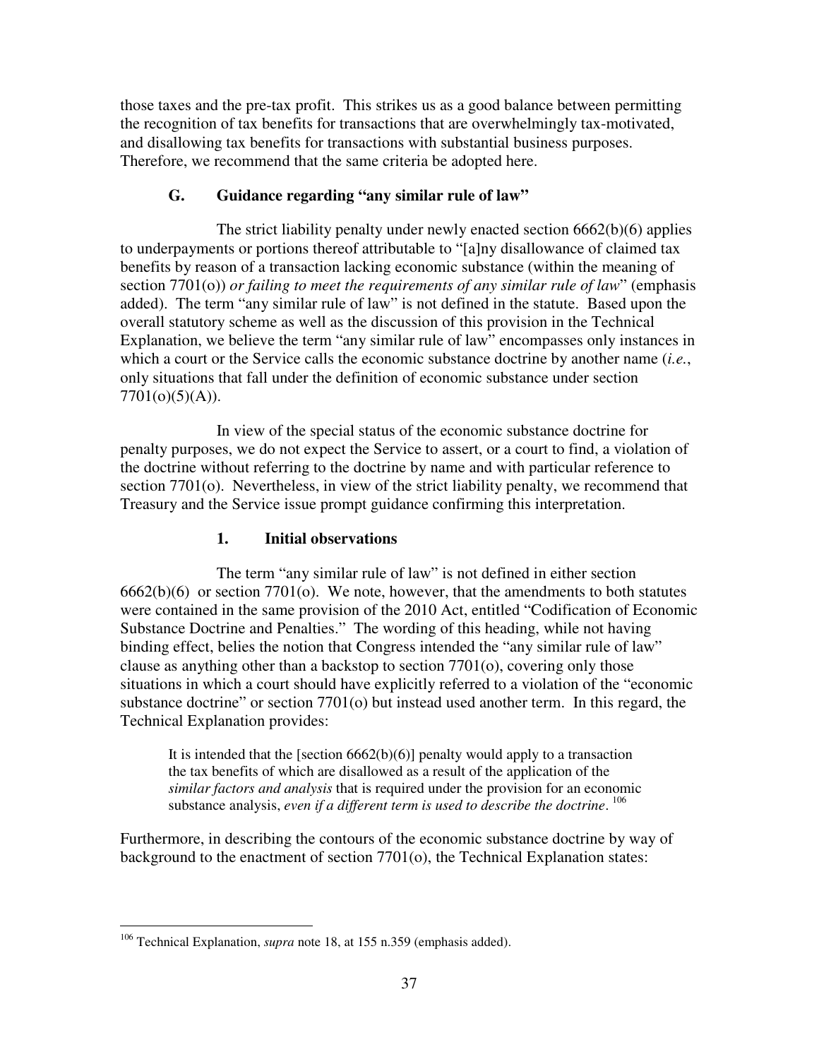those taxes and the pre-tax profit. This strikes us as a good balance between permitting the recognition of tax benefits for transactions that are overwhelmingly tax-motivated, and disallowing tax benefits for transactions with substantial business purposes. Therefore, we recommend that the same criteria be adopted here.

# **G. Guidance regarding "any similar rule of law"**

 The strict liability penalty under newly enacted section 6662(b)(6) applies to underpayments or portions thereof attributable to "[a]ny disallowance of claimed tax benefits by reason of a transaction lacking economic substance (within the meaning of section 7701(o)) *or failing to meet the requirements of any similar rule of law*" (emphasis added). The term "any similar rule of law" is not defined in the statute. Based upon the overall statutory scheme as well as the discussion of this provision in the Technical Explanation, we believe the term "any similar rule of law" encompasses only instances in which a court or the Service calls the economic substance doctrine by another name (*i.e.*, only situations that fall under the definition of economic substance under section  $7701(o)(5)(A)$ ).

 In view of the special status of the economic substance doctrine for penalty purposes, we do not expect the Service to assert, or a court to find, a violation of the doctrine without referring to the doctrine by name and with particular reference to section 7701(o). Nevertheless, in view of the strict liability penalty, we recommend that Treasury and the Service issue prompt guidance confirming this interpretation.

# **1. Initial observations**

 The term "any similar rule of law" is not defined in either section 6662(b)(6) or section 7701(o). We note, however, that the amendments to both statutes were contained in the same provision of the 2010 Act, entitled "Codification of Economic Substance Doctrine and Penalties." The wording of this heading, while not having binding effect, belies the notion that Congress intended the "any similar rule of law" clause as anything other than a backstop to section 7701(o), covering only those situations in which a court should have explicitly referred to a violation of the "economic substance doctrine" or section 7701(o) but instead used another term. In this regard, the Technical Explanation provides:

It is intended that the [section  $6662(b)(6)$ ] penalty would apply to a transaction the tax benefits of which are disallowed as a result of the application of the *similar factors and analysis* that is required under the provision for an economic substance analysis, *even if a different term is used to describe the doctrine*. 106

Furthermore, in describing the contours of the economic substance doctrine by way of background to the enactment of section 7701(o), the Technical Explanation states:

 $\overline{a}$ <sup>106</sup> Technical Explanation, *supra* note 18, at 155 n.359 (emphasis added).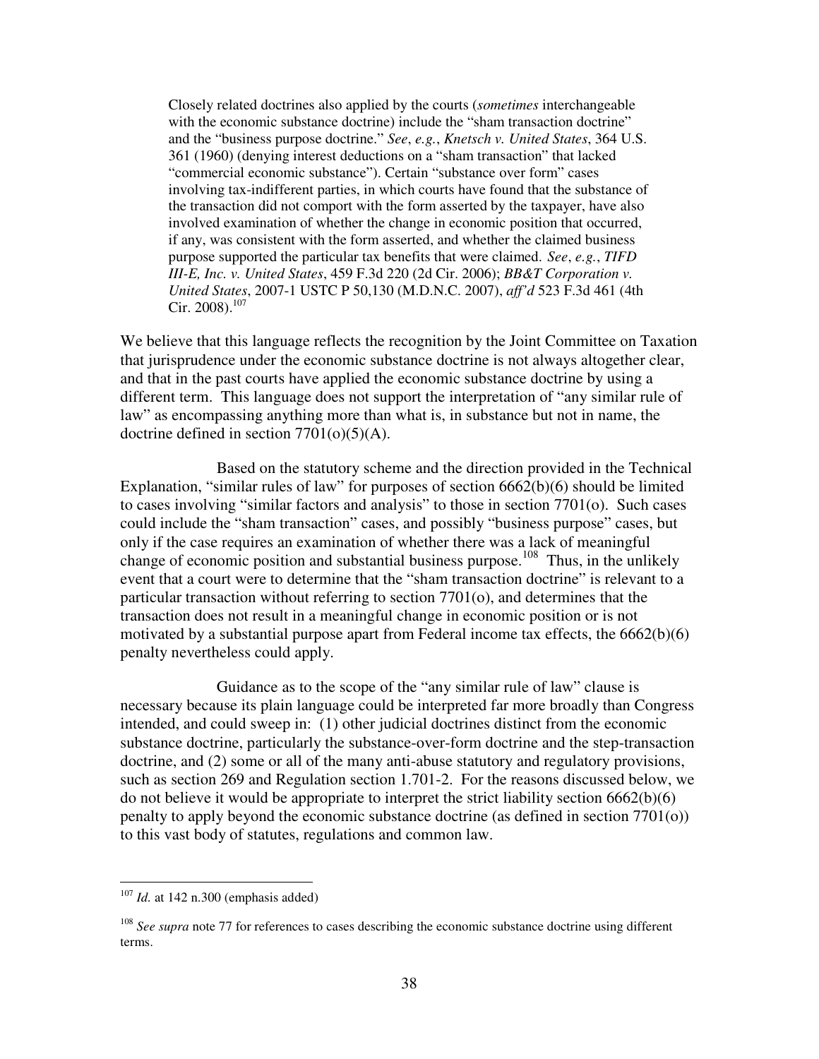Closely related doctrines also applied by the courts (*sometimes* interchangeable with the economic substance doctrine) include the "sham transaction doctrine" and the "business purpose doctrine." *See*, *e.g.*, *Knetsch v. United States*, 364 U.S. 361 (1960) (denying interest deductions on a "sham transaction" that lacked "commercial economic substance"). Certain "substance over form" cases involving tax-indifferent parties, in which courts have found that the substance of the transaction did not comport with the form asserted by the taxpayer, have also involved examination of whether the change in economic position that occurred, if any, was consistent with the form asserted, and whether the claimed business purpose supported the particular tax benefits that were claimed. *See*, *e.g.*, *TIFD III-E, Inc. v. United States*, 459 F.3d 220 (2d Cir. 2006); *BB&T Corporation v. United States*, 2007-1 USTC P 50,130 (M.D.N.C. 2007), *aff'd* 523 F.3d 461 (4th Cir. 2008).<sup>107</sup>

We believe that this language reflects the recognition by the Joint Committee on Taxation that jurisprudence under the economic substance doctrine is not always altogether clear, and that in the past courts have applied the economic substance doctrine by using a different term. This language does not support the interpretation of "any similar rule of law" as encompassing anything more than what is, in substance but not in name, the doctrine defined in section  $7701(o)(5)(A)$ .

 Based on the statutory scheme and the direction provided in the Technical Explanation, "similar rules of law" for purposes of section 6662(b)(6) should be limited to cases involving "similar factors and analysis" to those in section 7701(o). Such cases could include the "sham transaction" cases, and possibly "business purpose" cases, but only if the case requires an examination of whether there was a lack of meaningful change of economic position and substantial business purpose.<sup>108</sup> Thus, in the unlikely event that a court were to determine that the "sham transaction doctrine" is relevant to a particular transaction without referring to section 7701(o), and determines that the transaction does not result in a meaningful change in economic position or is not motivated by a substantial purpose apart from Federal income tax effects, the 6662(b)(6) penalty nevertheless could apply.

 Guidance as to the scope of the "any similar rule of law" clause is necessary because its plain language could be interpreted far more broadly than Congress intended, and could sweep in: (1) other judicial doctrines distinct from the economic substance doctrine, particularly the substance-over-form doctrine and the step-transaction doctrine, and (2) some or all of the many anti-abuse statutory and regulatory provisions, such as section 269 and Regulation section 1.701-2. For the reasons discussed below, we do not believe it would be appropriate to interpret the strict liability section 6662(b)(6) penalty to apply beyond the economic substance doctrine (as defined in section 7701(o)) to this vast body of statutes, regulations and common law.

<sup>107</sup> *Id.* at 142 n.300 (emphasis added)

<sup>&</sup>lt;sup>108</sup> *See supra* note 77 for references to cases describing the economic substance doctrine using different terms.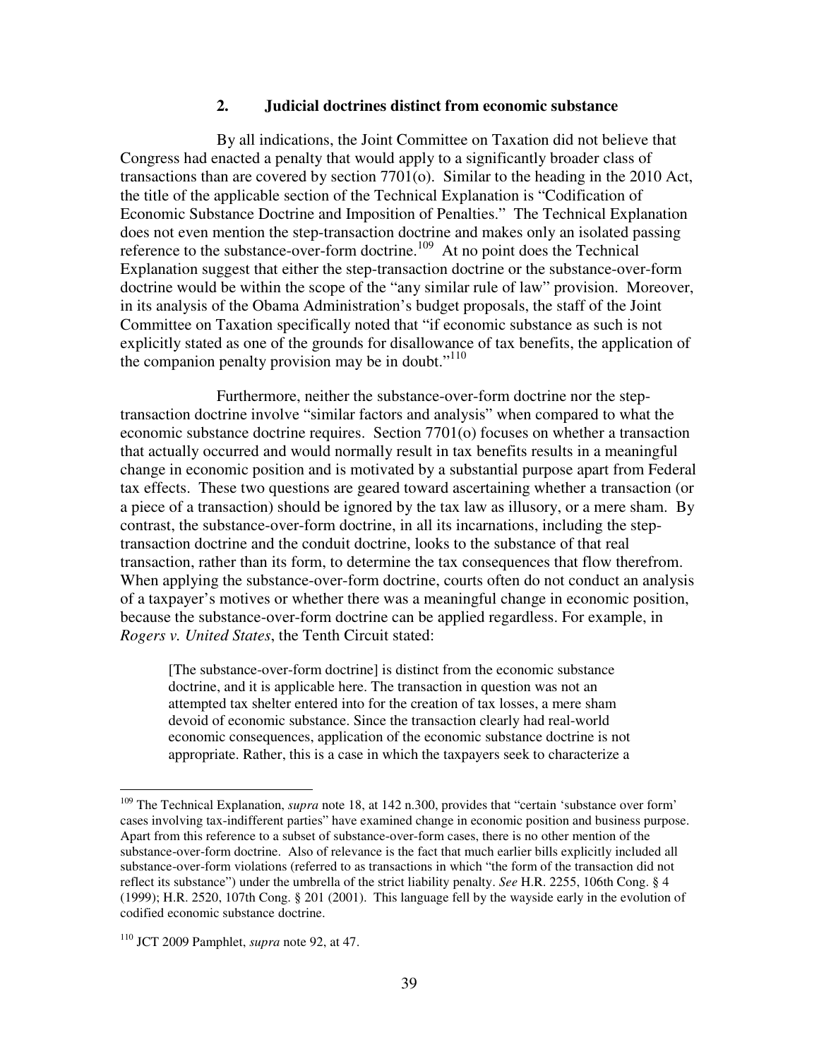### **2. Judicial doctrines distinct from economic substance**

 By all indications, the Joint Committee on Taxation did not believe that Congress had enacted a penalty that would apply to a significantly broader class of transactions than are covered by section 7701(o). Similar to the heading in the 2010 Act, the title of the applicable section of the Technical Explanation is "Codification of Economic Substance Doctrine and Imposition of Penalties." The Technical Explanation does not even mention the step-transaction doctrine and makes only an isolated passing reference to the substance-over-form doctrine.<sup>109</sup> At no point does the Technical Explanation suggest that either the step-transaction doctrine or the substance-over-form doctrine would be within the scope of the "any similar rule of law" provision. Moreover, in its analysis of the Obama Administration's budget proposals, the staff of the Joint Committee on Taxation specifically noted that "if economic substance as such is not explicitly stated as one of the grounds for disallowance of tax benefits, the application of the companion penalty provision may be in doubt."<sup>110</sup>

 Furthermore, neither the substance-over-form doctrine nor the steptransaction doctrine involve "similar factors and analysis" when compared to what the economic substance doctrine requires. Section 7701(o) focuses on whether a transaction that actually occurred and would normally result in tax benefits results in a meaningful change in economic position and is motivated by a substantial purpose apart from Federal tax effects. These two questions are geared toward ascertaining whether a transaction (or a piece of a transaction) should be ignored by the tax law as illusory, or a mere sham. By contrast, the substance-over-form doctrine, in all its incarnations, including the steptransaction doctrine and the conduit doctrine, looks to the substance of that real transaction, rather than its form, to determine the tax consequences that flow therefrom. When applying the substance-over-form doctrine, courts often do not conduct an analysis of a taxpayer's motives or whether there was a meaningful change in economic position, because the substance-over-form doctrine can be applied regardless. For example, in *Rogers v. United States*, the Tenth Circuit stated:

[The substance-over-form doctrine] is distinct from the economic substance doctrine, and it is applicable here. The transaction in question was not an attempted tax shelter entered into for the creation of tax losses, a mere sham devoid of economic substance. Since the transaction clearly had real-world economic consequences, application of the economic substance doctrine is not appropriate. Rather, this is a case in which the taxpayers seek to characterize a

<sup>&</sup>lt;sup>109</sup> The Technical Explanation, *supra* note 18, at 142 n.300, provides that "certain 'substance over form' cases involving tax-indifferent parties" have examined change in economic position and business purpose. Apart from this reference to a subset of substance-over-form cases, there is no other mention of the substance-over-form doctrine. Also of relevance is the fact that much earlier bills explicitly included all substance-over-form violations (referred to as transactions in which "the form of the transaction did not reflect its substance") under the umbrella of the strict liability penalty. *See* H.R. 2255, 106th Cong. § 4 (1999); H.R. 2520, 107th Cong. § 201 (2001). This language fell by the wayside early in the evolution of codified economic substance doctrine.

<sup>110</sup> JCT 2009 Pamphlet, *supra* note 92, at 47.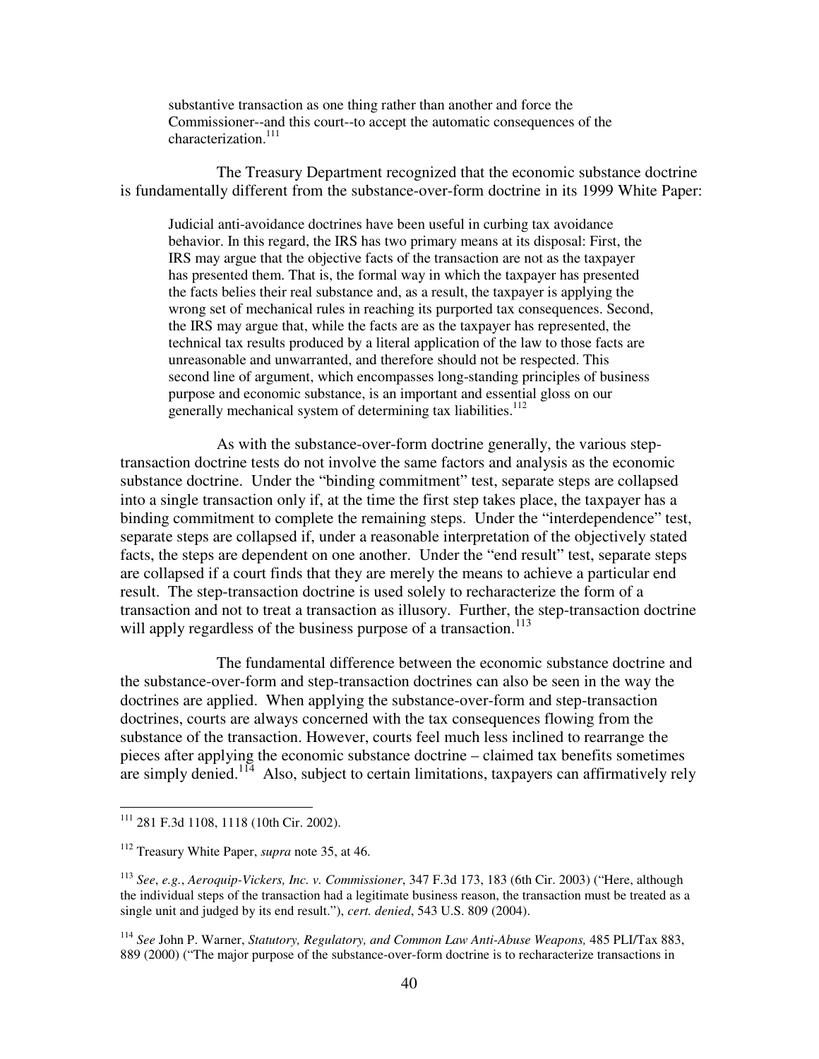substantive transaction as one thing rather than another and force the Commissioner--and this court--to accept the automatic consequences of the characterization.<sup>111</sup>

 The Treasury Department recognized that the economic substance doctrine is fundamentally different from the substance-over-form doctrine in its 1999 White Paper:

Judicial anti-avoidance doctrines have been useful in curbing tax avoidance behavior. In this regard, the IRS has two primary means at its disposal: First, the IRS may argue that the objective facts of the transaction are not as the taxpayer has presented them. That is, the formal way in which the taxpayer has presented the facts belies their real substance and, as a result, the taxpayer is applying the wrong set of mechanical rules in reaching its purported tax consequences. Second, the IRS may argue that, while the facts are as the taxpayer has represented, the technical tax results produced by a literal application of the law to those facts are unreasonable and unwarranted, and therefore should not be respected. This second line of argument, which encompasses long-standing principles of business purpose and economic substance, is an important and essential gloss on our generally mechanical system of determining tax liabilities.<sup>112</sup>

 As with the substance-over-form doctrine generally, the various steptransaction doctrine tests do not involve the same factors and analysis as the economic substance doctrine. Under the "binding commitment" test, separate steps are collapsed into a single transaction only if, at the time the first step takes place, the taxpayer has a binding commitment to complete the remaining steps. Under the "interdependence" test, separate steps are collapsed if, under a reasonable interpretation of the objectively stated facts, the steps are dependent on one another. Under the "end result" test, separate steps are collapsed if a court finds that they are merely the means to achieve a particular end result. The step-transaction doctrine is used solely to recharacterize the form of a transaction and not to treat a transaction as illusory. Further, the step-transaction doctrine will apply regardless of the business purpose of a transaction.<sup>113</sup>

 The fundamental difference between the economic substance doctrine and the substance-over-form and step-transaction doctrines can also be seen in the way the doctrines are applied. When applying the substance-over-form and step-transaction doctrines, courts are always concerned with the tax consequences flowing from the substance of the transaction. However, courts feel much less inclined to rearrange the pieces after applying the economic substance doctrine – claimed tax benefits sometimes are simply denied.<sup>114</sup> Also, subject to certain limitations, taxpayers can affirmatively rely

<sup>111</sup> 281 F.3d 1108, 1118 (10th Cir. 2002).

<sup>112</sup> Treasury White Paper, *supra* note 35, at 46.

<sup>113</sup> *See*, *e.g.*, *Aeroquip-Vickers, Inc. v. Commissioner*, 347 F.3d 173, 183 (6th Cir. 2003) ("Here, although the individual steps of the transaction had a legitimate business reason, the transaction must be treated as a single unit and judged by its end result."), *cert. denied*, 543 U.S. 809 (2004).

<sup>114</sup> *See* John P. Warner, *Statutory, Regulatory, and Common Law Anti-Abuse Weapons,* 485 PLI/Tax 883, 889 (2000) ("The major purpose of the substance-over-form doctrine is to recharacterize transactions in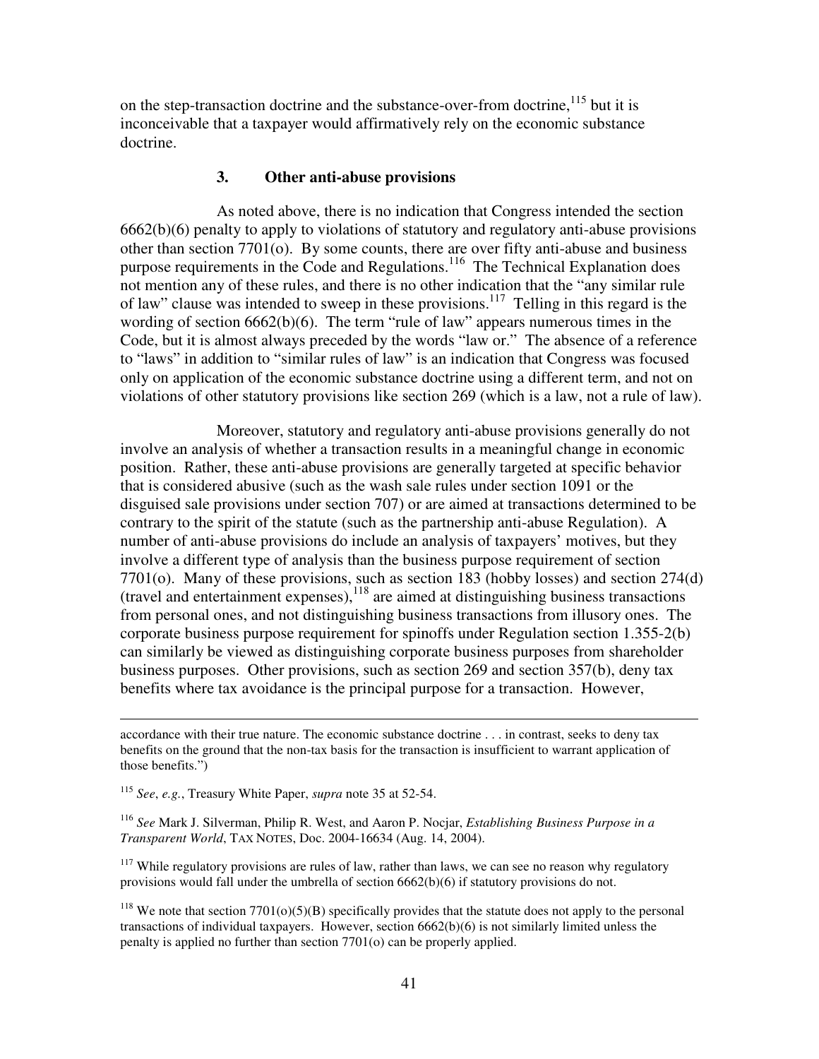on the step-transaction doctrine and the substance-over-from doctrine,  $115$  but it is inconceivable that a taxpayer would affirmatively rely on the economic substance doctrine.

## **3. Other anti-abuse provisions**

 As noted above, there is no indication that Congress intended the section 6662(b)(6) penalty to apply to violations of statutory and regulatory anti-abuse provisions other than section 7701(o). By some counts, there are over fifty anti-abuse and business purpose requirements in the Code and Regulations.<sup>116</sup> The Technical Explanation does not mention any of these rules, and there is no other indication that the "any similar rule of law" clause was intended to sweep in these provisions.<sup>117</sup> Telling in this regard is the wording of section 6662(b)(6). The term "rule of law" appears numerous times in the Code, but it is almost always preceded by the words "law or." The absence of a reference to "laws" in addition to "similar rules of law" is an indication that Congress was focused only on application of the economic substance doctrine using a different term, and not on violations of other statutory provisions like section 269 (which is a law, not a rule of law).

 Moreover, statutory and regulatory anti-abuse provisions generally do not involve an analysis of whether a transaction results in a meaningful change in economic position. Rather, these anti-abuse provisions are generally targeted at specific behavior that is considered abusive (such as the wash sale rules under section 1091 or the disguised sale provisions under section 707) or are aimed at transactions determined to be contrary to the spirit of the statute (such as the partnership anti-abuse Regulation). A number of anti-abuse provisions do include an analysis of taxpayers' motives, but they involve a different type of analysis than the business purpose requirement of section 7701(o). Many of these provisions, such as section 183 (hobby losses) and section 274(d)  $(r^2 + r^3)$  (travel and entertainment expenses),  $^{118}$  are aimed at distinguishing business transactions from personal ones, and not distinguishing business transactions from illusory ones. The corporate business purpose requirement for spinoffs under Regulation section 1.355-2(b) can similarly be viewed as distinguishing corporate business purposes from shareholder business purposes. Other provisions, such as section 269 and section 357(b), deny tax benefits where tax avoidance is the principal purpose for a transaction. However,

<sup>115</sup> *See*, *e.g.*, Treasury White Paper, *supra* note 35 at 52-54.

 $\overline{a}$ 

<sup>116</sup> *See* Mark J. Silverman, Philip R. West, and Aaron P. Nocjar, *Establishing Business Purpose in a Transparent World*, TAX NOTES, Doc. 2004-16634 (Aug. 14, 2004).

 $117$  While regulatory provisions are rules of law, rather than laws, we can see no reason why regulatory provisions would fall under the umbrella of section 6662(b)(6) if statutory provisions do not.

<sup>118</sup> We note that section  $7701(0)(5)(B)$  specifically provides that the statute does not apply to the personal transactions of individual taxpayers. However, section 6662(b)(6) is not similarly limited unless the penalty is applied no further than section 7701(o) can be properly applied.

accordance with their true nature. The economic substance doctrine . . . in contrast, seeks to deny tax benefits on the ground that the non-tax basis for the transaction is insufficient to warrant application of those benefits.")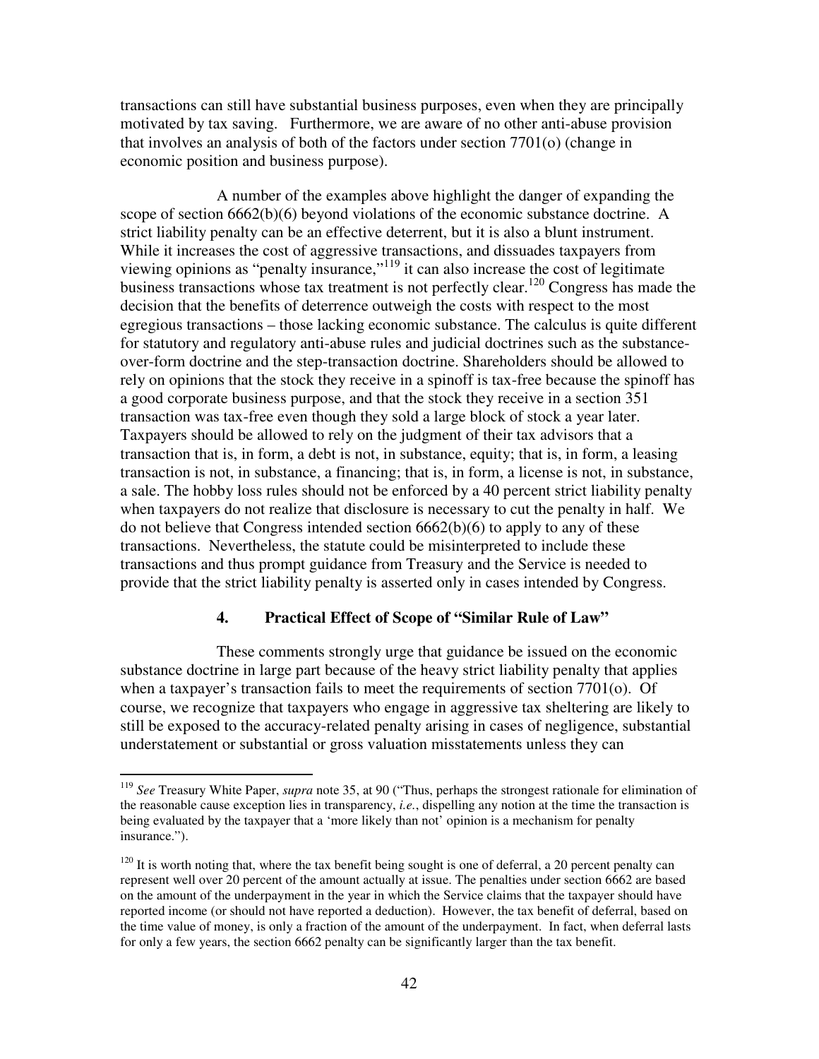transactions can still have substantial business purposes, even when they are principally motivated by tax saving. Furthermore, we are aware of no other anti-abuse provision that involves an analysis of both of the factors under section 7701(o) (change in economic position and business purpose).

 A number of the examples above highlight the danger of expanding the scope of section 6662(b)(6) beyond violations of the economic substance doctrine. A strict liability penalty can be an effective deterrent, but it is also a blunt instrument. While it increases the cost of aggressive transactions, and dissuades taxpayers from viewing opinions as "penalty insurance,"<sup>119</sup> it can also increase the cost of legitimate business transactions whose tax treatment is not perfectly clear.<sup>120</sup> Congress has made the decision that the benefits of deterrence outweigh the costs with respect to the most egregious transactions – those lacking economic substance. The calculus is quite different for statutory and regulatory anti-abuse rules and judicial doctrines such as the substanceover-form doctrine and the step-transaction doctrine. Shareholders should be allowed to rely on opinions that the stock they receive in a spinoff is tax-free because the spinoff has a good corporate business purpose, and that the stock they receive in a section 351 transaction was tax-free even though they sold a large block of stock a year later. Taxpayers should be allowed to rely on the judgment of their tax advisors that a transaction that is, in form, a debt is not, in substance, equity; that is, in form, a leasing transaction is not, in substance, a financing; that is, in form, a license is not, in substance, a sale. The hobby loss rules should not be enforced by a 40 percent strict liability penalty when taxpayers do not realize that disclosure is necessary to cut the penalty in half. We do not believe that Congress intended section 6662(b)(6) to apply to any of these transactions. Nevertheless, the statute could be misinterpreted to include these transactions and thus prompt guidance from Treasury and the Service is needed to provide that the strict liability penalty is asserted only in cases intended by Congress.

### **4. Practical Effect of Scope of "Similar Rule of Law"**

 These comments strongly urge that guidance be issued on the economic substance doctrine in large part because of the heavy strict liability penalty that applies when a taxpayer's transaction fails to meet the requirements of section 7701(o). Of course, we recognize that taxpayers who engage in aggressive tax sheltering are likely to still be exposed to the accuracy-related penalty arising in cases of negligence, substantial understatement or substantial or gross valuation misstatements unless they can

<sup>119</sup> *See* Treasury White Paper, *supra* note 35, at 90 ("Thus, perhaps the strongest rationale for elimination of the reasonable cause exception lies in transparency, *i.e.*, dispelling any notion at the time the transaction is being evaluated by the taxpayer that a 'more likely than not' opinion is a mechanism for penalty insurance.").

 $120$  It is worth noting that, where the tax benefit being sought is one of deferral, a 20 percent penalty can represent well over 20 percent of the amount actually at issue. The penalties under section 6662 are based on the amount of the underpayment in the year in which the Service claims that the taxpayer should have reported income (or should not have reported a deduction). However, the tax benefit of deferral, based on the time value of money, is only a fraction of the amount of the underpayment. In fact, when deferral lasts for only a few years, the section 6662 penalty can be significantly larger than the tax benefit.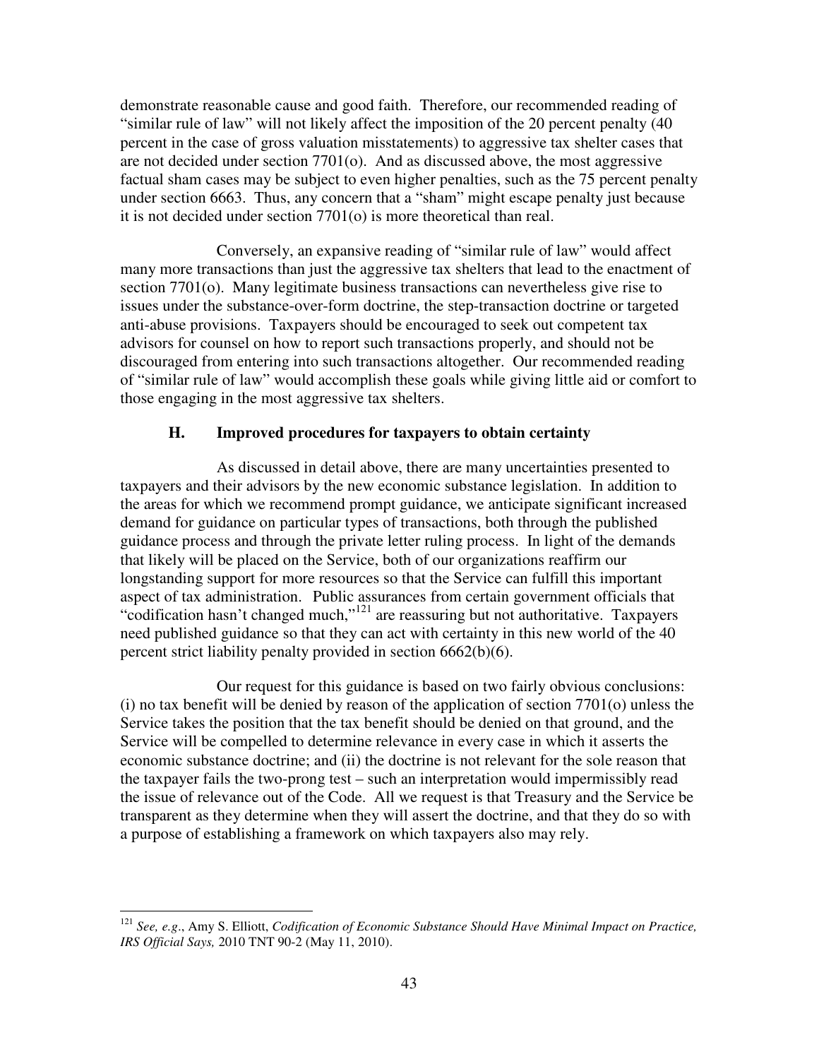demonstrate reasonable cause and good faith. Therefore, our recommended reading of "similar rule of law" will not likely affect the imposition of the 20 percent penalty (40 percent in the case of gross valuation misstatements) to aggressive tax shelter cases that are not decided under section  $7701<sub>(o)</sub>$ . And as discussed above, the most aggressive factual sham cases may be subject to even higher penalties, such as the 75 percent penalty under section 6663. Thus, any concern that a "sham" might escape penalty just because it is not decided under section 7701(o) is more theoretical than real.

 Conversely, an expansive reading of "similar rule of law" would affect many more transactions than just the aggressive tax shelters that lead to the enactment of section 7701(o). Many legitimate business transactions can nevertheless give rise to issues under the substance-over-form doctrine, the step-transaction doctrine or targeted anti-abuse provisions. Taxpayers should be encouraged to seek out competent tax advisors for counsel on how to report such transactions properly, and should not be discouraged from entering into such transactions altogether. Our recommended reading of "similar rule of law" would accomplish these goals while giving little aid or comfort to those engaging in the most aggressive tax shelters.

# **H. Improved procedures for taxpayers to obtain certainty**

 As discussed in detail above, there are many uncertainties presented to taxpayers and their advisors by the new economic substance legislation. In addition to the areas for which we recommend prompt guidance, we anticipate significant increased demand for guidance on particular types of transactions, both through the published guidance process and through the private letter ruling process. In light of the demands that likely will be placed on the Service, both of our organizations reaffirm our longstanding support for more resources so that the Service can fulfill this important aspect of tax administration. Public assurances from certain government officials that "codification hasn't changed much,"<sup>121</sup> are reassuring but not authoritative. Taxpayers need published guidance so that they can act with certainty in this new world of the 40 percent strict liability penalty provided in section 6662(b)(6).

 Our request for this guidance is based on two fairly obvious conclusions: (i) no tax benefit will be denied by reason of the application of section 7701(o) unless the Service takes the position that the tax benefit should be denied on that ground, and the Service will be compelled to determine relevance in every case in which it asserts the economic substance doctrine; and (ii) the doctrine is not relevant for the sole reason that the taxpayer fails the two-prong test – such an interpretation would impermissibly read the issue of relevance out of the Code. All we request is that Treasury and the Service be transparent as they determine when they will assert the doctrine, and that they do so with a purpose of establishing a framework on which taxpayers also may rely.

 $\overline{a}$ <sup>121</sup> *See, e.g*., Amy S. Elliott, *Codification of Economic Substance Should Have Minimal Impact on Practice, IRS Official Says,* 2010 TNT 90-2 (May 11, 2010).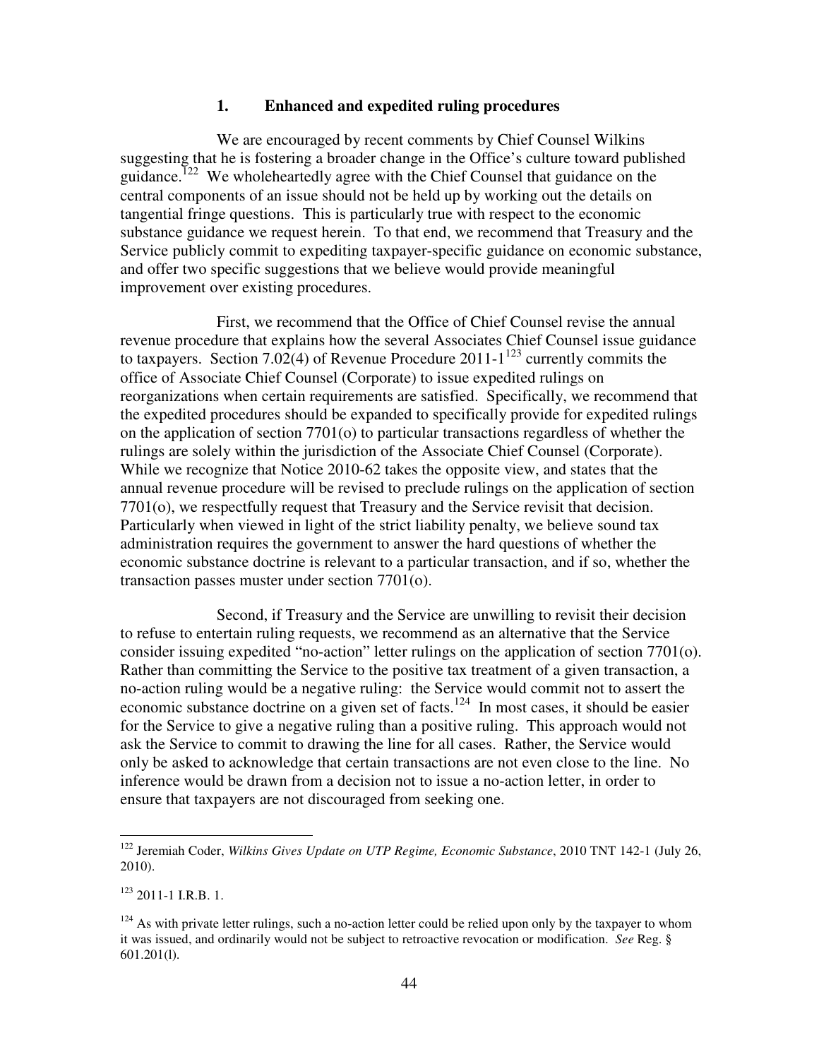### **1. Enhanced and expedited ruling procedures**

 We are encouraged by recent comments by Chief Counsel Wilkins suggesting that he is fostering a broader change in the Office's culture toward published guidance.<sup>122</sup> We wholeheartedly agree with the Chief Counsel that guidance on the central components of an issue should not be held up by working out the details on tangential fringe questions. This is particularly true with respect to the economic substance guidance we request herein. To that end, we recommend that Treasury and the Service publicly commit to expediting taxpayer-specific guidance on economic substance, and offer two specific suggestions that we believe would provide meaningful improvement over existing procedures.

 First, we recommend that the Office of Chief Counsel revise the annual revenue procedure that explains how the several Associates Chief Counsel issue guidance to taxpayers. Section 7.02(4) of Revenue Procedure 2011-1<sup>123</sup> currently commits the office of Associate Chief Counsel (Corporate) to issue expedited rulings on reorganizations when certain requirements are satisfied. Specifically, we recommend that the expedited procedures should be expanded to specifically provide for expedited rulings on the application of section 7701(o) to particular transactions regardless of whether the rulings are solely within the jurisdiction of the Associate Chief Counsel (Corporate). While we recognize that Notice 2010-62 takes the opposite view, and states that the annual revenue procedure will be revised to preclude rulings on the application of section 7701(o), we respectfully request that Treasury and the Service revisit that decision. Particularly when viewed in light of the strict liability penalty, we believe sound tax administration requires the government to answer the hard questions of whether the economic substance doctrine is relevant to a particular transaction, and if so, whether the transaction passes muster under section 7701(o).

 Second, if Treasury and the Service are unwilling to revisit their decision to refuse to entertain ruling requests, we recommend as an alternative that the Service consider issuing expedited "no-action" letter rulings on the application of section 7701(o). Rather than committing the Service to the positive tax treatment of a given transaction, a no-action ruling would be a negative ruling: the Service would commit not to assert the economic substance doctrine on a given set of facts.<sup>124</sup> In most cases, it should be easier for the Service to give a negative ruling than a positive ruling. This approach would not ask the Service to commit to drawing the line for all cases. Rather, the Service would only be asked to acknowledge that certain transactions are not even close to the line. No inference would be drawn from a decision not to issue a no-action letter, in order to ensure that taxpayers are not discouraged from seeking one.

<sup>122</sup> Jeremiah Coder, *Wilkins Gives Update on UTP Regime, Economic Substance*, 2010 TNT 142-1 (July 26, 2010).

 $123$  2011-1 I.R.B. 1.

 $124$  As with private letter rulings, such a no-action letter could be relied upon only by the taxpayer to whom it was issued, and ordinarily would not be subject to retroactive revocation or modification. *See* Reg. § 601.201(l).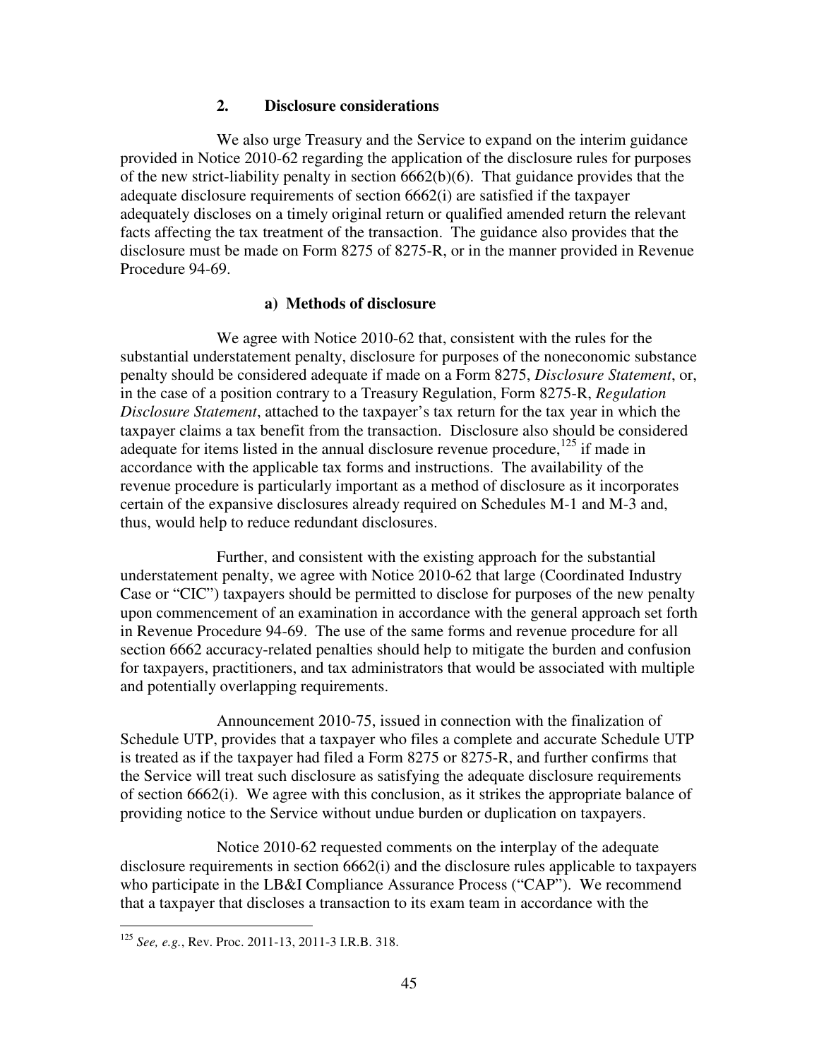## **2. Disclosure considerations**

 We also urge Treasury and the Service to expand on the interim guidance provided in Notice 2010-62 regarding the application of the disclosure rules for purposes of the new strict-liability penalty in section 6662(b)(6). That guidance provides that the adequate disclosure requirements of section 6662(i) are satisfied if the taxpayer adequately discloses on a timely original return or qualified amended return the relevant facts affecting the tax treatment of the transaction. The guidance also provides that the disclosure must be made on Form 8275 of 8275-R, or in the manner provided in Revenue Procedure 94-69.

## **a) Methods of disclosure**

 We agree with Notice 2010-62 that, consistent with the rules for the substantial understatement penalty, disclosure for purposes of the noneconomic substance penalty should be considered adequate if made on a Form 8275, *Disclosure Statement*, or, in the case of a position contrary to a Treasury Regulation, Form 8275-R, *Regulation Disclosure Statement*, attached to the taxpayer's tax return for the tax year in which the taxpayer claims a tax benefit from the transaction. Disclosure also should be considered adequate for items listed in the annual disclosure revenue procedure, $125$  if made in accordance with the applicable tax forms and instructions. The availability of the revenue procedure is particularly important as a method of disclosure as it incorporates certain of the expansive disclosures already required on Schedules M-1 and M-3 and, thus, would help to reduce redundant disclosures.

 Further, and consistent with the existing approach for the substantial understatement penalty, we agree with Notice 2010-62 that large (Coordinated Industry Case or "CIC") taxpayers should be permitted to disclose for purposes of the new penalty upon commencement of an examination in accordance with the general approach set forth in Revenue Procedure 94-69. The use of the same forms and revenue procedure for all section 6662 accuracy-related penalties should help to mitigate the burden and confusion for taxpayers, practitioners, and tax administrators that would be associated with multiple and potentially overlapping requirements.

 Announcement 2010-75, issued in connection with the finalization of Schedule UTP, provides that a taxpayer who files a complete and accurate Schedule UTP is treated as if the taxpayer had filed a Form 8275 or 8275-R, and further confirms that the Service will treat such disclosure as satisfying the adequate disclosure requirements of section 6662(i). We agree with this conclusion, as it strikes the appropriate balance of providing notice to the Service without undue burden or duplication on taxpayers.

 Notice 2010-62 requested comments on the interplay of the adequate disclosure requirements in section 6662(i) and the disclosure rules applicable to taxpayers who participate in the LB&I Compliance Assurance Process ("CAP"). We recommend that a taxpayer that discloses a transaction to its exam team in accordance with the

<sup>125</sup> *See, e.g.*, Rev. Proc. 2011-13, 2011-3 I.R.B. 318.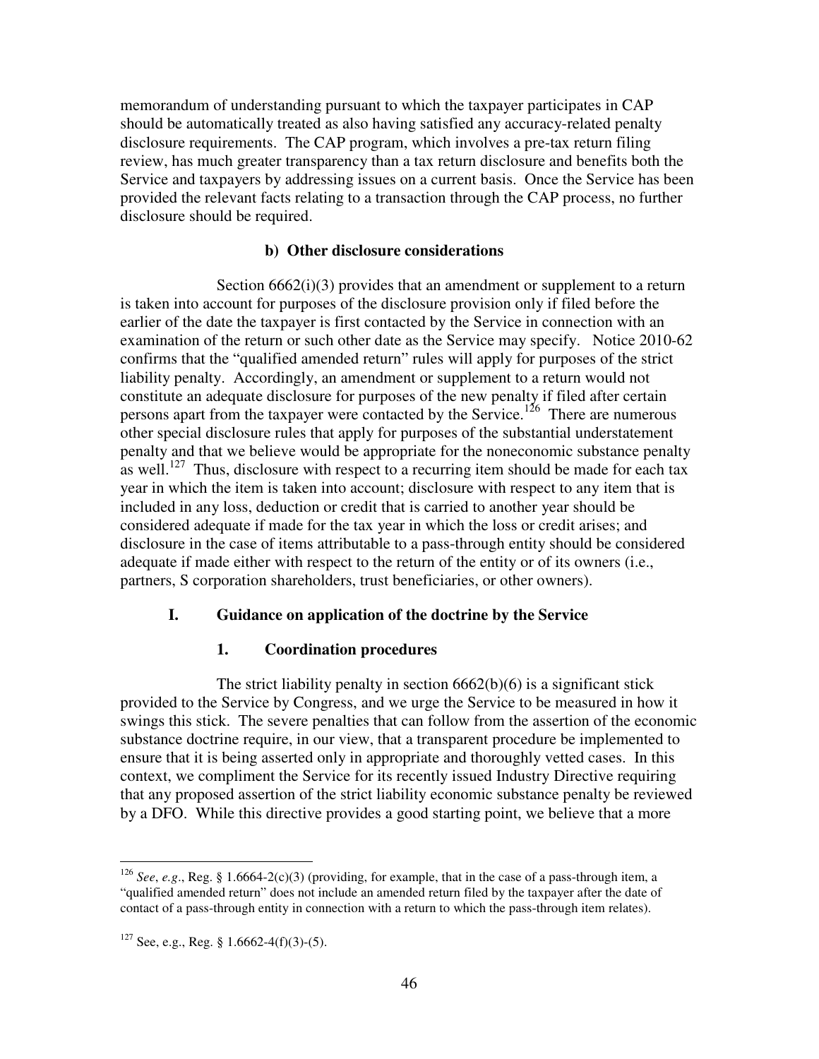memorandum of understanding pursuant to which the taxpayer participates in CAP should be automatically treated as also having satisfied any accuracy-related penalty disclosure requirements. The CAP program, which involves a pre-tax return filing review, has much greater transparency than a tax return disclosure and benefits both the Service and taxpayers by addressing issues on a current basis. Once the Service has been provided the relevant facts relating to a transaction through the CAP process, no further disclosure should be required.

### **b) Other disclosure considerations**

Section  $6662(i)(3)$  provides that an amendment or supplement to a return is taken into account for purposes of the disclosure provision only if filed before the earlier of the date the taxpayer is first contacted by the Service in connection with an examination of the return or such other date as the Service may specify. Notice 2010-62 confirms that the "qualified amended return" rules will apply for purposes of the strict liability penalty. Accordingly, an amendment or supplement to a return would not constitute an adequate disclosure for purposes of the new penalty if filed after certain persons apart from the taxpayer were contacted by the Service.<sup>126</sup> There are numerous other special disclosure rules that apply for purposes of the substantial understatement penalty and that we believe would be appropriate for the noneconomic substance penalty as well.<sup>127</sup> Thus, disclosure with respect to a recurring item should be made for each tax year in which the item is taken into account; disclosure with respect to any item that is included in any loss, deduction or credit that is carried to another year should be considered adequate if made for the tax year in which the loss or credit arises; and disclosure in the case of items attributable to a pass-through entity should be considered adequate if made either with respect to the return of the entity or of its owners (i.e., partners, S corporation shareholders, trust beneficiaries, or other owners).

## **I. Guidance on application of the doctrine by the Service**

## **1. Coordination procedures**

The strict liability penalty in section  $6662(b)(6)$  is a significant stick provided to the Service by Congress, and we urge the Service to be measured in how it swings this stick. The severe penalties that can follow from the assertion of the economic substance doctrine require, in our view, that a transparent procedure be implemented to ensure that it is being asserted only in appropriate and thoroughly vetted cases. In this context, we compliment the Service for its recently issued Industry Directive requiring that any proposed assertion of the strict liability economic substance penalty be reviewed by a DFO. While this directive provides a good starting point, we believe that a more

<sup>126</sup> *See*, *e.g*., Reg. § 1.6664-2(c)(3) (providing, for example, that in the case of a pass-through item, a "qualified amended return" does not include an amended return filed by the taxpayer after the date of contact of a pass-through entity in connection with a return to which the pass-through item relates).

 $127$  See, e.g., Reg. § 1.6662-4(f)(3)-(5).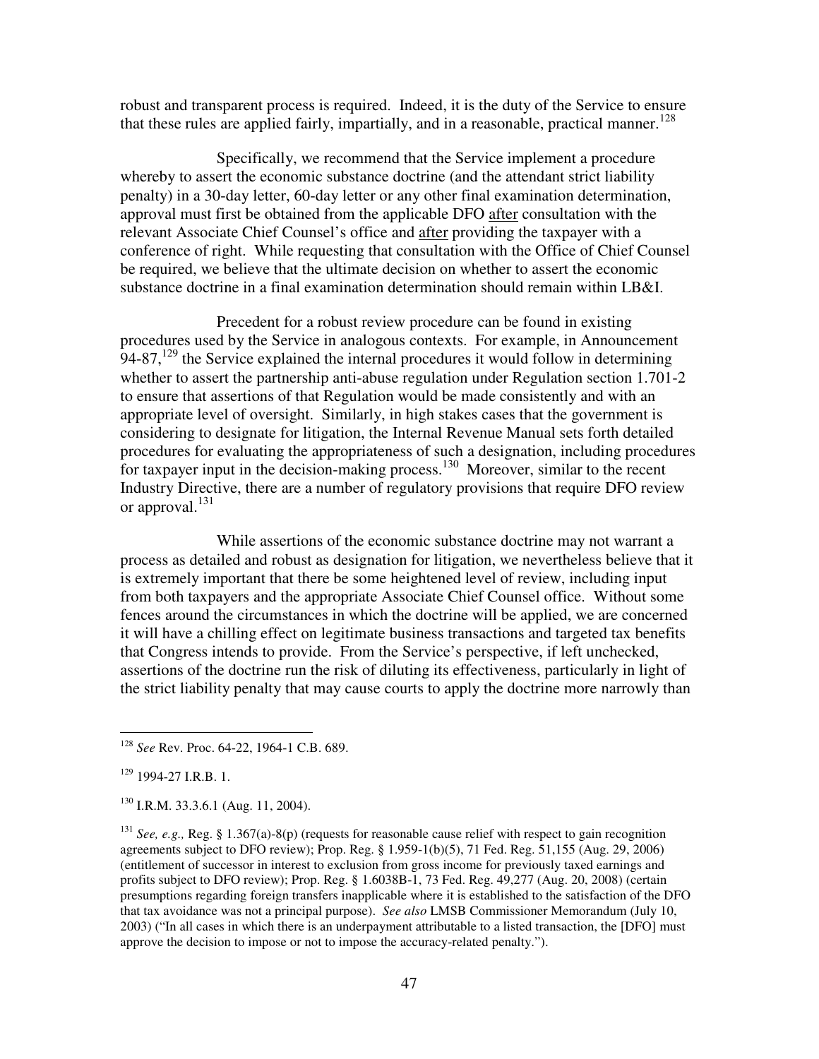robust and transparent process is required. Indeed, it is the duty of the Service to ensure that these rules are applied fairly, impartially, and in a reasonable, practical manner.<sup>128</sup>

 Specifically, we recommend that the Service implement a procedure whereby to assert the economic substance doctrine (and the attendant strict liability penalty) in a 30-day letter, 60-day letter or any other final examination determination, approval must first be obtained from the applicable DFO after consultation with the relevant Associate Chief Counsel's office and after providing the taxpayer with a conference of right. While requesting that consultation with the Office of Chief Counsel be required, we believe that the ultimate decision on whether to assert the economic substance doctrine in a final examination determination should remain within LB&I.

 Precedent for a robust review procedure can be found in existing procedures used by the Service in analogous contexts. For example, in Announcement 94-87,<sup>129</sup> the Service explained the internal procedures it would follow in determining whether to assert the partnership anti-abuse regulation under Regulation section 1.701-2 to ensure that assertions of that Regulation would be made consistently and with an appropriate level of oversight. Similarly, in high stakes cases that the government is considering to designate for litigation, the Internal Revenue Manual sets forth detailed procedures for evaluating the appropriateness of such a designation, including procedures for taxpayer input in the decision-making process.<sup>130</sup> Moreover, similar to the recent Industry Directive, there are a number of regulatory provisions that require DFO review or approval.<sup>131</sup>

 While assertions of the economic substance doctrine may not warrant a process as detailed and robust as designation for litigation, we nevertheless believe that it is extremely important that there be some heightened level of review, including input from both taxpayers and the appropriate Associate Chief Counsel office. Without some fences around the circumstances in which the doctrine will be applied, we are concerned it will have a chilling effect on legitimate business transactions and targeted tax benefits that Congress intends to provide. From the Service's perspective, if left unchecked, assertions of the doctrine run the risk of diluting its effectiveness, particularly in light of the strict liability penalty that may cause courts to apply the doctrine more narrowly than

<sup>128</sup> *See* Rev. Proc. 64-22, 1964-1 C.B. 689.

<sup>129</sup> 1994-27 I.R.B. 1.

<sup>&</sup>lt;sup>130</sup> I.R.M. 33.3.6.1 (Aug. 11, 2004).

<sup>&</sup>lt;sup>131</sup> *See, e.g., Reg.* § 1.367(a)-8(p) (requests for reasonable cause relief with respect to gain recognition agreements subject to DFO review); Prop. Reg. § 1.959-1(b)(5), 71 Fed. Reg. 51,155 (Aug. 29, 2006) (entitlement of successor in interest to exclusion from gross income for previously taxed earnings and profits subject to DFO review); Prop. Reg. § 1.6038B-1, 73 Fed. Reg. 49,277 (Aug. 20, 2008) (certain presumptions regarding foreign transfers inapplicable where it is established to the satisfaction of the DFO that tax avoidance was not a principal purpose). *See also* LMSB Commissioner Memorandum (July 10, 2003) ("In all cases in which there is an underpayment attributable to a listed transaction, the [DFO] must approve the decision to impose or not to impose the accuracy-related penalty.").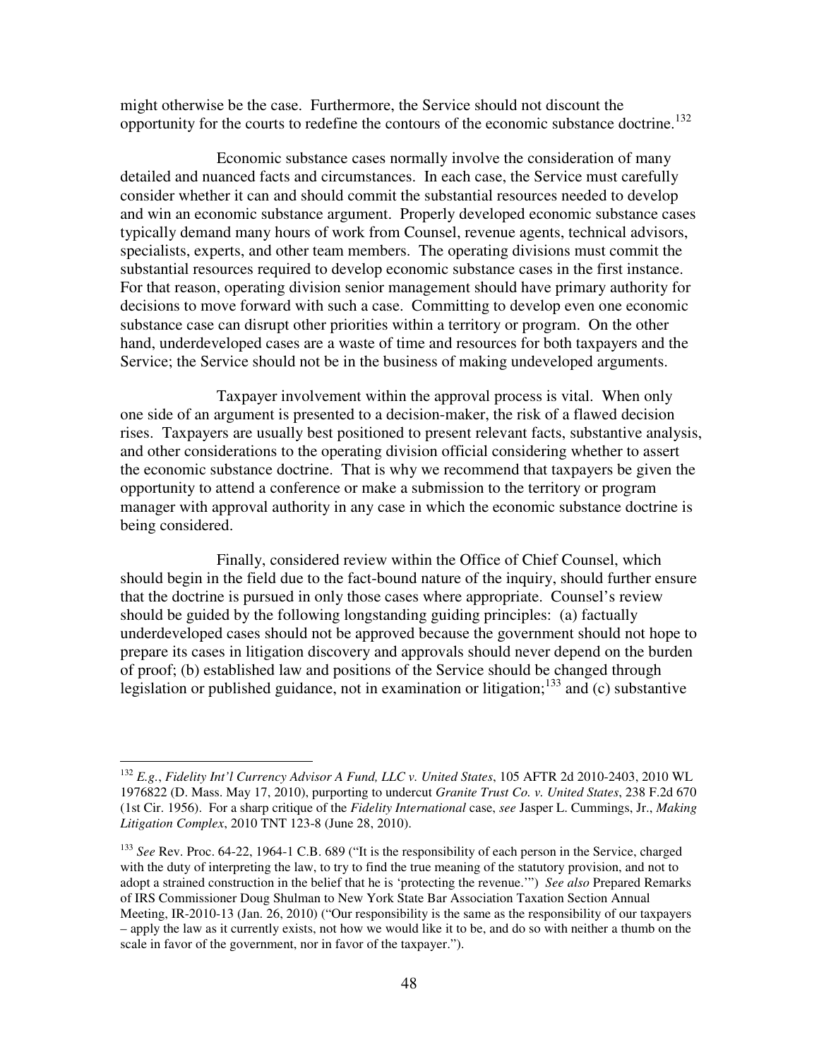might otherwise be the case. Furthermore, the Service should not discount the opportunity for the courts to redefine the contours of the economic substance doctrine.<sup>132</sup>

 Economic substance cases normally involve the consideration of many detailed and nuanced facts and circumstances. In each case, the Service must carefully consider whether it can and should commit the substantial resources needed to develop and win an economic substance argument. Properly developed economic substance cases typically demand many hours of work from Counsel, revenue agents, technical advisors, specialists, experts, and other team members. The operating divisions must commit the substantial resources required to develop economic substance cases in the first instance. For that reason, operating division senior management should have primary authority for decisions to move forward with such a case. Committing to develop even one economic substance case can disrupt other priorities within a territory or program. On the other hand, underdeveloped cases are a waste of time and resources for both taxpayers and the Service; the Service should not be in the business of making undeveloped arguments.

 Taxpayer involvement within the approval process is vital. When only one side of an argument is presented to a decision-maker, the risk of a flawed decision rises. Taxpayers are usually best positioned to present relevant facts, substantive analysis, and other considerations to the operating division official considering whether to assert the economic substance doctrine. That is why we recommend that taxpayers be given the opportunity to attend a conference or make a submission to the territory or program manager with approval authority in any case in which the economic substance doctrine is being considered.

 Finally, considered review within the Office of Chief Counsel, which should begin in the field due to the fact-bound nature of the inquiry, should further ensure that the doctrine is pursued in only those cases where appropriate. Counsel's review should be guided by the following longstanding guiding principles: (a) factually underdeveloped cases should not be approved because the government should not hope to prepare its cases in litigation discovery and approvals should never depend on the burden of proof; (b) established law and positions of the Service should be changed through legislation or published guidance, not in examination or litigation;<sup>133</sup> and (c) substantive

<sup>132</sup> *E.g.*, *Fidelity Int'l Currency Advisor A Fund, LLC v. United States*, 105 AFTR 2d 2010-2403, 2010 WL 1976822 (D. Mass. May 17, 2010), purporting to undercut *Granite Trust Co. v. United States*, 238 F.2d 670 (1st Cir. 1956). For a sharp critique of the *Fidelity International* case, *see* Jasper L. Cummings, Jr., *Making Litigation Complex*, 2010 TNT 123-8 (June 28, 2010).

<sup>133</sup> *See* Rev. Proc. 64-22, 1964-1 C.B. 689 ("It is the responsibility of each person in the Service, charged with the duty of interpreting the law, to try to find the true meaning of the statutory provision, and not to adopt a strained construction in the belief that he is 'protecting the revenue.'") *See also* Prepared Remarks of IRS Commissioner Doug Shulman to New York State Bar Association Taxation Section Annual Meeting, IR-2010-13 (Jan. 26, 2010) ("Our responsibility is the same as the responsibility of our taxpayers – apply the law as it currently exists, not how we would like it to be, and do so with neither a thumb on the scale in favor of the government, nor in favor of the taxpayer.").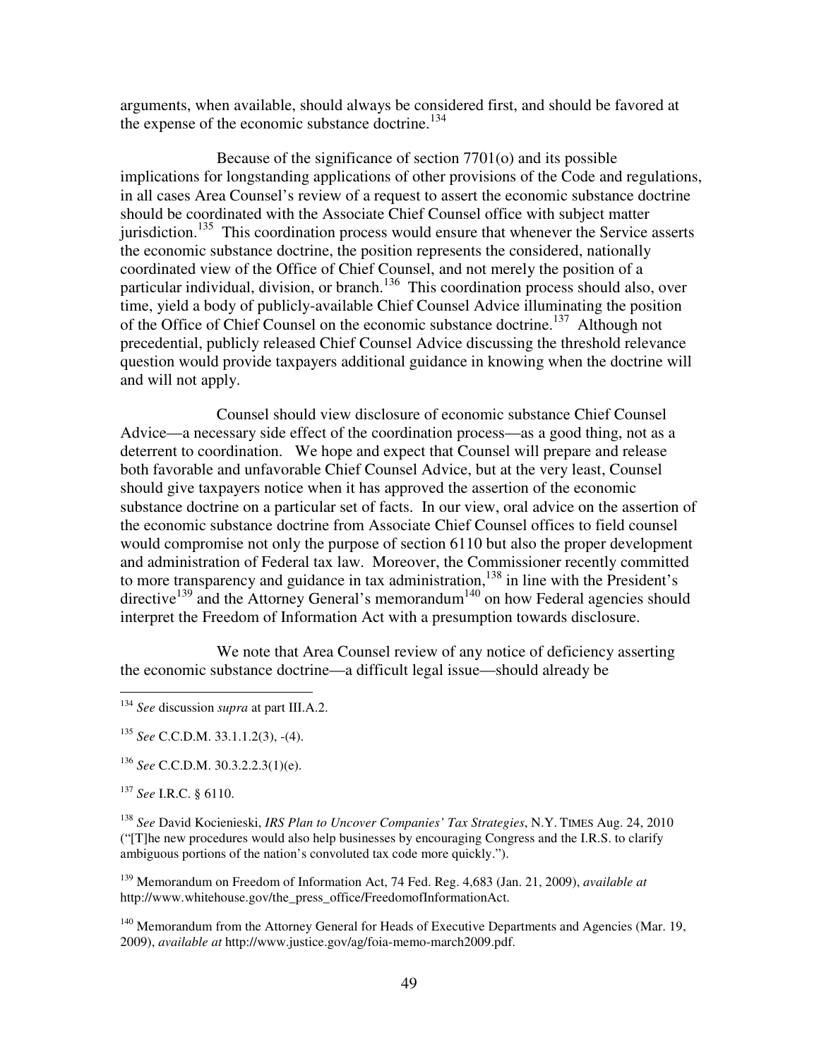arguments, when available, should always be considered first, and should be favored at the expense of the economic substance doctrine.<sup>134</sup>

 Because of the significance of section 7701(o) and its possible implications for longstanding applications of other provisions of the Code and regulations, in all cases Area Counsel's review of a request to assert the economic substance doctrine should be coordinated with the Associate Chief Counsel office with subject matter jurisdiction.<sup>135</sup> This coordination process would ensure that whenever the Service asserts the economic substance doctrine, the position represents the considered, nationally coordinated view of the Office of Chief Counsel, and not merely the position of a particular individual, division, or branch.<sup>136</sup> This coordination process should also, over time, yield a body of publicly-available Chief Counsel Advice illuminating the position of the Office of Chief Counsel on the economic substance doctrine.<sup>137</sup> Although not precedential, publicly released Chief Counsel Advice discussing the threshold relevance question would provide taxpayers additional guidance in knowing when the doctrine will and will not apply.

 Counsel should view disclosure of economic substance Chief Counsel Advice—a necessary side effect of the coordination process—as a good thing, not as a deterrent to coordination. We hope and expect that Counsel will prepare and release both favorable and unfavorable Chief Counsel Advice, but at the very least, Counsel should give taxpayers notice when it has approved the assertion of the economic substance doctrine on a particular set of facts. In our view, oral advice on the assertion of the economic substance doctrine from Associate Chief Counsel offices to field counsel would compromise not only the purpose of section 6110 but also the proper development and administration of Federal tax law. Moreover, the Commissioner recently committed to more transparency and guidance in tax administration,<sup>138</sup> in line with the President's directive<sup>139</sup> and the Attorney General's memorandum<sup>140</sup> on how Federal agencies should interpret the Freedom of Information Act with a presumption towards disclosure.

We note that Area Counsel review of any notice of deficiency asserting the economic substance doctrine—a difficult legal issue—should already be

<sup>136</sup> *See* C.C.D.M. 30.3.2.2.3(1)(e).

<sup>137</sup> *See* I.R.C. § 6110.

 $\overline{a}$ 

<sup>138</sup> *See* David Kocienieski, *IRS Plan to Uncover Companies' Tax Strategies*, N.Y. TIMES Aug. 24, 2010 ("[T]he new procedures would also help businesses by encouraging Congress and the I.R.S. to clarify ambiguous portions of the nation's convoluted tax code more quickly.").

<sup>139</sup> Memorandum on Freedom of Information Act, 74 Fed. Reg. 4,683 (Jan. 21, 2009), *available at* http://www.whitehouse.gov/the\_press\_office/FreedomofInformationAct.

<sup>140</sup> Memorandum from the Attorney General for Heads of Executive Departments and Agencies (Mar. 19, 2009), *available at* http://www.justice.gov/ag/foia-memo-march2009.pdf.

<sup>134</sup> *See* discussion *supra* at part III.A.2.

<sup>135</sup> *See* C.C.D.M. 33.1.1.2(3), -(4).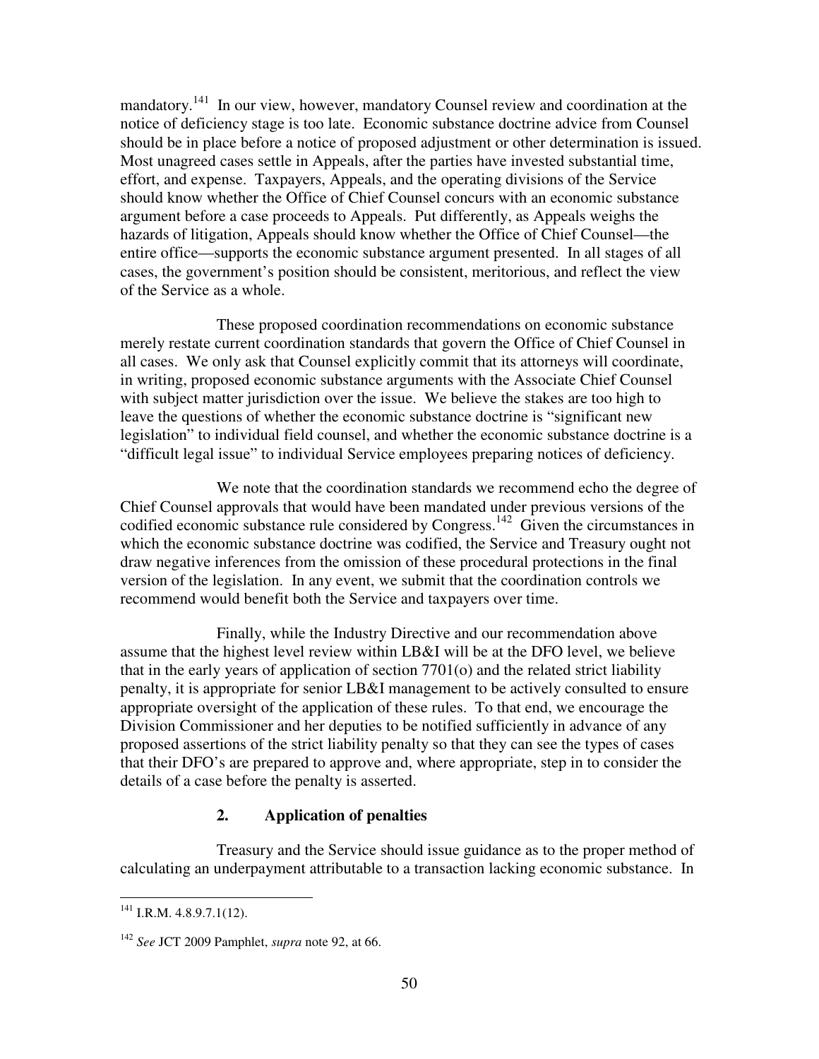mandatory.<sup>141</sup> In our view, however, mandatory Counsel review and coordination at the notice of deficiency stage is too late. Economic substance doctrine advice from Counsel should be in place before a notice of proposed adjustment or other determination is issued. Most unagreed cases settle in Appeals, after the parties have invested substantial time, effort, and expense. Taxpayers, Appeals, and the operating divisions of the Service should know whether the Office of Chief Counsel concurs with an economic substance argument before a case proceeds to Appeals. Put differently, as Appeals weighs the hazards of litigation, Appeals should know whether the Office of Chief Counsel—the entire office—supports the economic substance argument presented. In all stages of all cases, the government's position should be consistent, meritorious, and reflect the view of the Service as a whole.

 These proposed coordination recommendations on economic substance merely restate current coordination standards that govern the Office of Chief Counsel in all cases. We only ask that Counsel explicitly commit that its attorneys will coordinate, in writing, proposed economic substance arguments with the Associate Chief Counsel with subject matter jurisdiction over the issue. We believe the stakes are too high to leave the questions of whether the economic substance doctrine is "significant new legislation" to individual field counsel, and whether the economic substance doctrine is a "difficult legal issue" to individual Service employees preparing notices of deficiency.

 We note that the coordination standards we recommend echo the degree of Chief Counsel approvals that would have been mandated under previous versions of the codified economic substance rule considered by Congress.<sup>142</sup> Given the circumstances in which the economic substance doctrine was codified, the Service and Treasury ought not draw negative inferences from the omission of these procedural protections in the final version of the legislation. In any event, we submit that the coordination controls we recommend would benefit both the Service and taxpayers over time.

 Finally, while the Industry Directive and our recommendation above assume that the highest level review within LB&I will be at the DFO level, we believe that in the early years of application of section 7701(o) and the related strict liability penalty, it is appropriate for senior LB&I management to be actively consulted to ensure appropriate oversight of the application of these rules. To that end, we encourage the Division Commissioner and her deputies to be notified sufficiently in advance of any proposed assertions of the strict liability penalty so that they can see the types of cases that their DFO's are prepared to approve and, where appropriate, step in to consider the details of a case before the penalty is asserted.

# **2. Application of penalties**

 Treasury and the Service should issue guidance as to the proper method of calculating an underpayment attributable to a transaction lacking economic substance. In

 $^{141}$  I.R.M. 4.8.9.7.1(12).

<sup>142</sup> *See* JCT 2009 Pamphlet, *supra* note 92, at 66.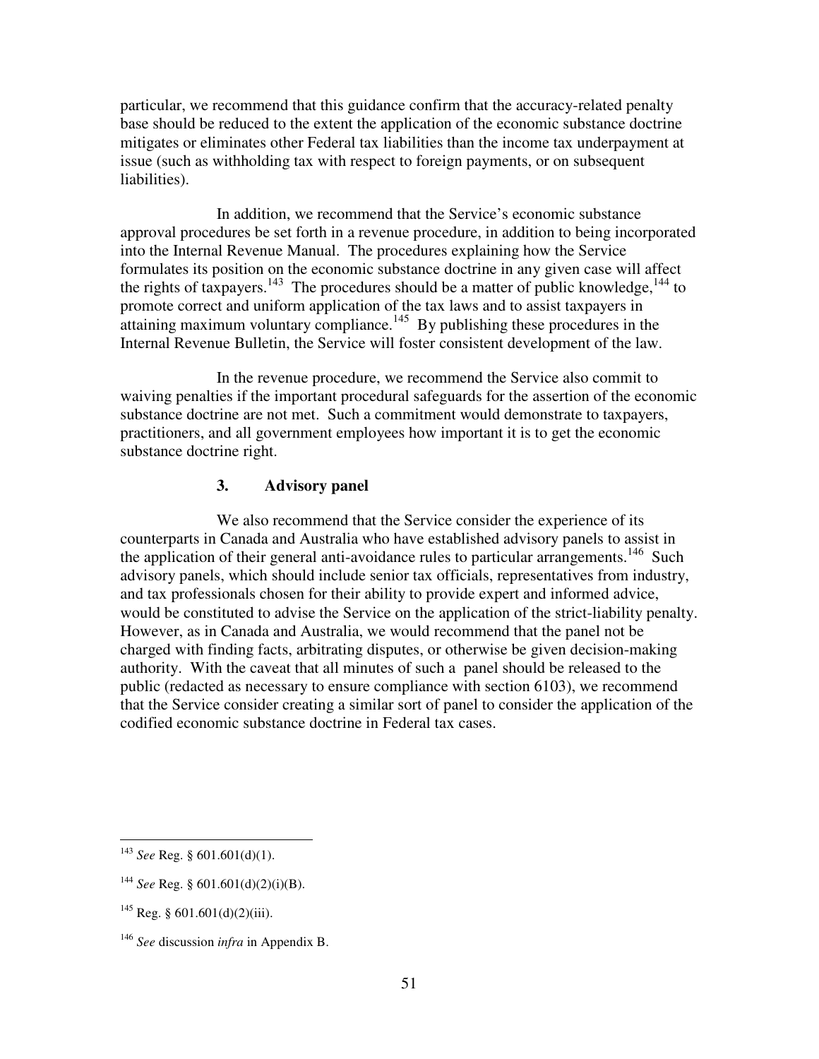particular, we recommend that this guidance confirm that the accuracy-related penalty base should be reduced to the extent the application of the economic substance doctrine mitigates or eliminates other Federal tax liabilities than the income tax underpayment at issue (such as withholding tax with respect to foreign payments, or on subsequent liabilities).

 In addition, we recommend that the Service's economic substance approval procedures be set forth in a revenue procedure, in addition to being incorporated into the Internal Revenue Manual. The procedures explaining how the Service formulates its position on the economic substance doctrine in any given case will affect the rights of taxpayers.<sup>143</sup> The procedures should be a matter of public knowledge,  $144$  to promote correct and uniform application of the tax laws and to assist taxpayers in attaining maximum voluntary compliance.<sup>145</sup> By publishing these procedures in the Internal Revenue Bulletin, the Service will foster consistent development of the law.

 In the revenue procedure, we recommend the Service also commit to waiving penalties if the important procedural safeguards for the assertion of the economic substance doctrine are not met. Such a commitment would demonstrate to taxpayers, practitioners, and all government employees how important it is to get the economic substance doctrine right.

# **3. Advisory panel**

 We also recommend that the Service consider the experience of its counterparts in Canada and Australia who have established advisory panels to assist in the application of their general anti-avoidance rules to particular arrangements.<sup>146</sup> Such advisory panels, which should include senior tax officials, representatives from industry, and tax professionals chosen for their ability to provide expert and informed advice, would be constituted to advise the Service on the application of the strict-liability penalty. However, as in Canada and Australia, we would recommend that the panel not be charged with finding facts, arbitrating disputes, or otherwise be given decision-making authority. With the caveat that all minutes of such a panel should be released to the public (redacted as necessary to ensure compliance with section 6103), we recommend that the Service consider creating a similar sort of panel to consider the application of the codified economic substance doctrine in Federal tax cases.

<sup>143</sup> *See* Reg. § 601.601(d)(1).

<sup>&</sup>lt;sup>144</sup> *See* Reg. § 601.601(d)(2)(i)(B).

 $^{145}$  Reg. § 601.601(d)(2)(iii).

<sup>146</sup> *See* discussion *infra* in Appendix B.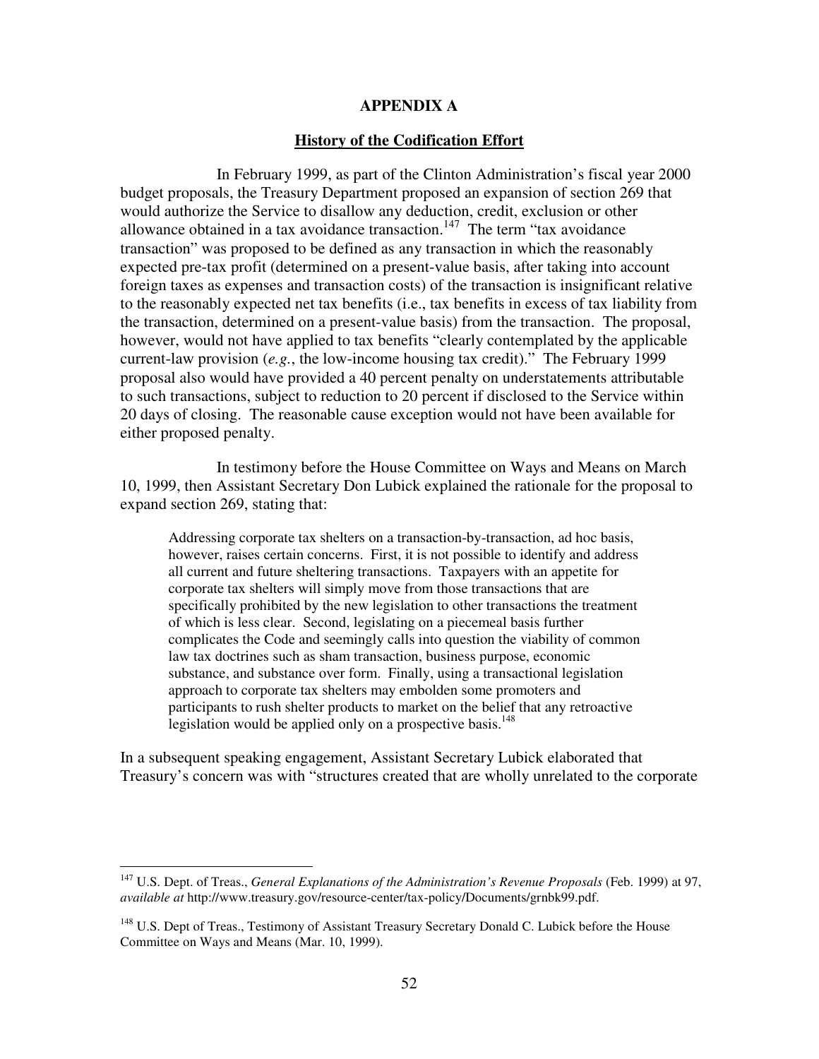### **APPENDIX A**

#### **History of the Codification Effort**

In February 1999, as part of the Clinton Administration's fiscal year 2000 budget proposals, the Treasury Department proposed an expansion of section 269 that would authorize the Service to disallow any deduction, credit, exclusion or other allowance obtained in a tax avoidance transaction.<sup>147</sup> The term "tax avoidance" transaction" was proposed to be defined as any transaction in which the reasonably expected pre-tax profit (determined on a present-value basis, after taking into account foreign taxes as expenses and transaction costs) of the transaction is insignificant relative to the reasonably expected net tax benefits (i.e., tax benefits in excess of tax liability from the transaction, determined on a present-value basis) from the transaction. The proposal, however, would not have applied to tax benefits "clearly contemplated by the applicable current-law provision (*e.g.*, the low-income housing tax credit)." The February 1999 proposal also would have provided a 40 percent penalty on understatements attributable to such transactions, subject to reduction to 20 percent if disclosed to the Service within 20 days of closing. The reasonable cause exception would not have been available for either proposed penalty.

 In testimony before the House Committee on Ways and Means on March 10, 1999, then Assistant Secretary Don Lubick explained the rationale for the proposal to expand section 269, stating that:

Addressing corporate tax shelters on a transaction-by-transaction, ad hoc basis, however, raises certain concerns. First, it is not possible to identify and address all current and future sheltering transactions. Taxpayers with an appetite for corporate tax shelters will simply move from those transactions that are specifically prohibited by the new legislation to other transactions the treatment of which is less clear. Second, legislating on a piecemeal basis further complicates the Code and seemingly calls into question the viability of common law tax doctrines such as sham transaction, business purpose, economic substance, and substance over form. Finally, using a transactional legislation approach to corporate tax shelters may embolden some promoters and participants to rush shelter products to market on the belief that any retroactive legislation would be applied only on a prospective basis.<sup>148</sup>

In a subsequent speaking engagement, Assistant Secretary Lubick elaborated that Treasury's concern was with "structures created that are wholly unrelated to the corporate

<sup>147</sup> U.S. Dept. of Treas., *General Explanations of the Administration's Revenue Proposals* (Feb. 1999) at 97, *available at* http://www.treasury.gov/resource-center/tax-policy/Documents/grnbk99.pdf.

<sup>&</sup>lt;sup>148</sup> U.S. Dept of Treas., Testimony of Assistant Treasury Secretary Donald C. Lubick before the House Committee on Ways and Means (Mar. 10, 1999).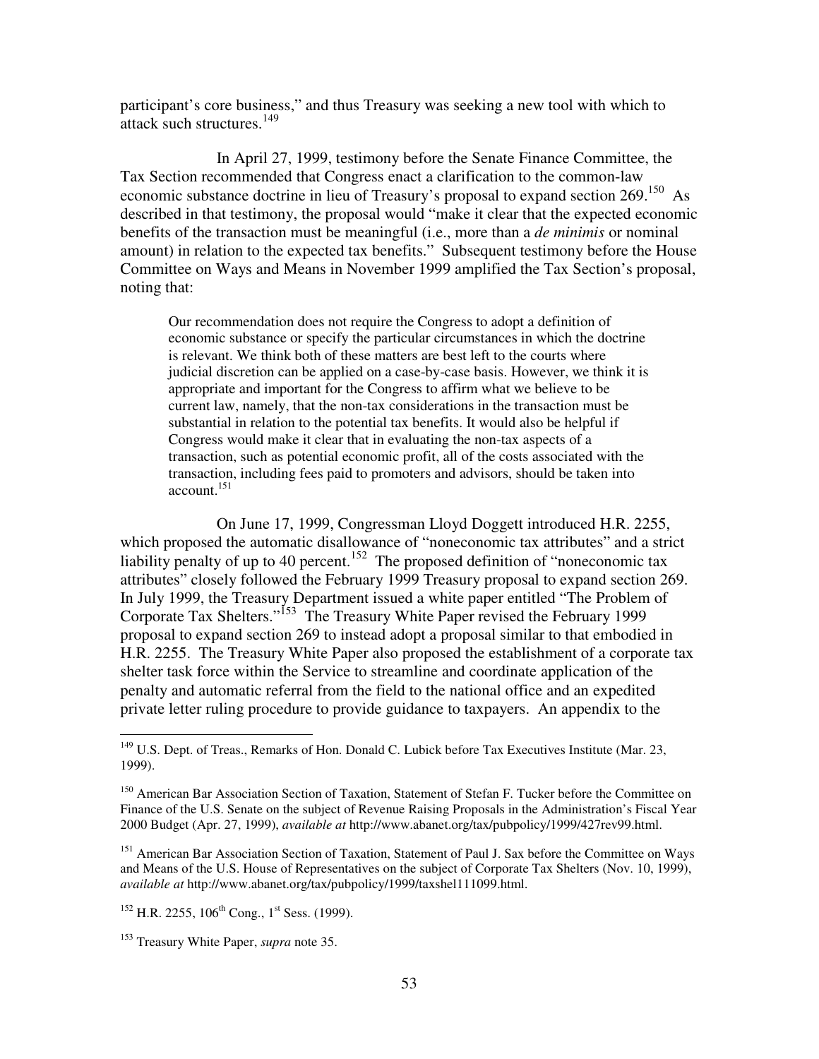participant's core business," and thus Treasury was seeking a new tool with which to attack such structures.<sup>149</sup>

 In April 27, 1999, testimony before the Senate Finance Committee, the Tax Section recommended that Congress enact a clarification to the common-law economic substance doctrine in lieu of Treasury's proposal to expand section 269.<sup>150</sup> As described in that testimony, the proposal would "make it clear that the expected economic benefits of the transaction must be meaningful (i.e., more than a *de minimis* or nominal amount) in relation to the expected tax benefits." Subsequent testimony before the House Committee on Ways and Means in November 1999 amplified the Tax Section's proposal, noting that:

Our recommendation does not require the Congress to adopt a definition of economic substance or specify the particular circumstances in which the doctrine is relevant. We think both of these matters are best left to the courts where judicial discretion can be applied on a case-by-case basis. However, we think it is appropriate and important for the Congress to affirm what we believe to be current law, namely, that the non-tax considerations in the transaction must be substantial in relation to the potential tax benefits. It would also be helpful if Congress would make it clear that in evaluating the non-tax aspects of a transaction, such as potential economic profit, all of the costs associated with the transaction, including fees paid to promoters and advisors, should be taken into account.<sup>151</sup>

On June 17, 1999, Congressman Lloyd Doggett introduced H.R. 2255, which proposed the automatic disallowance of "noneconomic tax attributes" and a strict liability penalty of up to 40 percent.<sup>152</sup> The proposed definition of "noneconomic tax" attributes" closely followed the February 1999 Treasury proposal to expand section 269. In July 1999, the Treasury Department issued a white paper entitled "The Problem of Corporate Tax Shelters."<sup>153</sup> The Treasury White Paper revised the February 1999 proposal to expand section 269 to instead adopt a proposal similar to that embodied in H.R. 2255. The Treasury White Paper also proposed the establishment of a corporate tax shelter task force within the Service to streamline and coordinate application of the penalty and automatic referral from the field to the national office and an expedited private letter ruling procedure to provide guidance to taxpayers. An appendix to the

<sup>&</sup>lt;sup>149</sup> U.S. Dept. of Treas., Remarks of Hon. Donald C. Lubick before Tax Executives Institute (Mar. 23, 1999).

<sup>&</sup>lt;sup>150</sup> American Bar Association Section of Taxation, Statement of Stefan F. Tucker before the Committee on Finance of the U.S. Senate on the subject of Revenue Raising Proposals in the Administration's Fiscal Year 2000 Budget (Apr. 27, 1999), *available at* http://www.abanet.org/tax/pubpolicy/1999/427rev99.html.

<sup>&</sup>lt;sup>151</sup> American Bar Association Section of Taxation, Statement of Paul J. Sax before the Committee on Ways and Means of the U.S. House of Representatives on the subject of Corporate Tax Shelters (Nov. 10, 1999), *available at* http://www.abanet.org/tax/pubpolicy/1999/taxshel111099.html.

 $152$  H.R. 2255, 106<sup>th</sup> Cong., 1<sup>st</sup> Sess. (1999).

<sup>153</sup> Treasury White Paper, *supra* note 35.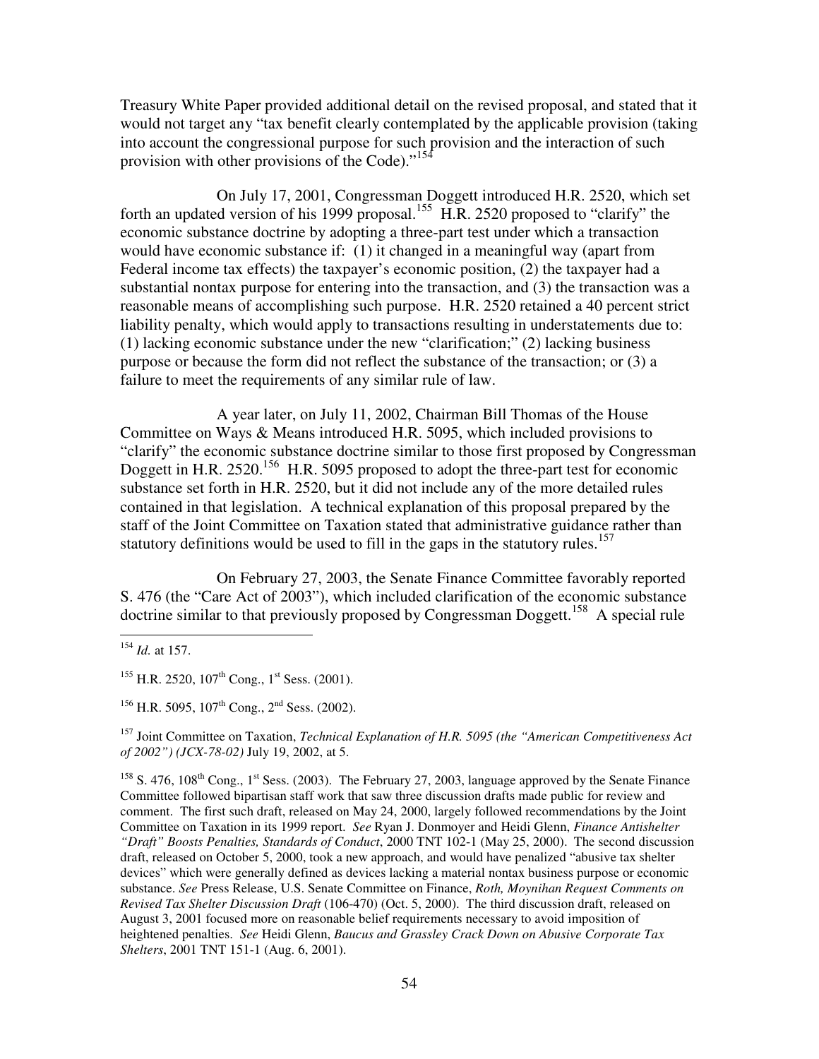Treasury White Paper provided additional detail on the revised proposal, and stated that it would not target any "tax benefit clearly contemplated by the applicable provision (taking into account the congressional purpose for such provision and the interaction of such provision with other provisions of the Code)."<sup>154</sup>

On July 17, 2001, Congressman Doggett introduced H.R. 2520, which set forth an updated version of his 1999 proposal.<sup>155</sup> H.R. 2520 proposed to "clarify" the economic substance doctrine by adopting a three-part test under which a transaction would have economic substance if: (1) it changed in a meaningful way (apart from Federal income tax effects) the taxpayer's economic position, (2) the taxpayer had a substantial nontax purpose for entering into the transaction, and (3) the transaction was a reasonable means of accomplishing such purpose. H.R. 2520 retained a 40 percent strict liability penalty, which would apply to transactions resulting in understatements due to: (1) lacking economic substance under the new "clarification;" (2) lacking business purpose or because the form did not reflect the substance of the transaction; or (3) a failure to meet the requirements of any similar rule of law.

A year later, on July 11, 2002, Chairman Bill Thomas of the House Committee on Ways & Means introduced H.R. 5095, which included provisions to "clarify" the economic substance doctrine similar to those first proposed by Congressman Doggett in H.R. 2520.<sup>156</sup> H.R. 5095 proposed to adopt the three-part test for economic substance set forth in H.R. 2520, but it did not include any of the more detailed rules contained in that legislation. A technical explanation of this proposal prepared by the staff of the Joint Committee on Taxation stated that administrative guidance rather than statutory definitions would be used to fill in the gaps in the statutory rules.<sup>157</sup>

On February 27, 2003, the Senate Finance Committee favorably reported S. 476 (the "Care Act of 2003"), which included clarification of the economic substance doctrine similar to that previously proposed by Congressman Doggett.<sup>158</sup> A special rule

 $\overline{a}$ 

<sup>156</sup> H.R. 5095, 107<sup>th</sup> Cong., 2<sup>nd</sup> Sess. (2002).

<sup>157</sup> Joint Committee on Taxation, *Technical Explanation of H.R. 5095 (the "American Competitiveness Act of 2002") (JCX-78-02)* July 19, 2002, at 5.

<sup>158</sup> S. 476, 108<sup>th</sup> Cong., 1<sup>st</sup> Sess. (2003). The February 27, 2003, language approved by the Senate Finance Committee followed bipartisan staff work that saw three discussion drafts made public for review and comment. The first such draft, released on May 24, 2000, largely followed recommendations by the Joint Committee on Taxation in its 1999 report. *See* Ryan J. Donmoyer and Heidi Glenn, *Finance Antishelter "Draft" Boosts Penalties, Standards of Conduct*, 2000 TNT 102-1 (May 25, 2000). The second discussion draft, released on October 5, 2000, took a new approach, and would have penalized "abusive tax shelter devices" which were generally defined as devices lacking a material nontax business purpose or economic substance. *See* Press Release, U.S. Senate Committee on Finance, *Roth, Moynihan Request Comments on Revised Tax Shelter Discussion Draft* (106-470) (Oct. 5, 2000). The third discussion draft, released on August 3, 2001 focused more on reasonable belief requirements necessary to avoid imposition of heightened penalties. *See* Heidi Glenn, *Baucus and Grassley Crack Down on Abusive Corporate Tax Shelters*, 2001 TNT 151-1 (Aug. 6, 2001).

<sup>154</sup> *Id.* at 157.

 $155$  H.R. 2520,  $107$ <sup>th</sup> Cong., 1<sup>st</sup> Sess. (2001).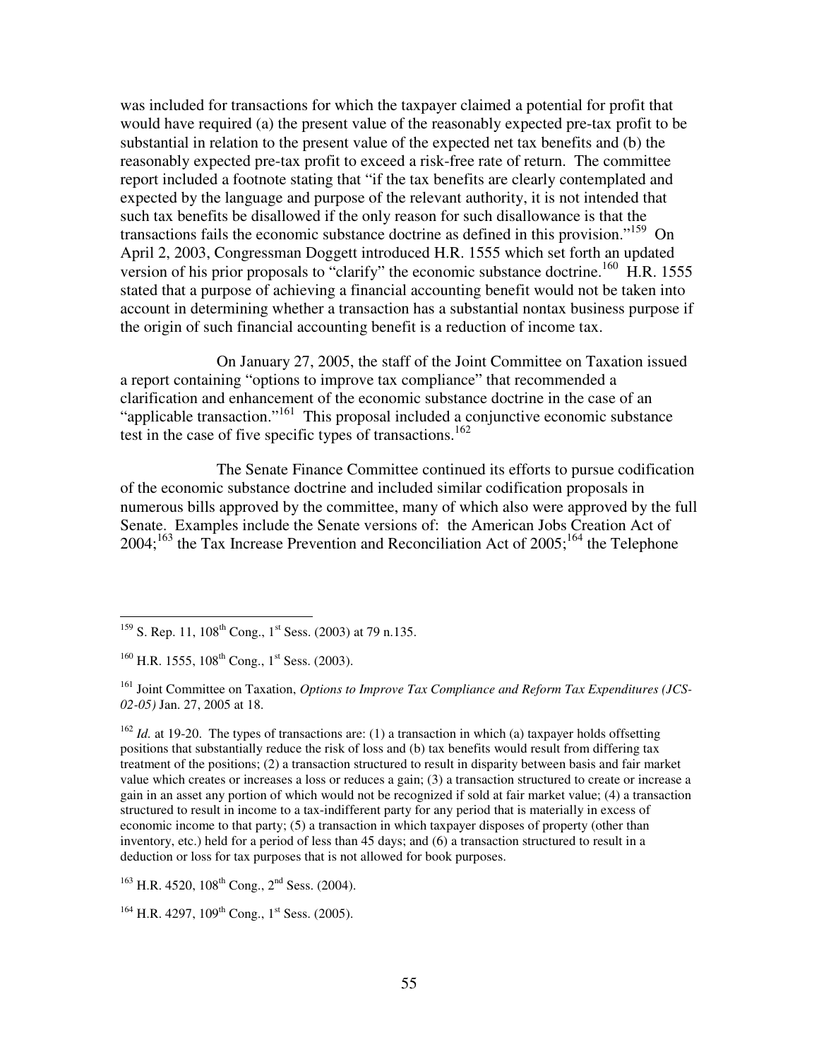was included for transactions for which the taxpayer claimed a potential for profit that would have required (a) the present value of the reasonably expected pre-tax profit to be substantial in relation to the present value of the expected net tax benefits and (b) the reasonably expected pre-tax profit to exceed a risk-free rate of return. The committee report included a footnote stating that "if the tax benefits are clearly contemplated and expected by the language and purpose of the relevant authority, it is not intended that such tax benefits be disallowed if the only reason for such disallowance is that the transactions fails the economic substance doctrine as defined in this provision."<sup>159</sup> On April 2, 2003, Congressman Doggett introduced H.R. 1555 which set forth an updated version of his prior proposals to "clarify" the economic substance doctrine.<sup>160</sup> H.R. 1555 stated that a purpose of achieving a financial accounting benefit would not be taken into account in determining whether a transaction has a substantial nontax business purpose if the origin of such financial accounting benefit is a reduction of income tax.

On January 27, 2005, the staff of the Joint Committee on Taxation issued a report containing "options to improve tax compliance" that recommended a clarification and enhancement of the economic substance doctrine in the case of an "applicable transaction."<sup>161</sup> This proposal included a conjunctive economic substance test in the case of five specific types of transactions.<sup>162</sup>

The Senate Finance Committee continued its efforts to pursue codification of the economic substance doctrine and included similar codification proposals in numerous bills approved by the committee, many of which also were approved by the full Senate. Examples include the Senate versions of: the American Jobs Creation Act of  $2004$ ;<sup>163</sup> the Tax Increase Prevention and Reconciliation Act of  $2005$ ;<sup>164</sup> the Telephone

 $\overline{a}$ 

 $162$  *Id.* at 19-20. The types of transactions are: (1) a transaction in which (a) taxpayer holds offsetting positions that substantially reduce the risk of loss and (b) tax benefits would result from differing tax treatment of the positions; (2) a transaction structured to result in disparity between basis and fair market value which creates or increases a loss or reduces a gain; (3) a transaction structured to create or increase a gain in an asset any portion of which would not be recognized if sold at fair market value; (4) a transaction structured to result in income to a tax-indifferent party for any period that is materially in excess of economic income to that party; (5) a transaction in which taxpayer disposes of property (other than inventory, etc.) held for a period of less than 45 days; and (6) a transaction structured to result in a deduction or loss for tax purposes that is not allowed for book purposes.

 $163$  H.R. 4520,  $108$ <sup>th</sup> Cong., 2<sup>nd</sup> Sess. (2004).

 $164$  H.R. 4297,  $109$ <sup>th</sup> Cong., 1<sup>st</sup> Sess. (2005).

<sup>&</sup>lt;sup>159</sup> S. Rep. 11, 108<sup>th</sup> Cong., 1<sup>st</sup> Sess. (2003) at 79 n.135.

 $160$  H.R. 1555,  $108$ <sup>th</sup> Cong., 1<sup>st</sup> Sess. (2003).

<sup>&</sup>lt;sup>161</sup> Joint Committee on Taxation, *Options to Improve Tax Compliance and Reform Tax Expenditures (JCS-02-05)* Jan. 27, 2005 at 18.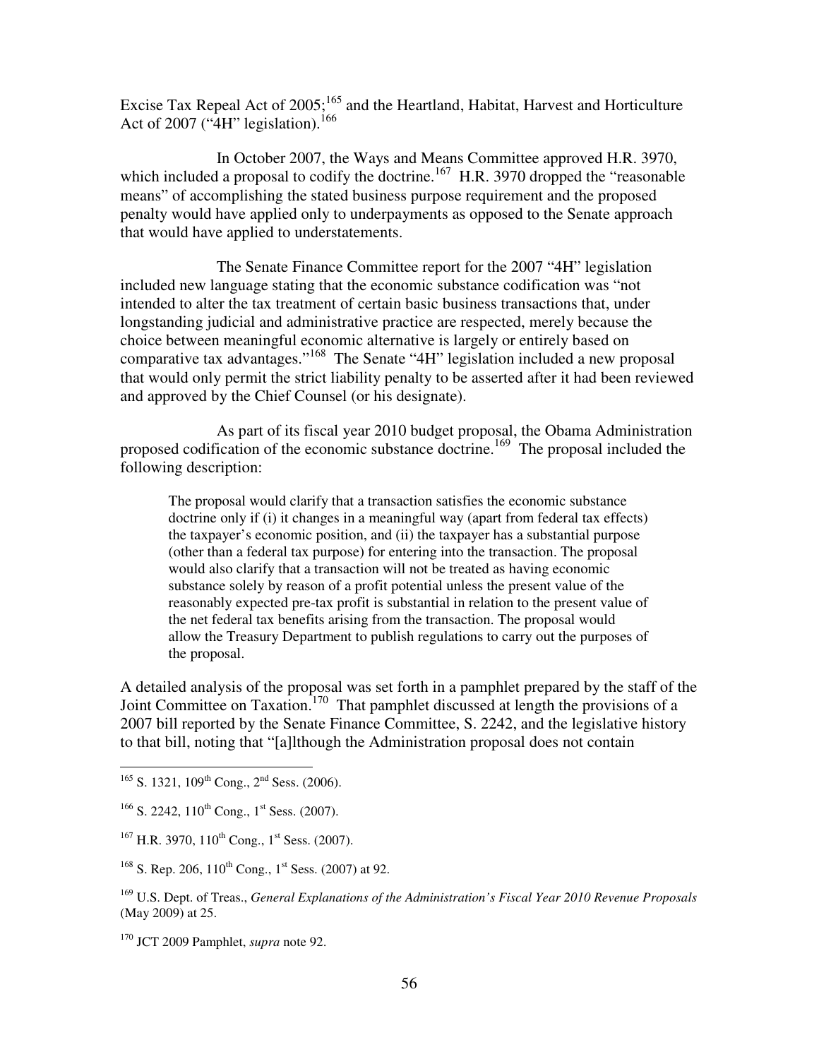Excise Tax Repeal Act of  $2005$ ;  $^{165}$  and the Heartland, Habitat, Harvest and Horticulture Act of 2007 (" $4H$ " legislation).<sup>166</sup>

In October 2007, the Ways and Means Committee approved H.R. 3970, which included a proposal to codify the doctrine.<sup>167</sup> H.R. 3970 dropped the "reasonable" means" of accomplishing the stated business purpose requirement and the proposed penalty would have applied only to underpayments as opposed to the Senate approach that would have applied to understatements.

The Senate Finance Committee report for the 2007 "4H" legislation included new language stating that the economic substance codification was "not intended to alter the tax treatment of certain basic business transactions that, under longstanding judicial and administrative practice are respected, merely because the choice between meaningful economic alternative is largely or entirely based on comparative tax advantages."<sup>168</sup> The Senate "4H" legislation included a new proposal that would only permit the strict liability penalty to be asserted after it had been reviewed and approved by the Chief Counsel (or his designate).

As part of its fiscal year 2010 budget proposal, the Obama Administration proposed codification of the economic substance doctrine.<sup>169</sup> The proposal included the following description:

The proposal would clarify that a transaction satisfies the economic substance doctrine only if (i) it changes in a meaningful way (apart from federal tax effects) the taxpayer's economic position, and (ii) the taxpayer has a substantial purpose (other than a federal tax purpose) for entering into the transaction. The proposal would also clarify that a transaction will not be treated as having economic substance solely by reason of a profit potential unless the present value of the reasonably expected pre-tax profit is substantial in relation to the present value of the net federal tax benefits arising from the transaction. The proposal would allow the Treasury Department to publish regulations to carry out the purposes of the proposal.

A detailed analysis of the proposal was set forth in a pamphlet prepared by the staff of the Joint Committee on Taxation.<sup>170</sup> That pamphlet discussed at length the provisions of a 2007 bill reported by the Senate Finance Committee, S. 2242, and the legislative history to that bill, noting that "[a]lthough the Administration proposal does not contain

 $\overline{a}$  $165$  S. 1321, 109<sup>th</sup> Cong., 2<sup>nd</sup> Sess. (2006).

 $166$  S. 2242,  $110^{th}$  Cong.,  $1^{st}$  Sess. (2007).

 $167$  H.R. 3970,  $110^{th}$  Cong.,  $1^{st}$  Sess. (2007).

<sup>&</sup>lt;sup>168</sup> S. Rep. 206, 110<sup>th</sup> Cong., 1<sup>st</sup> Sess. (2007) at 92.

<sup>169</sup> U.S. Dept. of Treas., *General Explanations of the Administration's Fiscal Year 2010 Revenue Proposals* (May 2009) at 25.

<sup>170</sup> JCT 2009 Pamphlet, *supra* note 92.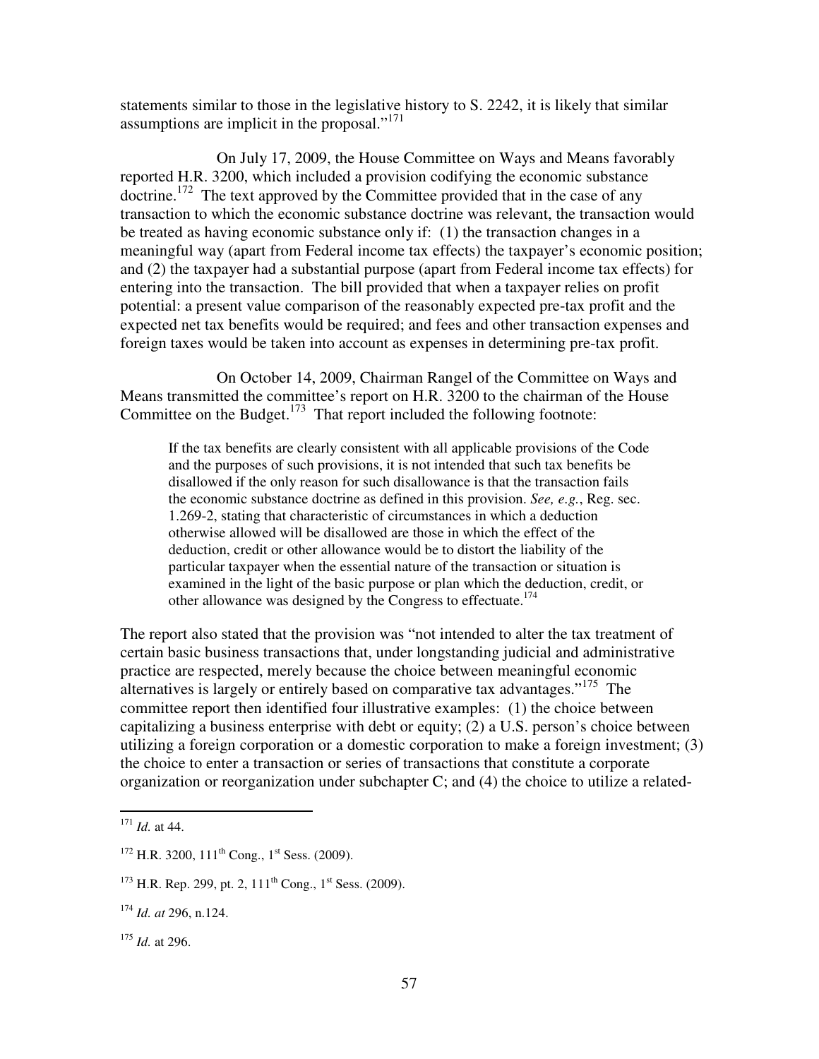statements similar to those in the legislative history to S. 2242, it is likely that similar assumptions are implicit in the proposal."<sup>171</sup>

On July 17, 2009, the House Committee on Ways and Means favorably reported H.R. 3200, which included a provision codifying the economic substance doctrine.<sup>172</sup> The text approved by the Committee provided that in the case of any transaction to which the economic substance doctrine was relevant, the transaction would be treated as having economic substance only if: (1) the transaction changes in a meaningful way (apart from Federal income tax effects) the taxpayer's economic position; and (2) the taxpayer had a substantial purpose (apart from Federal income tax effects) for entering into the transaction. The bill provided that when a taxpayer relies on profit potential: a present value comparison of the reasonably expected pre-tax profit and the expected net tax benefits would be required; and fees and other transaction expenses and foreign taxes would be taken into account as expenses in determining pre-tax profit.

On October 14, 2009, Chairman Rangel of the Committee on Ways and Means transmitted the committee's report on H.R. 3200 to the chairman of the House Committee on the Budget.<sup>173</sup> That report included the following footnote:

If the tax benefits are clearly consistent with all applicable provisions of the Code and the purposes of such provisions, it is not intended that such tax benefits be disallowed if the only reason for such disallowance is that the transaction fails the economic substance doctrine as defined in this provision. *See, e.g.*, Reg. sec. 1.269-2, stating that characteristic of circumstances in which a deduction otherwise allowed will be disallowed are those in which the effect of the deduction, credit or other allowance would be to distort the liability of the particular taxpayer when the essential nature of the transaction or situation is examined in the light of the basic purpose or plan which the deduction, credit, or other allowance was designed by the Congress to effectuate.<sup>174</sup>

The report also stated that the provision was "not intended to alter the tax treatment of certain basic business transactions that, under longstanding judicial and administrative practice are respected, merely because the choice between meaningful economic alternatives is largely or entirely based on comparative tax advantages."<sup>175</sup> The committee report then identified four illustrative examples: (1) the choice between capitalizing a business enterprise with debt or equity; (2) a U.S. person's choice between utilizing a foreign corporation or a domestic corporation to make a foreign investment; (3) the choice to enter a transaction or series of transactions that constitute a corporate organization or reorganization under subchapter C; and (4) the choice to utilize a related-

<sup>171</sup> *Id.* at 44.

 $172$  H.R. 3200,  $111^{th}$  Cong.,  $1^{st}$  Sess. (2009).

 $1^{173}$  H.R. Rep. 299, pt. 2,  $111^{th}$  Cong.,  $1^{st}$  Sess. (2009).

<sup>174</sup> *Id. at* 296, n.124.

<sup>175</sup> *Id.* at 296.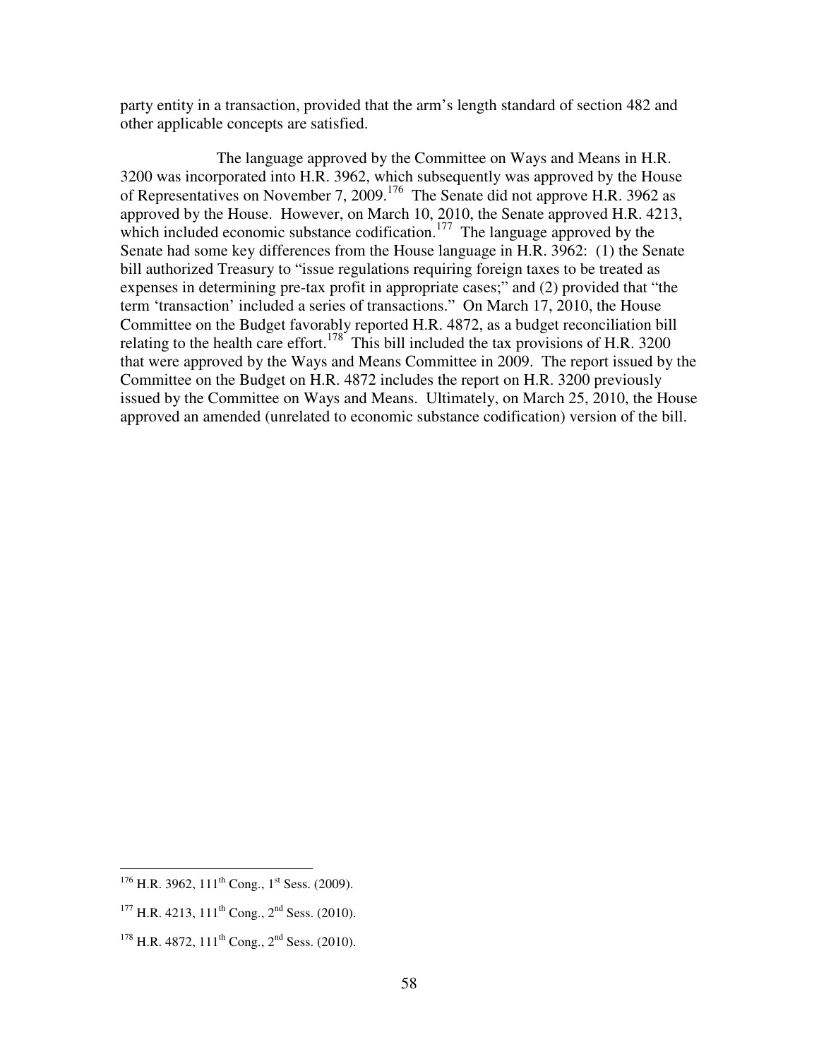party entity in a transaction, provided that the arm's length standard of section 482 and other applicable concepts are satisfied.

The language approved by the Committee on Ways and Means in H.R. 3200 was incorporated into H.R. 3962, which subsequently was approved by the House of Representatives on November 7, 2009.<sup>176</sup> The Senate did not approve H.R. 3962 as approved by the House. However, on March 10, 2010, the Senate approved H.R. 4213, which included economic substance codification.<sup>177</sup> The language approved by the Senate had some key differences from the House language in H.R. 3962: (1) the Senate bill authorized Treasury to "issue regulations requiring foreign taxes to be treated as expenses in determining pre-tax profit in appropriate cases;" and (2) provided that "the term 'transaction' included a series of transactions." On March 17, 2010, the House Committee on the Budget favorably reported H.R. 4872, as a budget reconciliation bill relating to the health care effort.<sup>178</sup> This bill included the tax provisions of H.R. 3200 that were approved by the Ways and Means Committee in 2009. The report issued by the Committee on the Budget on H.R. 4872 includes the report on H.R. 3200 previously issued by the Committee on Ways and Means. Ultimately, on March 25, 2010, the House approved an amended (unrelated to economic substance codification) version of the bill.

 $176$  H.R. 3962, 111<sup>th</sup> Cong., 1<sup>st</sup> Sess. (2009).

<sup>&</sup>lt;sup>177</sup> H.R. 4213, 111<sup>th</sup> Cong., 2<sup>nd</sup> Sess. (2010).

 $178$  H.R. 4872, 111<sup>th</sup> Cong., 2<sup>nd</sup> Sess. (2010).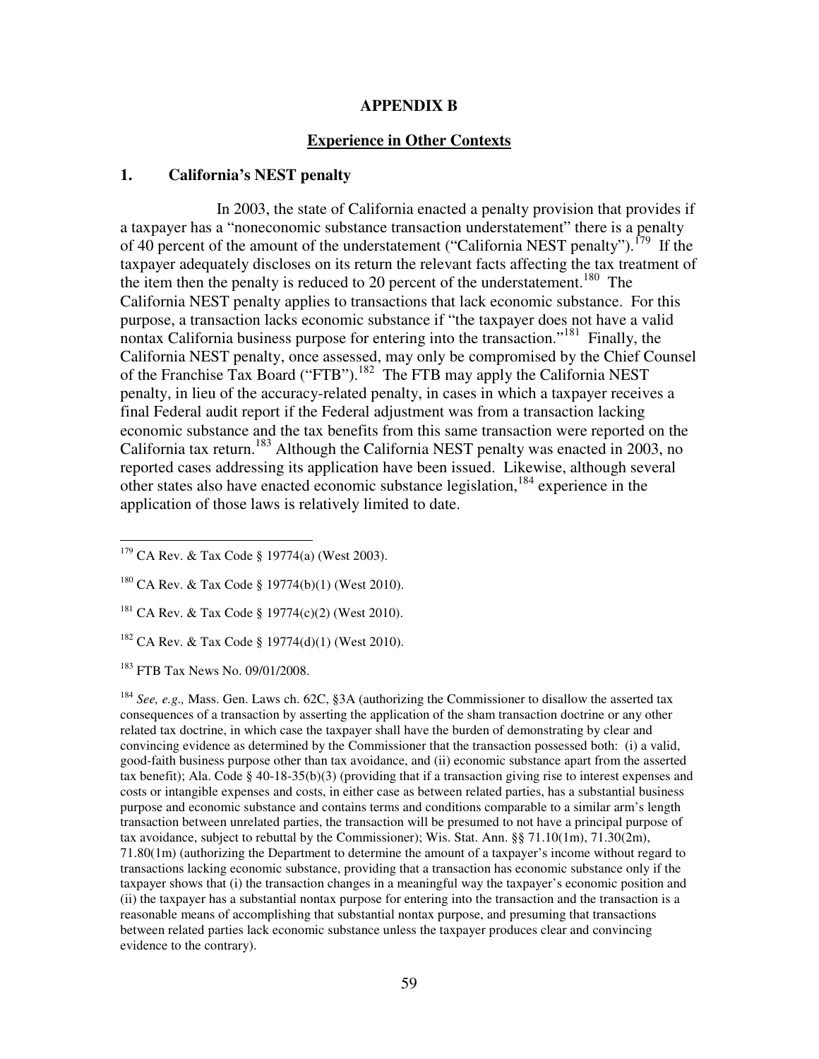#### **APPENDIX B**

### **Experience in Other Contexts**

#### **1. California's NEST penalty**

 In 2003, the state of California enacted a penalty provision that provides if a taxpayer has a "noneconomic substance transaction understatement" there is a penalty of 40 percent of the amount of the understatement ("California NEST penalty").<sup>179</sup> If the taxpayer adequately discloses on its return the relevant facts affecting the tax treatment of the item then the penalty is reduced to 20 percent of the understatement.<sup>180</sup> The California NEST penalty applies to transactions that lack economic substance. For this purpose, a transaction lacks economic substance if "the taxpayer does not have a valid nontax California business purpose for entering into the transaction."<sup>181</sup> Finally, the California NEST penalty, once assessed, may only be compromised by the Chief Counsel of the Franchise Tax Board ("FTB").<sup>182</sup> The FTB may apply the California NEST penalty, in lieu of the accuracy-related penalty, in cases in which a taxpayer receives a final Federal audit report if the Federal adjustment was from a transaction lacking economic substance and the tax benefits from this same transaction were reported on the California tax return.<sup>183</sup> Although the California NEST penalty was enacted in 2003, no reported cases addressing its application have been issued. Likewise, although several other states also have enacted economic substance legislation,  $184$  experience in the application of those laws is relatively limited to date.

<sup>183</sup> FTB Tax News No. 09/01/2008.

 $\overline{a}$ 

<sup>184</sup> *See, e.g.,* Mass. Gen. Laws ch. 62C, §3A (authorizing the Commissioner to disallow the asserted tax consequences of a transaction by asserting the application of the sham transaction doctrine or any other related tax doctrine, in which case the taxpayer shall have the burden of demonstrating by clear and convincing evidence as determined by the Commissioner that the transaction possessed both: (i) a valid, good-faith business purpose other than tax avoidance, and (ii) economic substance apart from the asserted tax benefit); Ala. Code § 40-18-35(b)(3) (providing that if a transaction giving rise to interest expenses and costs or intangible expenses and costs, in either case as between related parties, has a substantial business purpose and economic substance and contains terms and conditions comparable to a similar arm's length transaction between unrelated parties, the transaction will be presumed to not have a principal purpose of tax avoidance, subject to rebuttal by the Commissioner); Wis. Stat. Ann. §§ 71.10(1m), 71.30(2m), 71.80(1m) (authorizing the Department to determine the amount of a taxpayer's income without regard to transactions lacking economic substance, providing that a transaction has economic substance only if the taxpayer shows that (i) the transaction changes in a meaningful way the taxpayer's economic position and (ii) the taxpayer has a substantial nontax purpose for entering into the transaction and the transaction is a reasonable means of accomplishing that substantial nontax purpose, and presuming that transactions between related parties lack economic substance unless the taxpayer produces clear and convincing evidence to the contrary).

 $179$  CA Rev. & Tax Code § 19774(a) (West 2003).

<sup>180</sup> CA Rev. & Tax Code § 19774(b)(1) (West 2010).

<sup>&</sup>lt;sup>181</sup> CA Rev. & Tax Code § 19774(c)(2) (West 2010).

<sup>182</sup> CA Rev. & Tax Code § 19774(d)(1) (West 2010).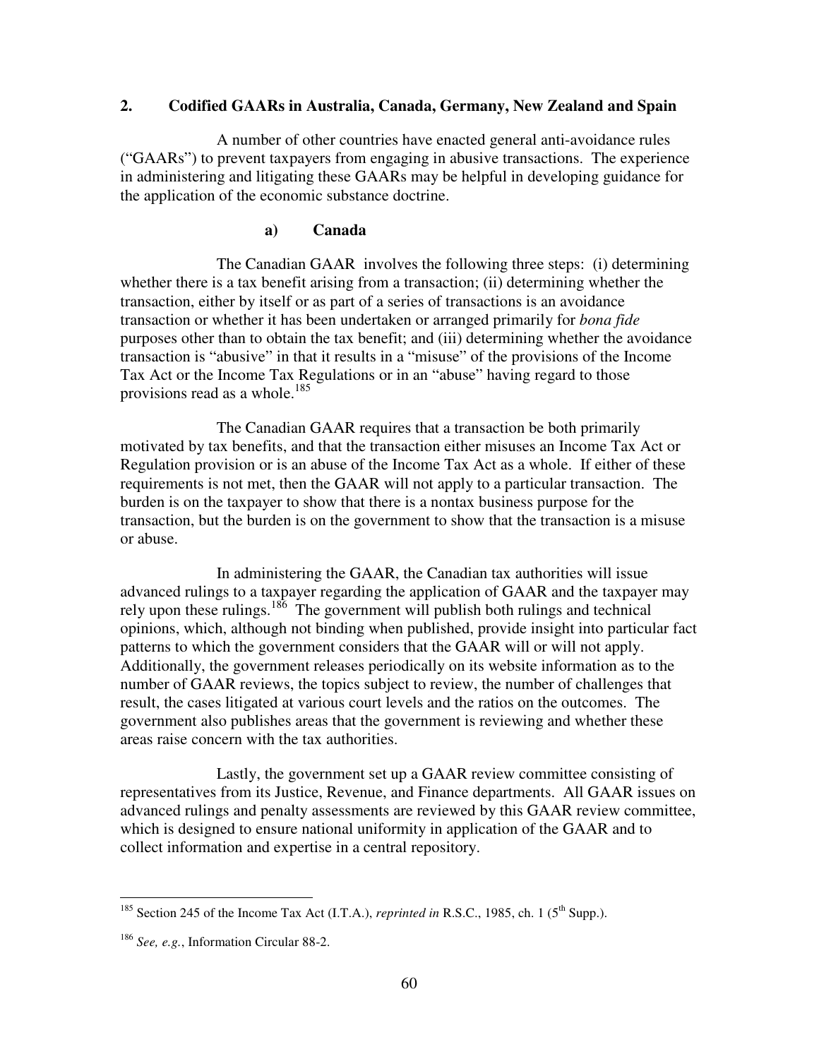# **2. Codified GAARs in Australia, Canada, Germany, New Zealand and Spain**

A number of other countries have enacted general anti-avoidance rules ("GAARs") to prevent taxpayers from engaging in abusive transactions. The experience in administering and litigating these GAARs may be helpful in developing guidance for the application of the economic substance doctrine.

## **a) Canada**

The Canadian GAAR involves the following three steps: (i) determining whether there is a tax benefit arising from a transaction; (ii) determining whether the transaction, either by itself or as part of a series of transactions is an avoidance transaction or whether it has been undertaken or arranged primarily for *bona fide*  purposes other than to obtain the tax benefit; and (iii) determining whether the avoidance transaction is "abusive" in that it results in a "misuse" of the provisions of the Income Tax Act or the Income Tax Regulations or in an "abuse" having regard to those provisions read as a whole.<sup>185</sup>

The Canadian GAAR requires that a transaction be both primarily motivated by tax benefits, and that the transaction either misuses an Income Tax Act or Regulation provision or is an abuse of the Income Tax Act as a whole. If either of these requirements is not met, then the GAAR will not apply to a particular transaction. The burden is on the taxpayer to show that there is a nontax business purpose for the transaction, but the burden is on the government to show that the transaction is a misuse or abuse.

In administering the GAAR, the Canadian tax authorities will issue advanced rulings to a taxpayer regarding the application of GAAR and the taxpayer may rely upon these rulings.<sup>186</sup> The government will publish both rulings and technical opinions, which, although not binding when published, provide insight into particular fact patterns to which the government considers that the GAAR will or will not apply. Additionally, the government releases periodically on its website information as to the number of GAAR reviews, the topics subject to review, the number of challenges that result, the cases litigated at various court levels and the ratios on the outcomes. The government also publishes areas that the government is reviewing and whether these areas raise concern with the tax authorities.

Lastly, the government set up a GAAR review committee consisting of representatives from its Justice, Revenue, and Finance departments. All GAAR issues on advanced rulings and penalty assessments are reviewed by this GAAR review committee, which is designed to ensure national uniformity in application of the GAAR and to collect information and expertise in a central repository.

<sup>&</sup>lt;sup>185</sup> Section 245 of the Income Tax Act (I.T.A.), *reprinted in* R.S.C., 1985, ch. 1 (5<sup>th</sup> Supp.).

<sup>186</sup> *See, e.g.*, Information Circular 88-2.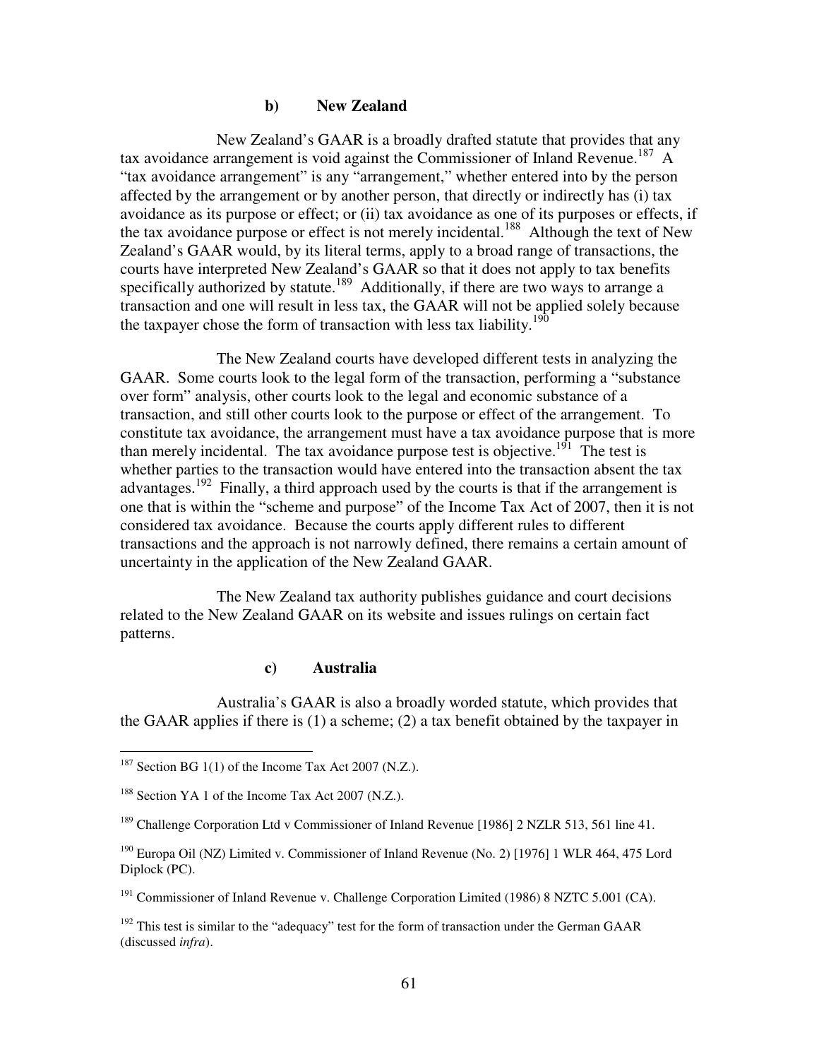## **b) New Zealand**

New Zealand's GAAR is a broadly drafted statute that provides that any tax avoidance arrangement is void against the Commissioner of Inland Revenue.<sup>187</sup> A "tax avoidance arrangement" is any "arrangement," whether entered into by the person affected by the arrangement or by another person, that directly or indirectly has (i) tax avoidance as its purpose or effect; or (ii) tax avoidance as one of its purposes or effects, if the tax avoidance purpose or effect is not merely incidental.<sup>188</sup> Although the text of New Zealand's GAAR would, by its literal terms, apply to a broad range of transactions, the courts have interpreted New Zealand's GAAR so that it does not apply to tax benefits specifically authorized by statute.<sup>189</sup> Additionally, if there are two ways to arrange a transaction and one will result in less tax, the GAAR will not be applied solely because the taxpayer chose the form of transaction with less tax liability.<sup>190</sup>

The New Zealand courts have developed different tests in analyzing the GAAR. Some courts look to the legal form of the transaction, performing a "substance over form" analysis, other courts look to the legal and economic substance of a transaction, and still other courts look to the purpose or effect of the arrangement. To constitute tax avoidance, the arrangement must have a tax avoidance purpose that is more than merely incidental. The tax avoidance purpose test is objective.<sup>191</sup> The test is whether parties to the transaction would have entered into the transaction absent the tax advantages.<sup>192</sup> Finally, a third approach used by the courts is that if the arrangement is one that is within the "scheme and purpose" of the Income Tax Act of 2007, then it is not considered tax avoidance. Because the courts apply different rules to different transactions and the approach is not narrowly defined, there remains a certain amount of uncertainty in the application of the New Zealand GAAR.

The New Zealand tax authority publishes guidance and court decisions related to the New Zealand GAAR on its website and issues rulings on certain fact patterns.

### **c) Australia**

Australia's GAAR is also a broadly worded statute, which provides that the GAAR applies if there is (1) a scheme; (2) a tax benefit obtained by the taxpayer in

 $187$  Section BG 1(1) of the Income Tax Act 2007 (N.Z.).

<sup>&</sup>lt;sup>188</sup> Section YA 1 of the Income Tax Act 2007 (N.Z.).

<sup>&</sup>lt;sup>189</sup> Challenge Corporation Ltd v Commissioner of Inland Revenue [1986] 2 NZLR 513, 561 line 41.

<sup>190</sup> Europa Oil (NZ) Limited v. Commissioner of Inland Revenue (No. 2) [1976] 1 WLR 464, 475 Lord Diplock (PC).

 $191$  Commissioner of Inland Revenue v. Challenge Corporation Limited (1986) 8 NZTC 5.001 (CA).

 $192$  This test is similar to the "adequacy" test for the form of transaction under the German GAAR (discussed *infra*).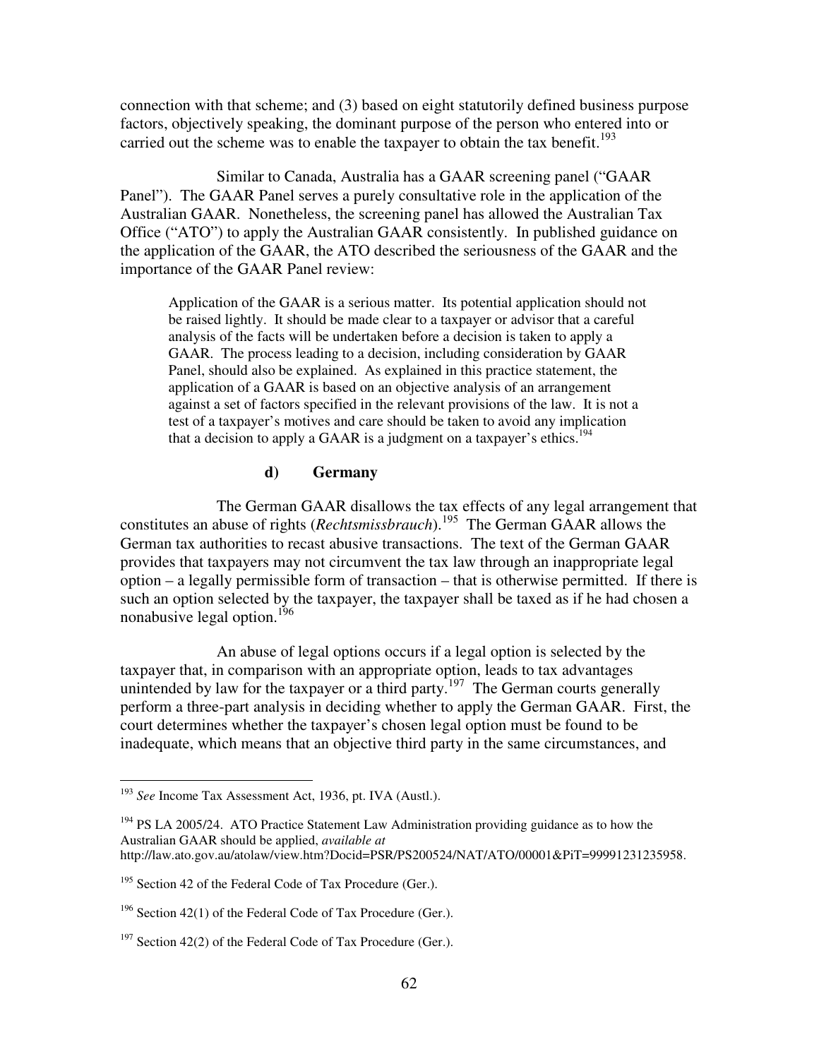connection with that scheme; and (3) based on eight statutorily defined business purpose factors, objectively speaking, the dominant purpose of the person who entered into or carried out the scheme was to enable the taxpayer to obtain the tax benefit.<sup>193</sup>

Similar to Canada, Australia has a GAAR screening panel ("GAAR Panel"). The GAAR Panel serves a purely consultative role in the application of the Australian GAAR. Nonetheless, the screening panel has allowed the Australian Tax Office ("ATO") to apply the Australian GAAR consistently. In published guidance on the application of the GAAR, the ATO described the seriousness of the GAAR and the importance of the GAAR Panel review:

Application of the GAAR is a serious matter. Its potential application should not be raised lightly. It should be made clear to a taxpayer or advisor that a careful analysis of the facts will be undertaken before a decision is taken to apply a GAAR. The process leading to a decision, including consideration by GAAR Panel, should also be explained. As explained in this practice statement, the application of a GAAR is based on an objective analysis of an arrangement against a set of factors specified in the relevant provisions of the law. It is not a test of a taxpayer's motives and care should be taken to avoid any implication that a decision to apply a GAAR is a judgment on a taxpayer's ethics.<sup>194</sup>

### **d) Germany**

The German GAAR disallows the tax effects of any legal arrangement that constitutes an abuse of rights (*Rechtsmissbrauch*).<sup>195</sup> The German GAAR allows the German tax authorities to recast abusive transactions. The text of the German GAAR provides that taxpayers may not circumvent the tax law through an inappropriate legal option – a legally permissible form of transaction – that is otherwise permitted. If there is such an option selected by the taxpayer, the taxpayer shall be taxed as if he had chosen a nonabusive legal option.<sup>196</sup>

 An abuse of legal options occurs if a legal option is selected by the taxpayer that, in comparison with an appropriate option, leads to tax advantages unintended by law for the taxpayer or a third party.<sup>197</sup> The German courts generally perform a three-part analysis in deciding whether to apply the German GAAR. First, the court determines whether the taxpayer's chosen legal option must be found to be inadequate, which means that an objective third party in the same circumstances, and

<sup>193</sup> *See* Income Tax Assessment Act, 1936, pt. IVA (Austl.).

<sup>&</sup>lt;sup>194</sup> PS LA 2005/24. ATO Practice Statement Law Administration providing guidance as to how the Australian GAAR should be applied, *available at* http://law.ato.gov.au/atolaw/view.htm?Docid=PSR/PS200524/NAT/ATO/00001&PiT=99991231235958.

<sup>&</sup>lt;sup>195</sup> Section 42 of the Federal Code of Tax Procedure (Ger.).

<sup>&</sup>lt;sup>196</sup> Section 42(1) of the Federal Code of Tax Procedure (Ger.).

 $197$  Section 42(2) of the Federal Code of Tax Procedure (Ger.).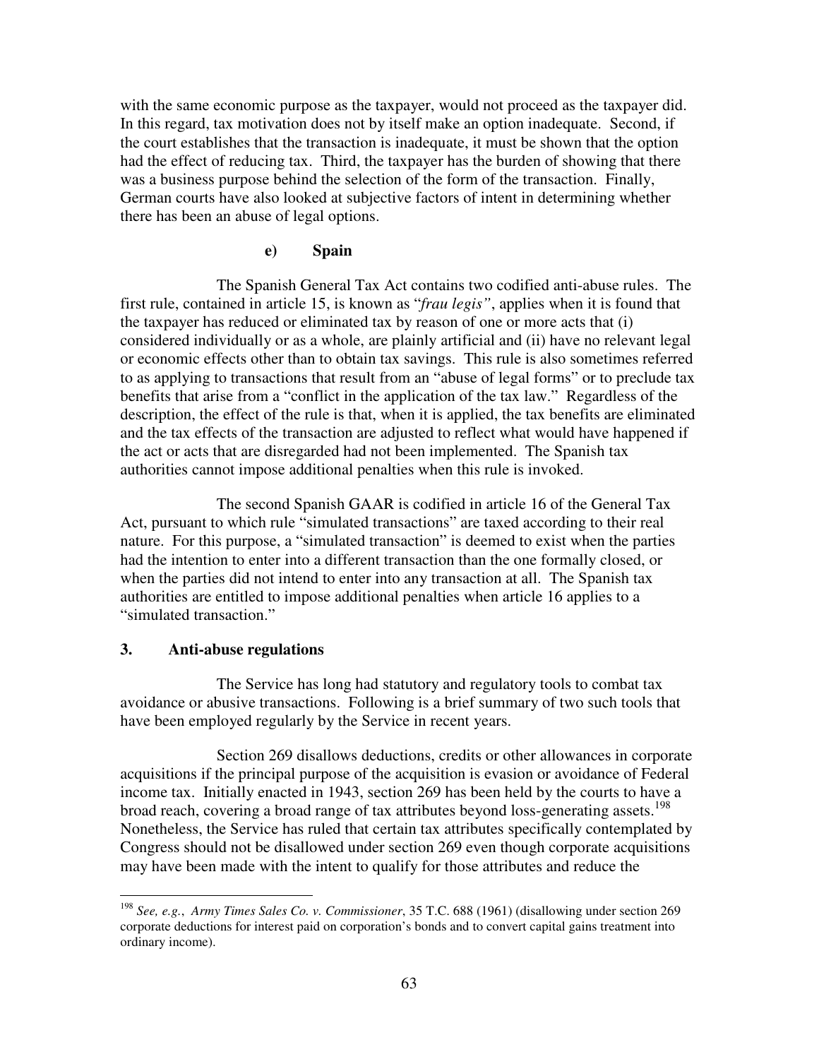with the same economic purpose as the taxpayer, would not proceed as the taxpayer did. In this regard, tax motivation does not by itself make an option inadequate. Second, if the court establishes that the transaction is inadequate, it must be shown that the option had the effect of reducing tax. Third, the taxpayer has the burden of showing that there was a business purpose behind the selection of the form of the transaction. Finally, German courts have also looked at subjective factors of intent in determining whether there has been an abuse of legal options.

# **e) Spain**

The Spanish General Tax Act contains two codified anti-abuse rules. The first rule, contained in article 15, is known as "*frau legis"*, applies when it is found that the taxpayer has reduced or eliminated tax by reason of one or more acts that (i) considered individually or as a whole, are plainly artificial and (ii) have no relevant legal or economic effects other than to obtain tax savings. This rule is also sometimes referred to as applying to transactions that result from an "abuse of legal forms" or to preclude tax benefits that arise from a "conflict in the application of the tax law." Regardless of the description, the effect of the rule is that, when it is applied, the tax benefits are eliminated and the tax effects of the transaction are adjusted to reflect what would have happened if the act or acts that are disregarded had not been implemented. The Spanish tax authorities cannot impose additional penalties when this rule is invoked.

 The second Spanish GAAR is codified in article 16 of the General Tax Act, pursuant to which rule "simulated transactions" are taxed according to their real nature. For this purpose, a "simulated transaction" is deemed to exist when the parties had the intention to enter into a different transaction than the one formally closed, or when the parties did not intend to enter into any transaction at all. The Spanish tax authorities are entitled to impose additional penalties when article 16 applies to a "simulated transaction."

## **3. Anti-abuse regulations**

l

The Service has long had statutory and regulatory tools to combat tax avoidance or abusive transactions. Following is a brief summary of two such tools that have been employed regularly by the Service in recent years.

Section 269 disallows deductions, credits or other allowances in corporate acquisitions if the principal purpose of the acquisition is evasion or avoidance of Federal income tax. Initially enacted in 1943, section 269 has been held by the courts to have a broad reach, covering a broad range of tax attributes beyond loss-generating assets.<sup>198</sup> Nonetheless, the Service has ruled that certain tax attributes specifically contemplated by Congress should not be disallowed under section 269 even though corporate acquisitions may have been made with the intent to qualify for those attributes and reduce the

<sup>198</sup> *See, e.g.*, *Army Times Sales Co. v. Commissioner*, 35 T.C. 688 (1961) (disallowing under section 269 corporate deductions for interest paid on corporation's bonds and to convert capital gains treatment into ordinary income).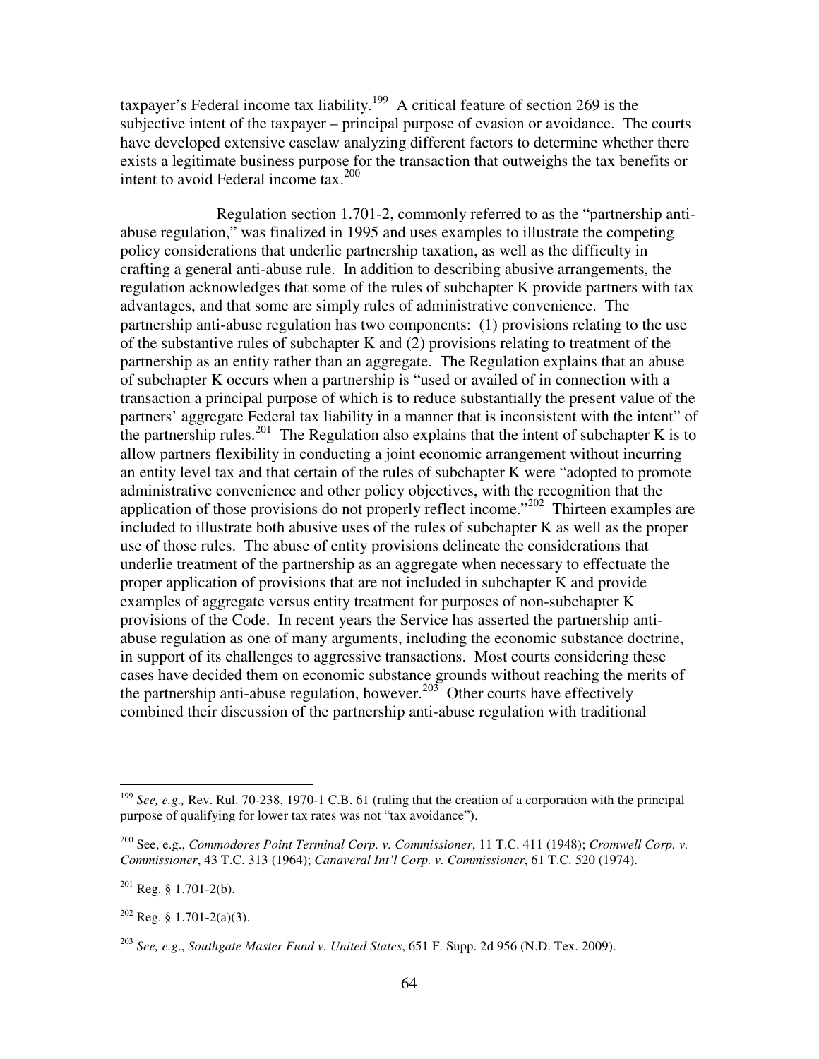taxpayer's Federal income tax liability.<sup>199</sup> A critical feature of section 269 is the subjective intent of the taxpayer – principal purpose of evasion or avoidance. The courts have developed extensive caselaw analyzing different factors to determine whether there exists a legitimate business purpose for the transaction that outweighs the tax benefits or intent to avoid Federal income tax.<sup>200</sup>

 Regulation section 1.701-2, commonly referred to as the "partnership antiabuse regulation," was finalized in 1995 and uses examples to illustrate the competing policy considerations that underlie partnership taxation, as well as the difficulty in crafting a general anti-abuse rule. In addition to describing abusive arrangements, the regulation acknowledges that some of the rules of subchapter K provide partners with tax advantages, and that some are simply rules of administrative convenience. The partnership anti-abuse regulation has two components: (1) provisions relating to the use of the substantive rules of subchapter K and (2) provisions relating to treatment of the partnership as an entity rather than an aggregate. The Regulation explains that an abuse of subchapter K occurs when a partnership is "used or availed of in connection with a transaction a principal purpose of which is to reduce substantially the present value of the partners' aggregate Federal tax liability in a manner that is inconsistent with the intent" of the partnership rules.<sup>201</sup> The Regulation also explains that the intent of subchapter K is to allow partners flexibility in conducting a joint economic arrangement without incurring an entity level tax and that certain of the rules of subchapter K were "adopted to promote administrative convenience and other policy objectives, with the recognition that the application of those provisions do not properly reflect income."<sup>202</sup> Thirteen examples are included to illustrate both abusive uses of the rules of subchapter K as well as the proper use of those rules. The abuse of entity provisions delineate the considerations that underlie treatment of the partnership as an aggregate when necessary to effectuate the proper application of provisions that are not included in subchapter K and provide examples of aggregate versus entity treatment for purposes of non-subchapter K provisions of the Code. In recent years the Service has asserted the partnership antiabuse regulation as one of many arguments, including the economic substance doctrine, in support of its challenges to aggressive transactions. Most courts considering these cases have decided them on economic substance grounds without reaching the merits of the partnership anti-abuse regulation, however.<sup>203</sup> Other courts have effectively combined their discussion of the partnership anti-abuse regulation with traditional

<sup>199</sup> *See, e.g.,* Rev. Rul. 70-238, 1970-1 C.B. 61 (ruling that the creation of a corporation with the principal purpose of qualifying for lower tax rates was not "tax avoidance").

<sup>200</sup> See, e.g., *Commodores Point Terminal Corp. v. Commissioner*, 11 T.C. 411 (1948); *Cromwell Corp. v. Commissioner*, 43 T.C. 313 (1964); *Canaveral Int'l Corp. v. Commissioner*, 61 T.C. 520 (1974).

 $201$  Reg. § 1.701-2(b).

 $202$  Reg. § 1.701-2(a)(3).

<sup>203</sup> *See, e.g*., *Southgate Master Fund v. United States*, 651 F. Supp. 2d 956 (N.D. Tex. 2009).